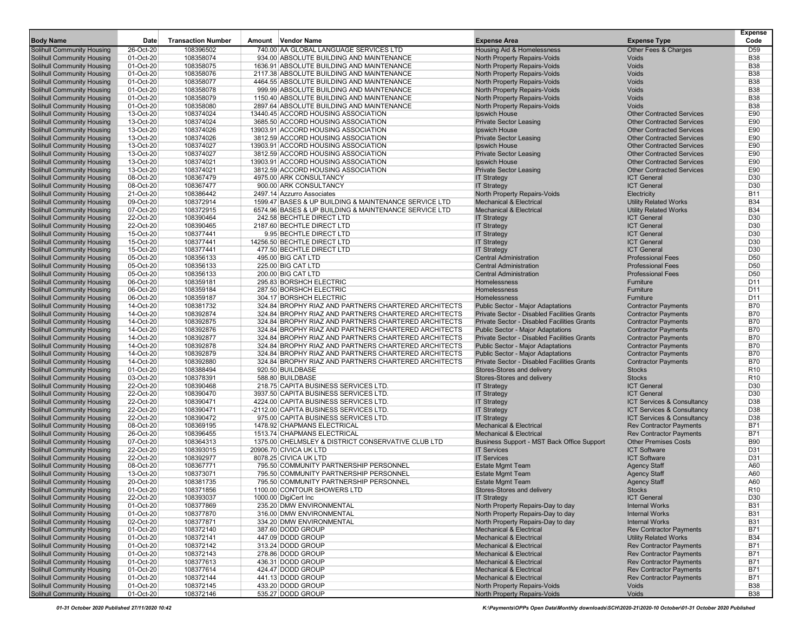| <b>Body Name</b>                                                | Date                   | <b>Transaction Number</b> | Amount Vendor Name                                                        | <b>Expense Area</b>                                                      | <b>Expense Type</b>                                                  | <b>Expense</b><br>Code |
|-----------------------------------------------------------------|------------------------|---------------------------|---------------------------------------------------------------------------|--------------------------------------------------------------------------|----------------------------------------------------------------------|------------------------|
| <b>Solihull Community Housing</b>                               | 26-Oct-20              | 108396502                 | 740.00 AA GLOBAL LANGUAGE SERVICES LTD                                    | <b>Housing Aid &amp; Homelessness</b>                                    | Other Fees & Charges                                                 | D <sub>59</sub>        |
| Solihull Community Housing                                      | 01-Oct-20              | 108358074                 | 934.00 ABSOLUTE BUILDING AND MAINTENANCE                                  | North Property Repairs-Voids                                             | Voids                                                                | <b>B38</b>             |
| Solihull Community Housing                                      | 01-Oct-20              | 108358075                 | 1636.91 ABSOLUTE BUILDING AND MAINTENANCE                                 | North Property Repairs-Voids                                             | Voids                                                                | <b>B38</b>             |
| Solihull Community Housing                                      | 01-Oct-20              | 108358076                 | 2117.38 ABSOLUTE BUILDING AND MAINTENANCE                                 | North Property Repairs-Voids                                             | Voids                                                                | <b>B38</b>             |
| Solihull Community Housing                                      | 01-Oct-20              | 108358077                 | 4464.55 ABSOLUTE BUILDING AND MAINTENANCE                                 | North Property Repairs-Voids                                             | Voids                                                                | <b>B38</b>             |
| Solihull Community Housing                                      | 01-Oct-20              | 108358078                 | 999.99 ABSOLUTE BUILDING AND MAINTENANCE                                  | North Property Repairs-Voids                                             | Voids                                                                | <b>B38</b>             |
| Solihull Community Housing                                      | 01-Oct-20              | 108358079                 | 1150.40 ABSOLUTE BUILDING AND MAINTENANCE                                 | North Property Repairs-Voids                                             | Voids                                                                | <b>B38</b>             |
| Solihull Community Housing                                      | 01-Oct-20              | 108358080                 | 2897.64 ABSOLUTE BUILDING AND MAINTENANCE                                 | North Property Repairs-Voids                                             | Voids                                                                | <b>B38</b>             |
| <b>Solihull Community Housing</b>                               | 13-Oct-20              | 108374024                 | 13440.45 ACCORD HOUSING ASSOCIATION                                       | Ipswich House                                                            | <b>Other Contracted Services</b>                                     | E90                    |
| Solihull Community Housing                                      | 13-Oct-20              | 108374024                 | 3685.50 ACCORD HOUSING ASSOCIATION                                        | <b>Private Sector Leasing</b>                                            | <b>Other Contracted Services</b>                                     | E90                    |
| Solihull Community Housing                                      | 13-Oct-20              | 108374026                 | 13903.91 ACCORD HOUSING ASSOCIATION                                       | Ipswich House                                                            | <b>Other Contracted Services</b>                                     | E90                    |
| Solihull Community Housing                                      | 13-Oct-20              | 108374026                 | 3812.59 ACCORD HOUSING ASSOCIATION                                        | <b>Private Sector Leasing</b>                                            | <b>Other Contracted Services</b>                                     | E90                    |
| Solihull Community Housing                                      | 13-Oct-20              | 108374027                 | 13903.91 ACCORD HOUSING ASSOCIATION<br>3812.59 ACCORD HOUSING ASSOCIATION | Ipswich House                                                            | <b>Other Contracted Services</b><br><b>Other Contracted Services</b> | E90<br>E90             |
| <b>Solihull Community Housing</b><br>Solihull Community Housing | 13-Oct-20<br>13-Oct-20 | 108374027<br>108374021    | 13903.91 ACCORD HOUSING ASSOCIATION                                       | <b>Private Sector Leasing</b><br>Ipswich House                           | <b>Other Contracted Services</b>                                     | E90                    |
| Solihull Community Housing                                      | 13-Oct-20              | 108374021                 | 3812.59 ACCORD HOUSING ASSOCIATION                                        | <b>Private Sector Leasing</b>                                            | <b>Other Contracted Services</b>                                     | E90                    |
| Solihull Community Housing                                      | 08-Oct-20              | 108367479                 | 4975.00 ARK CONSULTANCY                                                   | <b>IT Strategy</b>                                                       | <b>ICT General</b>                                                   | D30                    |
| Solihull Community Housing                                      | 08-Oct-20              | 108367477                 | 900.00 ARK CONSULTANCY                                                    | <b>IT Strategy</b>                                                       | <b>ICT General</b>                                                   | D30                    |
| <b>Solihull Community Housing</b>                               | 21-Oct-20              | 108386442                 | 2497.14 Azzurro Associates                                                | North Property Repairs-Voids                                             | Electricity                                                          | <b>B11</b>             |
| Solihull Community Housing                                      | 09-Oct-20              | 108372914                 | 1599.47 BASES & UP BUILDING & MAINTENANCE SERVICE LTD                     | <b>Mechanical &amp; Electrical</b>                                       | <b>Utility Related Works</b>                                         | <b>B34</b>             |
| <b>Solihull Community Housing</b>                               | 07-Oct-20              | 108372915                 | 6574.96 BASES & UP BUILDING & MAINTENANCE SERVICE LTD                     | <b>Mechanical &amp; Electrical</b>                                       | <b>Utility Related Works</b>                                         | <b>B34</b>             |
| Solihull Community Housing                                      | 22-Oct-20              | 108390464                 | 242.58 BECHTLE DIRECT LTD                                                 | <b>IT Strategy</b>                                                       | <b>ICT General</b>                                                   | D30                    |
| Solihull Community Housing                                      | 22-Oct-20              | 108390465                 | 2187.60 BECHTLE DIRECT LTD                                                | <b>IT Strategy</b>                                                       | <b>ICT General</b>                                                   | D30                    |
| Solihull Community Housing                                      | 15-Oct-20              | 108377441                 | 9.95 BECHTLE DIRECT LTD                                                   | <b>IT Strategy</b>                                                       | <b>ICT General</b>                                                   | D30                    |
| Solihull Community Housing                                      | 15-Oct-20              | 108377441                 | 14256.50 BECHTLE DIRECT LTD                                               | <b>IT Strategy</b>                                                       | <b>ICT General</b>                                                   | D <sub>30</sub>        |
| Solihull Community Housing                                      | 15-Oct-20              | 108377441                 | 477.50 BECHTLE DIRECT LTD                                                 | <b>IT Strategy</b>                                                       | <b>ICT General</b>                                                   | D30                    |
| Solihull Community Housing                                      | 05-Oct-20              | 108356133                 | 495.00 BIG CAT LTD                                                        | <b>Central Administration</b>                                            | <b>Professional Fees</b>                                             | D <sub>50</sub>        |
| Solihull Community Housing                                      | 05-Oct-20              | 108356133                 | 225.00 BIG CAT LTD                                                        | <b>Central Administration</b>                                            | <b>Professional Fees</b>                                             | D <sub>50</sub>        |
| <b>Solihull Community Housing</b>                               | 05-Oct-20              | 108356133                 | 200.00 BIG CAT LTD                                                        | <b>Central Administration</b>                                            | <b>Professional Fees</b>                                             | D <sub>50</sub>        |
| Solihull Community Housing                                      | 06-Oct-20              | 108359181                 | 295.83 BORSHCH ELECTRIC                                                   | Homelessness                                                             | Furniture                                                            | D <sub>11</sub>        |
| Solihull Community Housing                                      | 06-Oct-20              | 108359184                 | 287.50 BORSHCH ELECTRIC                                                   | Homelessness                                                             | Furniture                                                            | D <sub>11</sub>        |
| Solihull Community Housing                                      | 06-Oct-20              | 108359187                 | 304.17 BORSHCH ELECTRIC                                                   | Homelessness                                                             | Furniture                                                            | D11                    |
| Solihull Community Housing                                      | 14-Oct-20              | 108381732                 | 324.84 BROPHY RIAZ AND PARTNERS CHARTERED ARCHITECTS                      | Public Sector - Major Adaptations                                        | <b>Contractor Payments</b>                                           | <b>B70</b>             |
| <b>Solihull Community Housing</b>                               | 14-Oct-20              | 108392874                 | 324.84 BROPHY RIAZ AND PARTNERS CHARTERED ARCHITECTS                      | Private Sector - Disabled Facilities Grants                              | <b>Contractor Payments</b>                                           | <b>B70</b>             |
| Solihull Community Housing                                      | 14-Oct-20              | 108392875                 | 324.84 BROPHY RIAZ AND PARTNERS CHARTERED ARCHITECTS                      | Private Sector - Disabled Facilities Grants                              | <b>Contractor Payments</b>                                           | <b>B70</b>             |
| Solihull Community Housing                                      | 14-Oct-20              | 108392876                 | 324.84 BROPHY RIAZ AND PARTNERS CHARTERED ARCHITECTS                      | Public Sector - Major Adaptations                                        | <b>Contractor Payments</b>                                           | <b>B70</b>             |
| Solihull Community Housing                                      | 14-Oct-20              | 108392877                 | 324.84 BROPHY RIAZ AND PARTNERS CHARTERED ARCHITECTS                      | Private Sector - Disabled Facilities Grants                              | <b>Contractor Payments</b>                                           | <b>B70</b>             |
| Solihull Community Housing                                      | 14-Oct-20              | 108392878                 | 324.84 BROPHY RIAZ AND PARTNERS CHARTERED ARCHITECTS                      | <b>Public Sector - Major Adaptations</b>                                 | <b>Contractor Payments</b>                                           | <b>B70</b>             |
| <b>Solihull Community Housing</b>                               | 14-Oct-20              | 108392879                 | 324.84 BROPHY RIAZ AND PARTNERS CHARTERED ARCHITECTS                      | Public Sector - Major Adaptations                                        | <b>Contractor Payments</b>                                           | <b>B70</b>             |
| Solihull Community Housing                                      | 14-Oct-20              | 108392880                 | 324.84 BROPHY RIAZ AND PARTNERS CHARTERED ARCHITECTS                      | Private Sector - Disabled Facilities Grants                              | <b>Contractor Payments</b>                                           | <b>B70</b>             |
| Solihull Community Housing                                      | 01-Oct-20              | 108388494                 | 920.50 BUILDBASE                                                          | Stores-Stores and delivery                                               | <b>Stocks</b>                                                        | R <sub>10</sub>        |
| Solihull Community Housing                                      | 03-Oct-20              | 108378391                 | 588.80 BUILDBASE                                                          | Stores-Stores and delivery                                               | <b>Stocks</b>                                                        | R <sub>10</sub>        |
| Solihull Community Housing                                      | 22-Oct-20              | 108390468                 | 218.75 CAPITA BUSINESS SERVICES LTD                                       | <b>IT Strategy</b>                                                       | <b>ICT General</b>                                                   | D30                    |
| Solihull Community Housing                                      | 22-Oct-20              | 108390470                 | 3937.50 CAPITA BUSINESS SERVICES LTD.                                     | <b>IT Strategy</b>                                                       | <b>ICT General</b>                                                   | D30                    |
| Solihull Community Housing                                      | 22-Oct-20              | 108390471                 | 4224.00 CAPITA BUSINESS SERVICES LTD                                      | <b>IT Strategy</b>                                                       | ICT Services & Consultancy                                           | D38                    |
| Solihull Community Housing                                      | 22-Oct-20              | 108390471                 | -2112.00 CAPITA BUSINESS SERVICES LTD.                                    | <b>IT Strategy</b>                                                       | ICT Services & Consultancy                                           | D38                    |
| Solihull Community Housing                                      | 22-Oct-20              | 108390472                 | 975.00 CAPITA BUSINESS SERVICES LTD                                       | <b>IT Strategy</b>                                                       | <b>ICT Services &amp; Consultancy</b>                                | D38                    |
| Solihull Community Housing                                      | 08-Oct-20              | 108369195                 | 1478.92 CHAPMANS ELECTRICAL                                               | <b>Mechanical &amp; Electrical</b>                                       | <b>Rev Contractor Payments</b>                                       | <b>B71</b>             |
| <b>Solihull Community Housing</b>                               | 26-Oct-20              | 108396455                 | 1513.74 CHAPMANS ELECTRICAL                                               | <b>Mechanical &amp; Electrical</b>                                       | <b>Rev Contractor Payments</b>                                       | <b>B71</b>             |
| Solihull Community Housing                                      | 07-Oct-20              | 108364313                 | 1375.00 CHELMSLEY & DISTRICT CONSERVATIVE CLUB LTD                        | Business Support - MST Back Office Support                               | <b>Other Premises Costs</b>                                          | <b>B90</b>             |
| Solihull Community Housing                                      | 22-Oct-20              | 108393015                 | 20906.70 CIVICA UK LTD                                                    | <b>IT Services</b>                                                       | <b>ICT Software</b>                                                  | D31                    |
| Solihull Community Housing                                      | 22-Oct-20              | 108392977                 | 8078.25 CIVICA UK LTD                                                     | <b>IT Services</b>                                                       | <b>ICT Software</b>                                                  | D31                    |
| Solihull Community Housing                                      | 08-Oct-20              | 108367771                 | 795.50 COMMUNITY PARTNERSHIP PERSONNEL                                    | <b>Estate Mgmt Team</b>                                                  | <b>Agency Staff</b>                                                  | A60                    |
| <b>Solihull Community Housing</b>                               | 13-Oct-20              | 108373071                 | 795.50 COMMUNITY PARTNERSHIP PERSONNEL                                    | <b>Estate Mgmt Team</b>                                                  | <b>Agency Staff</b>                                                  | A60                    |
| Solihull Community Housing                                      | 20-Oct-20              | 108381735                 | 795.50 COMMUNITY PARTNERSHIP PERSONNEL                                    | <b>Estate Mgmt Team</b>                                                  | <b>Agency Staff</b>                                                  | A60                    |
| Solihull Community Housing                                      | 01-Oct-20              | 108371856                 | 1100.00 CONTOUR SHOWERS LTD                                               | Stores-Stores and delivery                                               | <b>Stocks</b>                                                        | R <sub>10</sub>        |
| Solihull Community Housing                                      | 22-Oct-20              | 108393037                 | 1000.00 DigiCert Inc                                                      | <b>IT Strategy</b>                                                       | <b>ICT General</b>                                                   | D30                    |
| Solihull Community Housing                                      | 01-Oct-20              | 108377869                 | 235.20 DMW ENVIRONMENTAL                                                  | North Property Repairs-Day to day                                        | <b>Internal Works</b>                                                | <b>B31</b>             |
| Solihull Community Housing                                      | 01-Oct-20              | 108377870                 | 316.00 DMW ENVIRONMENTAL                                                  | North Property Repairs-Day to day                                        | <b>Internal Works</b>                                                | <b>B31</b>             |
| Solihull Community Housing                                      | 02-Oct-20              | 108377871                 | 334.20 DMW ENVIRONMENTAL                                                  | North Property Repairs-Day to day                                        | <b>Internal Works</b>                                                | <b>B31</b>             |
| Solihull Community Housing                                      | 01-Oct-20              | 108372140                 | 387.60 DODD GROUP                                                         | <b>Mechanical &amp; Electrical</b>                                       | <b>Rev Contractor Payments</b>                                       | <b>B71</b>             |
| Solihull Community Housing                                      | 01-Oct-20              | 108372141                 | 447.09 DODD GROUP                                                         | <b>Mechanical &amp; Electrical</b>                                       | <b>Utility Related Works</b>                                         | <b>B34</b>             |
| Solihull Community Housing                                      | 01-Oct-20              | 108372142                 | 313.24 DODD GROUP                                                         | <b>Mechanical &amp; Electrical</b>                                       | <b>Rev Contractor Payments</b>                                       | <b>B71</b>             |
| Solihull Community Housing                                      | 01-Oct-20              | 108372143                 | 278.86 DODD GROUP                                                         | <b>Mechanical &amp; Electrical</b>                                       | <b>Rev Contractor Payments</b>                                       | B71                    |
| Solihull Community Housing                                      | 01-Oct-20              | 108377613                 | 436.31 DODD GROUP                                                         | <b>Mechanical &amp; Electrical</b>                                       | <b>Rev Contractor Payments</b><br><b>Rev Contractor Payments</b>     | <b>B71</b>             |
| Solihull Community Housing<br>Solihull Community Housing        | 01-Oct-20              | 108377614<br>108372144    | 424.47 DODD GROUP                                                         | <b>Mechanical &amp; Electrical</b><br><b>Mechanical &amp; Electrical</b> | <b>Rev Contractor Payments</b>                                       | B71                    |
| Solihull Community Housing                                      | 01-Oct-20<br>01-Oct-20 | 108372145                 | 441.13 DODD GROUP<br>433.20 DODD GROUP                                    | North Property Repairs-Voids                                             | Voids                                                                | B71<br><b>B38</b>      |
| Solihull Community Housing                                      | 01-Oct-20              | 108372146                 | 535.27 DODD GROUP                                                         | North Property Repairs-Voids                                             | Voids                                                                | <b>B38</b>             |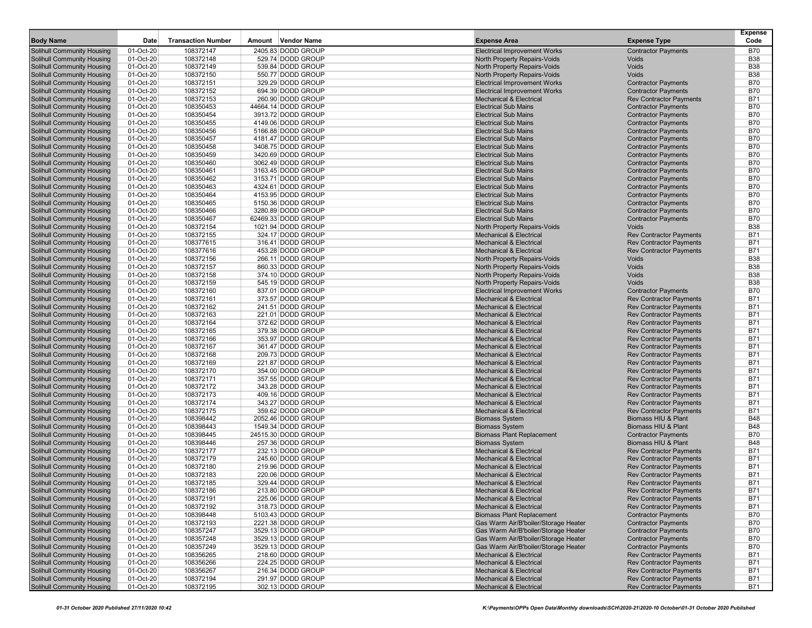| <b>Body Name</b>                                                       | Date                   | <b>Transaction Number</b> | Amount Vendor Name                     | <b>Expense Area</b>                                                      | <b>Expense Type</b>                                              | <b>Expense</b><br>Code   |
|------------------------------------------------------------------------|------------------------|---------------------------|----------------------------------------|--------------------------------------------------------------------------|------------------------------------------------------------------|--------------------------|
|                                                                        | 01-Oct-20              | 108372147                 | 2405.83 DODD GROUP                     |                                                                          |                                                                  | <b>B70</b>               |
| <b>Solihull Community Housing</b>                                      | 01-Oct-20              |                           | 529.74 DODD GROUP                      | <b>Electrical Improvement Works</b>                                      | <b>Contractor Payments</b>                                       | <b>B38</b>               |
| Solihull Community Housing                                             |                        | 108372148<br>108372149    | 539.84 DODD GROUP                      | North Property Repairs-Voids                                             | Voids<br><b>Voids</b>                                            | <b>B38</b>               |
| <b>Solihull Community Housing</b><br><b>Solihull Community Housing</b> | 01-Oct-20<br>01-Oct-20 | 108372150                 | 550.77 DODD GROUP                      | North Property Repairs-Voids<br>North Property Repairs-Voids             | Voids                                                            | <b>B38</b>               |
| <b>Solihull Community Housing</b>                                      | 01-Oct-20              | 108372151                 | 329.29 DODD GROUP                      | <b>Electrical Improvement Works</b>                                      | <b>Contractor Payments</b>                                       | <b>B70</b>               |
| Solihull Community Housing                                             | 01-Oct-20              | 108372152                 | 694.39 DODD GROUP                      | <b>Electrical Improvement Works</b>                                      | <b>Contractor Payments</b>                                       | <b>B70</b>               |
| <b>Solihull Community Housing</b>                                      | 01-Oct-20              | 108372153                 | 260.90 DODD GROUP                      | <b>Mechanical &amp; Electrical</b>                                       | <b>Rev Contractor Payments</b>                                   | <b>B71</b>               |
| <b>Solihull Community Housing</b>                                      | 01-Oct-20              | 108350453                 | 44664.14 DODD GROUP                    | <b>Electrical Sub Mains</b>                                              | <b>Contractor Payments</b>                                       | <b>B70</b>               |
| <b>Solihull Community Housing</b>                                      | 01-Oct-20              | 108350454                 | 3913.72 DODD GROUP                     | <b>Electrical Sub Mains</b>                                              | <b>Contractor Payments</b>                                       | <b>B70</b>               |
| <b>Solihull Community Housing</b>                                      | 01-Oct-20              | 108350455                 | 4149.06 DODD GROUP                     | <b>Electrical Sub Mains</b>                                              | <b>Contractor Payments</b>                                       | <b>B70</b>               |
| <b>Solihull Community Housing</b>                                      | 01-Oct-20              | 108350456                 | 5166.88 DODD GROUP                     | <b>Electrical Sub Mains</b>                                              | <b>Contractor Payments</b>                                       | <b>B70</b>               |
| <b>Solihull Community Housing</b>                                      | 01-Oct-20              | 108350457                 | 4181.47 DODD GROUP                     | <b>Electrical Sub Mains</b>                                              | <b>Contractor Payments</b>                                       | <b>B70</b>               |
| <b>Solihull Community Housing</b>                                      | 01-Oct-20              | 108350458                 | 3408.75 DODD GROUP                     | <b>Electrical Sub Mains</b>                                              | <b>Contractor Payments</b>                                       | <b>B70</b>               |
| <b>Solihull Community Housing</b>                                      | 01-Oct-20              | 108350459                 | 3420.69 DODD GROUP                     | <b>Electrical Sub Mains</b>                                              | <b>Contractor Payments</b>                                       | <b>B70</b>               |
| <b>Solihull Community Housing</b>                                      | 01-Oct-20              | 108350460                 | 3062.49 DODD GROUP                     | <b>Electrical Sub Mains</b>                                              | <b>Contractor Payments</b>                                       | <b>B70</b>               |
| <b>Solihull Community Housing</b>                                      | 01-Oct-20              | 108350461                 | 3163.45 DODD GROUP                     | <b>Electrical Sub Mains</b>                                              | <b>Contractor Payments</b>                                       | <b>B70</b>               |
| <b>Solihull Community Housing</b>                                      | 01-Oct-20              | 108350462                 | 3153.71 DODD GROUP                     | <b>Electrical Sub Mains</b>                                              | <b>Contractor Payments</b>                                       | <b>B70</b>               |
| <b>Solihull Community Housing</b>                                      | 01-Oct-20              | 108350463                 | 4324.61 DODD GROUP                     | <b>Electrical Sub Mains</b>                                              | <b>Contractor Payments</b>                                       | <b>B70</b>               |
| <b>Solihull Community Housing</b>                                      | 01-Oct-20              | 108350464                 | 4153.95 DODD GROUP                     | <b>Electrical Sub Mains</b>                                              | <b>Contractor Payments</b>                                       | <b>B70</b>               |
| <b>Solihull Community Housing</b>                                      | 01-Oct-20              | 108350465                 | 5150.36 DODD GROUP                     | <b>Electrical Sub Mains</b>                                              | <b>Contractor Payments</b>                                       | <b>B70</b>               |
| <b>Solihull Community Housing</b>                                      | 01-Oct-20              | 108350466                 | 3280.89 DODD GROUP                     | <b>Electrical Sub Mains</b>                                              | <b>Contractor Payments</b>                                       | <b>B70</b>               |
| Solihull Community Housing                                             | 01-Oct-20              | 108350467                 | 62469.33 DODD GROUP                    | <b>Electrical Sub Mains</b>                                              | <b>Contractor Payments</b>                                       | <b>B70</b>               |
| <b>Solihull Community Housing</b>                                      | 01-Oct-20              | 108372154                 | 1021.94 DODD GROUP                     | North Property Repairs-Voids                                             | Voids                                                            | <b>B38</b>               |
| <b>Solihull Community Housing</b>                                      | 01-Oct-20              | 108372155                 | 324.17 DODD GROUP                      | <b>Mechanical &amp; Electrical</b>                                       | <b>Rev Contractor Payments</b>                                   | <b>B71</b>               |
| <b>Solihull Community Housing</b>                                      | 01-Oct-20              | 108377615                 | 316.41 DODD GROUP                      | <b>Mechanical &amp; Electrical</b>                                       | <b>Rev Contractor Payments</b>                                   | <b>B71</b>               |
| Solihull Community Housing                                             | 01-Oct-20              | 108377616                 | 453.28 DODD GROUP                      | <b>Mechanical &amp; Electrical</b>                                       | <b>Rev Contractor Payments</b>                                   | <b>B71</b>               |
| <b>Solihull Community Housing</b>                                      | 01-Oct-20              | 108372156                 | 266.11 DODD GROUP                      | North Property Repairs-Voids                                             | Voids                                                            | <b>B38</b>               |
| <b>Solihull Community Housing</b>                                      | 01-Oct-20              | 108372157                 | 860.33 DODD GROUP                      | North Property Repairs-Voids                                             | <b>Voids</b>                                                     | <b>B38</b>               |
| <b>Solihull Community Housing</b>                                      | 01-Oct-20              | 108372158                 | 374.10 DODD GROUP                      | North Property Repairs-Voids                                             | Voids                                                            | <b>B38</b>               |
| <b>Solihull Community Housing</b>                                      | 01-Oct-20              | 108372159                 | 545.19 DODD GROUP                      | North Property Repairs-Voids                                             | Voids                                                            | <b>B38</b>               |
| <b>Solihull Community Housing</b>                                      | 01-Oct-20              | 108372160                 | 837.01 DODD GROUP                      | <b>Electrical Improvement Works</b>                                      | <b>Contractor Payments</b>                                       | <b>B70</b>               |
| <b>Solihull Community Housing</b>                                      | 01-Oct-20              | 108372161                 | 373.57 DODD GROUP                      | <b>Mechanical &amp; Electrical</b>                                       | <b>Rev Contractor Payments</b>                                   | <b>B71</b>               |
| <b>Solihull Community Housing</b>                                      | 01-Oct-20              | 108372162                 | 241.51 DODD GROUP                      | <b>Mechanical &amp; Electrical</b>                                       | <b>Rev Contractor Payments</b>                                   | <b>B71</b>               |
| <b>Solihull Community Housing</b>                                      | 01-Oct-20              | 108372163                 | 221.01 DODD GROUP                      | <b>Mechanical &amp; Electrical</b>                                       | <b>Rev Contractor Payments</b>                                   | <b>B71</b>               |
| <b>Solihull Community Housing</b>                                      | 01-Oct-20              | 108372164                 | 372.62 DODD GROUP                      | <b>Mechanical &amp; Electrical</b>                                       | <b>Rev Contractor Payments</b>                                   | <b>B71</b>               |
| <b>Solihull Community Housing</b><br><b>Solihull Community Housing</b> | 01-Oct-20<br>01-Oct-20 | 108372165<br>108372166    | 379.38 DODD GROUP<br>353.97 DODD GROUP | <b>Mechanical &amp; Electrical</b><br><b>Mechanical &amp; Electrical</b> | <b>Rev Contractor Payments</b><br><b>Rev Contractor Payments</b> | <b>B71</b><br><b>B71</b> |
| <b>Solihull Community Housing</b>                                      | 01-Oct-20              | 108372167                 | 361.47 DODD GROUP                      | <b>Mechanical &amp; Electrical</b>                                       | <b>Rev Contractor Payments</b>                                   | <b>B71</b>               |
| <b>Solihull Community Housing</b>                                      | 01-Oct-20              | 108372168                 | 209.73 DODD GROUP                      | <b>Mechanical &amp; Electrical</b>                                       | <b>Rev Contractor Payments</b>                                   | <b>B71</b>               |
| <b>Solihull Community Housing</b>                                      | 01-Oct-20              | 108372169                 | 221.87 DODD GROUP                      | <b>Mechanical &amp; Electrical</b>                                       | <b>Rev Contractor Payments</b>                                   | <b>B71</b>               |
| <b>Solihull Community Housing</b>                                      | 01-Oct-20              | 108372170                 | 354.00 DODD GROUP                      | <b>Mechanical &amp; Electrical</b>                                       | <b>Rev Contractor Payments</b>                                   | <b>B71</b>               |
| Solihull Community Housing                                             | 01-Oct-20              | 108372171                 | 357.55 DODD GROUP                      | <b>Mechanical &amp; Electrical</b>                                       | <b>Rev Contractor Payments</b>                                   | <b>B71</b>               |
| <b>Solihull Community Housing</b>                                      | 01-Oct-20              | 108372172                 | 343.28 DODD GROUP                      | <b>Mechanical &amp; Electrical</b>                                       | <b>Rev Contractor Payments</b>                                   | <b>B71</b>               |
| <b>Solihull Community Housing</b>                                      | 01-Oct-20              | 108372173                 | 409.16 DODD GROUP                      | <b>Mechanical &amp; Electrical</b>                                       | <b>Rev Contractor Payments</b>                                   | <b>B71</b>               |
| <b>Solihull Community Housing</b>                                      | 01-Oct-20              | 108372174                 | 343.27 DODD GROUP                      | <b>Mechanical &amp; Electrical</b>                                       | <b>Rev Contractor Payments</b>                                   | <b>B71</b>               |
| <b>Solihull Community Housing</b>                                      | 01-Oct-20              | 108372175                 | 359.62 DODD GROUP                      | <b>Mechanical &amp; Electrical</b>                                       | <b>Rev Contractor Payments</b>                                   | <b>B71</b>               |
| <b>Solihull Community Housing</b>                                      | 01-Oct-20              | 108398442                 | 2052.46 DODD GROUP                     | <b>Biomass System</b>                                                    | Biomass HIU & Plant                                              | <b>B48</b>               |
| <b>Solihull Community Housing</b>                                      | 01-Oct-20              | 108398443                 | 1549.34 DODD GROUP                     | <b>Biomass System</b>                                                    | Biomass HIU & Plant                                              | <b>B48</b>               |
| <b>Solihull Community Housing</b>                                      | 01-Oct-20              | 108398445                 | 24515.30 DODD GROUP                    | <b>Biomass Plant Replacement</b>                                         | <b>Contractor Payments</b>                                       | <b>B70</b>               |
| <b>Solihull Community Housing</b>                                      | 01-Oct-20              | 108398446                 | 257.36 DODD GROUP                      | <b>Biomass System</b>                                                    | Biomass HIU & Plant                                              | <b>B48</b>               |
| <b>Solihull Community Housing</b>                                      | 01-Oct-20              | 108372177                 | 232.13 DODD GROUP                      | <b>Mechanical &amp; Electrical</b>                                       | <b>Rev Contractor Payments</b>                                   | <b>B71</b>               |
| Solihull Community Housing                                             | 01-Oct-20              | 108372179                 | 245.60 DODD GROUP                      | <b>Mechanical &amp; Electrical</b>                                       | <b>Rev Contractor Payments</b>                                   | <b>B71</b>               |
| <b>Solihull Community Housing</b>                                      | 01-Oct-20              | 108372180                 | 219.96 DODD GROUP                      | <b>Mechanical &amp; Electrical</b>                                       | <b>Rev Contractor Payments</b>                                   | <b>B71</b>               |
| <b>Solihull Community Housing</b>                                      | 01-Oct-20              | 108372183                 | 220.06 DODD GROUP                      | <b>Mechanical &amp; Electrical</b>                                       | <b>Rev Contractor Payments</b>                                   | <b>B71</b>               |
| <b>Solihull Community Housing</b>                                      | 01-Oct-20              | 108372185                 | 329.44 DODD GROUP                      | <b>Mechanical &amp; Electrical</b>                                       | <b>Rev Contractor Payments</b>                                   | <b>B71</b>               |
| Solihull Community Housing<br><b>Solihull Community Housing</b>        | 01-Oct-20              | 108372186                 | 213.80 DODD GROUP<br>225.06 DODD GROUP | Mechanical & Electrical<br>Mechanical & Electrical                       | <b>Rev Contractor Payments</b><br><b>Rev Contractor Payments</b> | B71<br><b>B71</b>        |
| <b>Solihull Community Housing</b>                                      | 01-Oct-20<br>01-Oct-20 | 108372191<br>108372192    | 318.73 DODD GROUP                      | <b>Mechanical &amp; Electrical</b>                                       | <b>Rev Contractor Payments</b>                                   | <b>B71</b>               |
| <b>Solihull Community Housing</b>                                      | 01-Oct-20              | 108398448                 | 5103.43 DODD GROUP                     | <b>Biomass Plant Replacement</b>                                         | <b>Contractor Payments</b>                                       | B70                      |
| <b>Solihull Community Housing</b>                                      | 01-Oct-20              | 108372193                 | 2221.38 DODD GROUP                     | Gas Warm Air/B'boiler/Storage Heater                                     | <b>Contractor Payments</b>                                       | <b>B70</b>               |
| <b>Solihull Community Housing</b>                                      | 01-Oct-20              | 108357247                 | 3529.13 DODD GROUP                     | Gas Warm Air/B'boiler/Storage Heater                                     | <b>Contractor Payments</b>                                       | <b>B70</b>               |
| <b>Solihull Community Housing</b>                                      | 01-Oct-20              | 108357248                 | 3529.13 DODD GROUP                     | Gas Warm Air/B'boiler/Storage Heater                                     | <b>Contractor Payments</b>                                       | <b>B70</b>               |
| <b>Solihull Community Housing</b>                                      | 01-Oct-20              | 108357249                 | 3529.13 DODD GROUP                     | Gas Warm Air/B'boiler/Storage Heater                                     | <b>Contractor Payments</b>                                       | B70                      |
| <b>Solihull Community Housing</b>                                      | 01-Oct-20              | 108356265                 | 218.60 DODD GROUP                      | <b>Mechanical &amp; Electrical</b>                                       | <b>Rev Contractor Payments</b>                                   | <b>B71</b>               |
| <b>Solihull Community Housing</b>                                      | 01-Oct-20              | 108356266                 | 224.25 DODD GROUP                      | <b>Mechanical &amp; Electrical</b>                                       | <b>Rev Contractor Payments</b>                                   | <b>B71</b>               |
| Solihull Community Housing                                             | 01-Oct-20              | 108356267                 | 216.34 DODD GROUP                      | <b>Mechanical &amp; Electrical</b>                                       | <b>Rev Contractor Payments</b>                                   | <b>B71</b>               |
| <b>Solihull Community Housing</b>                                      | 01-Oct-20              | 108372194                 | 291.97 DODD GROUP                      | <b>Mechanical &amp; Electrical</b>                                       | <b>Rev Contractor Payments</b>                                   | <b>B71</b>               |
| <b>Solihull Community Housing</b>                                      | 01-Oct-20              | 108372195                 | 302.13 DODD GROUP                      | <b>Mechanical &amp; Electrical</b>                                       | <b>Rev Contractor Payments</b>                                   | B71                      |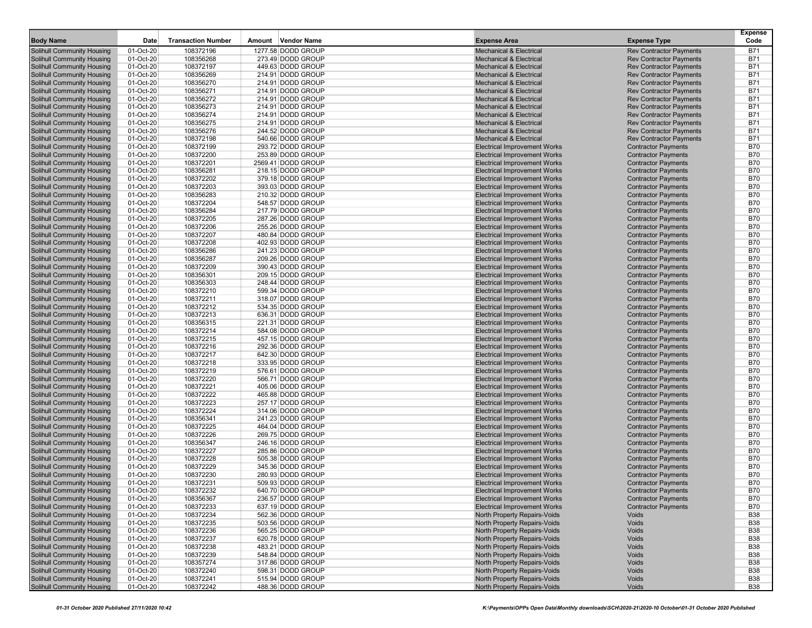| <b>Body Name</b>                                                       | Date                   | <b>Transaction Number</b> | Amount Vendor Name                     | <b>Expense Area</b>                                                        | <b>Expense Type</b>                                      | <b>Expense</b><br>Code   |
|------------------------------------------------------------------------|------------------------|---------------------------|----------------------------------------|----------------------------------------------------------------------------|----------------------------------------------------------|--------------------------|
| <b>Solihull Community Housing</b>                                      | 01-Oct-20              | 108372196                 | 1277.58 DODD GROUP                     | <b>Mechanical &amp; Electrical</b>                                         | <b>Rev Contractor Payments</b>                           | <b>B71</b>               |
| Solihull Community Housing                                             | 01-Oct-20              | 108356268                 | 273.49 DODD GROUP                      | <b>Mechanical &amp; Electrical</b>                                         | <b>Rev Contractor Payments</b>                           | <b>B71</b>               |
| <b>Solihull Community Housing</b>                                      | 01-Oct-20              | 108372197                 | 449.63 DODD GROUP                      | <b>Mechanical &amp; Electrical</b>                                         | <b>Rev Contractor Payments</b>                           | <b>B71</b>               |
| <b>Solihull Community Housing</b>                                      | 01-Oct-20              | 108356269                 | 214.91 DODD GROUP                      | <b>Mechanical &amp; Electrical</b>                                         | <b>Rev Contractor Payments</b>                           | <b>B71</b>               |
| Solihull Community Housing                                             | 01-Oct-20              | 108356270                 | 214.91 DODD GROUP                      | <b>Mechanical &amp; Electrical</b>                                         | <b>Rev Contractor Payments</b>                           | <b>B71</b>               |
| <b>Solihull Community Housing</b>                                      | 01-Oct-20              | 108356271                 | 214.91 DODD GROUP                      | <b>Mechanical &amp; Electrical</b>                                         | <b>Rev Contractor Payments</b>                           | <b>B71</b>               |
| <b>Solihull Community Housing</b>                                      | 01-Oct-20              | 108356272                 | 214.91 DODD GROUP                      | <b>Mechanical &amp; Electrical</b>                                         | <b>Rev Contractor Payments</b>                           | <b>B71</b>               |
| Solihull Community Housing                                             | 01-Oct-20              | 108356273                 | 214.91 DODD GROUP                      | <b>Mechanical &amp; Electrical</b>                                         | <b>Rev Contractor Payments</b>                           | <b>B71</b>               |
| <b>Solihull Community Housing</b>                                      | 01-Oct-20              | 108356274                 | 214.91 DODD GROUP                      | <b>Mechanical &amp; Electrical</b>                                         | <b>Rev Contractor Payments</b>                           | <b>B71</b>               |
| <b>Solihull Community Housing</b>                                      | 01-Oct-20              | 108356275                 | 214.91 DODD GROUP                      | <b>Mechanical &amp; Electrical</b>                                         | <b>Rev Contractor Payments</b>                           | <b>B71</b>               |
| <b>Solihull Community Housing</b>                                      | 01-Oct-20              | 108356276                 | 244.52 DODD GROUP                      | <b>Mechanical &amp; Electrical</b>                                         | <b>Rev Contractor Payments</b>                           | <b>B71</b>               |
| <b>Solihull Community Housing</b>                                      | 01-Oct-20              | 108372198                 | 540.66 DODD GROUP                      | <b>Mechanical &amp; Electrical</b>                                         | <b>Rev Contractor Payments</b>                           | <b>B71</b>               |
| <b>Solihull Community Housing</b>                                      | 01-Oct-20              | 108372199                 | 293.72 DODD GROUP                      | <b>Electrical Improvement Works</b>                                        | <b>Contractor Payments</b>                               | <b>B70</b>               |
| <b>Solihull Community Housing</b>                                      | 01-Oct-20              | 108372200                 | 253.89 DODD GROUP                      | <b>Electrical Improvement Works</b>                                        | <b>Contractor Payments</b>                               | <b>B70</b>               |
| Solihull Community Housing                                             | 01-Oct-20              | 108372201                 | 2569.41 DODD GROUP                     | <b>Electrical Improvement Works</b>                                        | <b>Contractor Payments</b>                               | <b>B70</b>               |
| Solihull Community Housing                                             | 01-Oct-20              | 108356281                 | 218.15 DODD GROUP                      | <b>Electrical Improvement Works</b>                                        | <b>Contractor Payments</b>                               | <b>B70</b>               |
| <b>Solihull Community Housing</b>                                      | 01-Oct-20              | 108372202                 | 379.18 DODD GROUP                      | <b>Electrical Improvement Works</b>                                        | <b>Contractor Payments</b>                               | <b>B70</b>               |
| <b>Solihull Community Housing</b>                                      | 01-Oct-20              | 108372203                 | 393.03 DODD GROUP                      | <b>Electrical Improvement Works</b>                                        | <b>Contractor Payments</b>                               | <b>B70</b>               |
| <b>Solihull Community Housing</b>                                      | 01-Oct-20              | 108356283                 | 210.32 DODD GROUP                      | <b>Electrical Improvement Works</b>                                        | <b>Contractor Payments</b>                               | <b>B70</b>               |
| <b>Solihull Community Housing</b>                                      | 01-Oct-20              | 108372204                 | 548.57 DODD GROUP                      | <b>Electrical Improvement Works</b>                                        | <b>Contractor Payments</b>                               | <b>B70</b>               |
| <b>Solihull Community Housing</b>                                      | 01-Oct-20              | 108356284                 | 217.79 DODD GROUP                      | <b>Electrical Improvement Works</b>                                        | <b>Contractor Payments</b>                               | <b>B70</b>               |
| <b>Solihull Community Housing</b>                                      | 01-Oct-20              | 108372205                 | 287.26 DODD GROUP                      | <b>Electrical Improvement Works</b>                                        | <b>Contractor Payments</b>                               | <b>B70</b>               |
| <b>Solihull Community Housing</b>                                      | 01-Oct-20              | 108372206                 | 255.26 DODD GROUP                      | <b>Electrical Improvement Works</b>                                        | <b>Contractor Payments</b>                               | <b>B70</b>               |
| <b>Solihull Community Housing</b>                                      | 01-Oct-20              | 108372207                 | 480.84 DODD GROUP                      | <b>Electrical Improvement Works</b>                                        | <b>Contractor Payments</b>                               | <b>B70</b>               |
| Solihull Community Housing                                             | 01-Oct-20              | 108372208                 | 402.93 DODD GROUP                      | <b>Electrical Improvement Works</b>                                        | <b>Contractor Payments</b>                               | <b>B70</b>               |
| <b>Solihull Community Housing</b>                                      | 01-Oct-20              | 108356286                 | 241.23 DODD GROUP                      | <b>Electrical Improvement Works</b>                                        | <b>Contractor Payments</b>                               | <b>B70</b>               |
| <b>Solihull Community Housing</b>                                      | 01-Oct-20              | 108356287                 | 209.26 DODD GROUP                      | <b>Electrical Improvement Works</b>                                        | <b>Contractor Payments</b>                               | <b>B70</b>               |
| <b>Solihull Community Housing</b>                                      | 01-Oct-20              | 108372209                 | 390.43 DODD GROUP                      | <b>Electrical Improvement Works</b>                                        | <b>Contractor Payments</b>                               | <b>B70</b>               |
| <b>Solihull Community Housing</b>                                      | 01-Oct-20              | 108356301                 | 209.15 DODD GROUP                      | <b>Electrical Improvement Works</b>                                        | <b>Contractor Payments</b>                               | <b>B70</b>               |
| <b>Solihull Community Housing</b>                                      | 01-Oct-20              | 108356303                 | 248.44 DODD GROUP                      | <b>Electrical Improvement Works</b>                                        | <b>Contractor Payments</b>                               | <b>B70</b>               |
| <b>Solihull Community Housing</b>                                      | 01-Oct-20              | 108372210                 | 599.34 DODD GROUP                      | <b>Electrical Improvement Works</b>                                        | <b>Contractor Payments</b>                               | <b>B70</b>               |
| <b>Solihull Community Housing</b>                                      | 01-Oct-20              | 108372211                 | 318.07 DODD GROUP                      | <b>Electrical Improvement Works</b>                                        | <b>Contractor Payments</b>                               | <b>B70</b>               |
| <b>Solihull Community Housing</b>                                      | 01-Oct-20              | 108372212                 | 534.35 DODD GROUP                      | <b>Electrical Improvement Works</b>                                        | <b>Contractor Payments</b>                               | <b>B70</b>               |
| <b>Solihull Community Housing</b>                                      | 01-Oct-20              | 108372213                 | 636.31 DODD GROUP                      | <b>Electrical Improvement Works</b>                                        | <b>Contractor Payments</b>                               | <b>B70</b>               |
| Solihull Community Housing                                             | 01-Oct-20              | 108356315                 | 221.31 DODD GROUP                      | <b>Electrical Improvement Works</b>                                        | <b>Contractor Payments</b>                               | <b>B70</b>               |
| <b>Solihull Community Housing</b>                                      | 01-Oct-20              | 108372214                 | 584.08 DODD GROUP                      | <b>Electrical Improvement Works</b>                                        | <b>Contractor Payments</b>                               | <b>B70</b>               |
| <b>Solihull Community Housing</b>                                      | 01-Oct-20              | 108372215                 | 457.15 DODD GROUP                      | <b>Electrical Improvement Works</b>                                        | <b>Contractor Payments</b>                               | <b>B70</b>               |
| <b>Solihull Community Housing</b>                                      | 01-Oct-20              | 108372216                 | 292.36 DODD GROUP                      | <b>Electrical Improvement Works</b>                                        | <b>Contractor Payments</b>                               | <b>B70</b>               |
| <b>Solihull Community Housing</b>                                      | 01-Oct-20              | 108372217                 | 642.30 DODD GROUP                      | <b>Electrical Improvement Works</b>                                        | <b>Contractor Payments</b>                               | <b>B70</b>               |
| <b>Solihull Community Housing</b>                                      | 01-Oct-20              | 108372218                 | 333.95 DODD GROUP                      | <b>Electrical Improvement Works</b>                                        | <b>Contractor Payments</b>                               | <b>B70</b>               |
| <b>Solihull Community Housing</b>                                      | 01-Oct-20              | 108372219                 | 576.61 DODD GROUP                      | <b>Electrical Improvement Works</b>                                        | <b>Contractor Payments</b>                               | <b>B70</b>               |
| <b>Solihull Community Housing</b>                                      | 01-Oct-20              | 108372220                 | 566.71 DODD GROUP                      | <b>Electrical Improvement Works</b>                                        | <b>Contractor Payments</b>                               | <b>B70</b>               |
| <b>Solihull Community Housing</b>                                      | 01-Oct-20              | 108372221                 | 405.06 DODD GROUP                      | <b>Electrical Improvement Works</b>                                        | <b>Contractor Payments</b>                               | <b>B70</b>               |
| <b>Solihull Community Housing</b>                                      | 01-Oct-20              | 108372222                 | 465.88 DODD GROUP                      | <b>Electrical Improvement Works</b>                                        | <b>Contractor Payments</b>                               | <b>B70</b>               |
| <b>Solihull Community Housing</b>                                      | 01-Oct-20              | 108372223                 | 257.17 DODD GROUP                      | <b>Electrical Improvement Works</b>                                        | <b>Contractor Payments</b>                               | <b>B70</b>               |
| <b>Solihull Community Housing</b>                                      | 01-Oct-20              | 108372224                 | 314.06 DODD GROUP                      | <b>Electrical Improvement Works</b>                                        | <b>Contractor Payments</b>                               | <b>B70</b>               |
| <b>Solihull Community Housing</b>                                      | 01-Oct-20              | 108356341                 | 241.23 DODD GROUP                      | <b>Electrical Improvement Works</b>                                        | <b>Contractor Payments</b>                               | <b>B70</b>               |
| <b>Solihull Community Housing</b><br><b>Solihull Community Housing</b> | 01-Oct-20              | 108372225                 | 464.04 DODD GROUP                      | <b>Electrical Improvement Works</b><br><b>Electrical Improvement Works</b> | <b>Contractor Payments</b><br><b>Contractor Payments</b> | <b>B70</b><br><b>B70</b> |
| Solihull Community Housing                                             | 01-Oct-20              | 108372226<br>108356347    | 269.75 DODD GROUP<br>246.16 DODD GROUP | <b>Electrical Improvement Works</b>                                        | <b>Contractor Payments</b>                               | <b>B70</b>               |
| <b>Solihull Community Housing</b>                                      | 01-Oct-20<br>01-Oct-20 | 108372227                 | 285.86 DODD GROUP                      | <b>Electrical Improvement Works</b>                                        | <b>Contractor Payments</b>                               | <b>B70</b>               |
| <b>Solihull Community Housing</b>                                      | 01-Oct-20              | 108372228                 | 505.38 DODD GROUP                      | <b>Electrical Improvement Works</b>                                        | <b>Contractor Payments</b>                               | <b>B70</b>               |
| <b>Solihull Community Housing</b>                                      | 01-Oct-20              | 108372229                 | 345.36 DODD GROUP                      | <b>Electrical Improvement Works</b>                                        | <b>Contractor Payments</b>                               | <b>B70</b>               |
| <b>Solihull Community Housing</b>                                      | 01-Oct-20              | 108372230                 | 280.93 DODD GROUP                      | <b>Electrical Improvement Works</b>                                        | <b>Contractor Payments</b>                               | <b>B70</b>               |
| <b>Solihull Community Housing</b>                                      | 01-Oct-20              | 108372231                 | 509.93 DODD GROUP                      | <b>Electrical Improvement Works</b>                                        | <b>Contractor Payments</b>                               | <b>B70</b>               |
|                                                                        |                        |                           | 640.70 DODD GROUP                      |                                                                            | <b>Contractor Payments</b>                               |                          |
| Solihull Community Housing<br><b>Solihull Community Housing</b>        | 01-Oct-20<br>01-Oct-20 | 108372232<br>108356367    | 236.57 DODD GROUP                      | Electrical Improvement Works<br><b>Electrical Improvement Works</b>        | <b>Contractor Payments</b>                               | B70<br><b>B70</b>        |
| Solihull Community Housing                                             | 01-Oct-20              | 108372233                 | 637.19 DODD GROUP                      | <b>Electrical Improvement Works</b>                                        | <b>Contractor Payments</b>                               | <b>B70</b>               |
| <b>Solihull Community Housing</b>                                      | 01-Oct-20              | 108372234                 | 562.36 DODD GROUP                      | North Property Repairs-Voids                                               | Voids                                                    | <b>B38</b>               |
| <b>Solihull Community Housing</b>                                      | 01-Oct-20              | 108372235                 | 503.56 DODD GROUP                      | North Property Repairs-Voids                                               | Voids                                                    | <b>B38</b>               |
| Solihull Community Housing                                             | 01-Oct-20              | 108372236                 | 565.25 DODD GROUP                      | North Property Repairs-Voids                                               | Voids                                                    | <b>B38</b>               |
| <b>Solihull Community Housing</b>                                      | 01-Oct-20              | 108372237                 | 620.78 DODD GROUP                      | North Property Repairs-Voids                                               | Voids                                                    | <b>B38</b>               |
| <b>Solihull Community Housing</b>                                      | 01-Oct-20              | 108372238                 | 483.21 DODD GROUP                      | North Property Repairs-Voids                                               | Voids                                                    | <b>B38</b>               |
| <b>Solihull Community Housing</b>                                      | 01-Oct-20              | 108372239                 | 548.84 DODD GROUP                      | North Property Repairs-Voids                                               | Voids                                                    | <b>B38</b>               |
| <b>Solihull Community Housing</b>                                      | 01-Oct-20              | 108357274                 | 317.86 DODD GROUP                      | North Property Repairs-Voids                                               | Voids                                                    | <b>B38</b>               |
| <b>Solihull Community Housing</b>                                      | 01-Oct-20              | 108372240                 | 598.31 DODD GROUP                      | North Property Repairs-Voids                                               | Voids                                                    | <b>B38</b>               |
| <b>Solihull Community Housing</b>                                      | 01-Oct-20              | 108372241                 | 515.94 DODD GROUP                      | North Property Repairs-Voids                                               | Voids                                                    | <b>B38</b>               |
| Solihull Community Housing                                             | 01-Oct-20              | 108372242                 | 488.36 DODD GROUP                      | North Property Repairs-Voids                                               | Voids                                                    | <b>B38</b>               |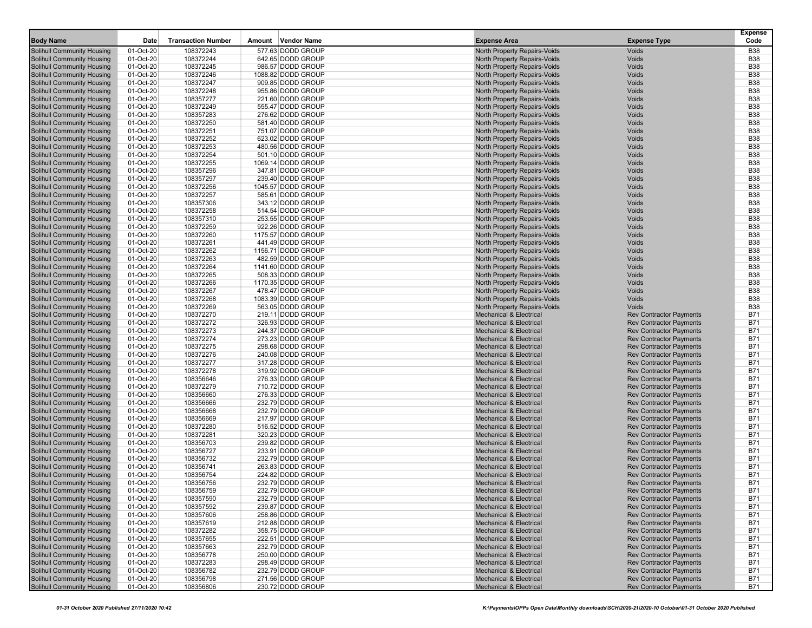|                                                                 |                        |                           |                                        |                                                                          |                                                                  | <b>Expense</b>           |
|-----------------------------------------------------------------|------------------------|---------------------------|----------------------------------------|--------------------------------------------------------------------------|------------------------------------------------------------------|--------------------------|
| <b>Body Name</b>                                                | Date                   | <b>Transaction Number</b> | Amount Vendor Name                     | <b>Expense Area</b>                                                      | <b>Expense Type</b>                                              | Code                     |
| Solihull Community Housing                                      | 01-Oct-20              | 108372243                 | 577.63 DODD GROUP                      | North Property Repairs-Voids                                             | <b>Voids</b>                                                     | <b>B38</b>               |
| Solihull Community Housing                                      | 01-Oct-20              | 108372244                 | 642.65 DODD GROUP                      | North Property Repairs-Voids                                             | Voids                                                            | <b>B38</b>               |
| Solihull Community Housing                                      | 01-Oct-20              | 108372245                 | 986.57 DODD GROUP                      | North Property Repairs-Voids                                             | Voids<br>Voids                                                   | <b>B38</b>               |
| <b>Solihull Community Housing</b>                               | 01-Oct-20              | 108372246                 | 1088.82 DODD GROUP                     | North Property Repairs-Voids<br>North Property Repairs-Voids             | Voids                                                            | <b>B38</b><br><b>B38</b> |
| <b>Solihull Community Housing</b><br>Solihull Community Housing | 01-Oct-20<br>01-Oct-20 | 108372247<br>108372248    | 909.85 DODD GROUP<br>955.86 DODD GROUP | North Property Repairs-Voids                                             | Voids                                                            | <b>B38</b>               |
| Solihull Community Housing                                      | 01-Oct-20              | 108357277                 | 221.60 DODD GROUP                      | North Property Repairs-Voids                                             | Voids                                                            | <b>B38</b>               |
| Solihull Community Housing                                      | 01-Oct-20              | 108372249                 | 555.47 DODD GROUP                      | North Property Repairs-Voids                                             | Voids                                                            | <b>B38</b>               |
| Solihull Community Housing                                      | 01-Oct-20              | 108357283                 | 276.62 DODD GROUP                      | North Property Repairs-Voids                                             | Voids                                                            | <b>B38</b>               |
| Solihull Community Housing                                      | 01-Oct-20              | 108372250                 | 581.40 DODD GROUP                      | North Property Repairs-Voids                                             | Voids                                                            | <b>B38</b>               |
| Solihull Community Housing                                      | 01-Oct-20              | 108372251                 | 751.07 DODD GROUP                      | North Property Repairs-Voids                                             | Voids                                                            | <b>B38</b>               |
| Solihull Community Housing                                      | 01-Oct-20              | 108372252                 | 623.02 DODD GROUP                      | North Property Repairs-Voids                                             | Voids                                                            | <b>B38</b>               |
| Solihull Community Housing                                      | 01-Oct-20              | 108372253                 | 480.56 DODD GROUP                      | North Property Repairs-Voids                                             | Voids                                                            | <b>B38</b>               |
| Solihull Community Housing                                      | 01-Oct-20              | 108372254                 | 501.10 DODD GROUP                      | North Property Repairs-Voids                                             | Voids                                                            | <b>B38</b>               |
| <b>Solihull Community Housing</b>                               | 01-Oct-20              | 108372255                 | 1069.14 DODD GROUP                     | North Property Repairs-Voids                                             | Voids                                                            | <b>B38</b>               |
| Solihull Community Housing                                      | 01-Oct-20              | 108357296                 | 347.81 DODD GROUP                      | North Property Repairs-Voids                                             | Voids                                                            | <b>B38</b>               |
| Solihull Community Housing                                      | 01-Oct-20              | 108357297                 | 239.40 DODD GROUP                      | North Property Repairs-Voids                                             | Voids                                                            | <b>B38</b>               |
| <b>Solihull Community Housing</b>                               | 01-Oct-20              | 108372256                 | 1045.57 DODD GROUP                     | North Property Repairs-Voids                                             | Voids                                                            | <b>B38</b>               |
| Solihull Community Housing                                      | 01-Oct-20              | 108372257                 | 585.61 DODD GROUP                      | North Property Repairs-Voids                                             | Voids                                                            | <b>B38</b>               |
| Solihull Community Housing                                      | 01-Oct-20              | 108357306                 | 343.12 DODD GROUP                      | North Property Repairs-Voids                                             | Voids                                                            | <b>B38</b>               |
| Solihull Community Housing                                      | 01-Oct-20              | 108372258                 | 514.54 DODD GROUP                      | North Property Repairs-Voids                                             | Voids<br>Voids                                                   | <b>B38</b><br><b>B38</b> |
| Solihull Community Housing<br>Solihull Community Housing        | 01-Oct-20<br>01-Oct-20 | 108357310<br>108372259    | 253.55 DODD GROUP<br>922.26 DODD GROUP | North Property Repairs-Voids<br>North Property Repairs-Voids             | Voids                                                            | <b>B38</b>               |
| Solihull Community Housing                                      | 01-Oct-20              | 108372260                 | 1175.57 DODD GROUP                     | North Property Repairs-Voids                                             | Voids                                                            | <b>B38</b>               |
| <b>Solihull Community Housing</b>                               | 01-Oct-20              | 108372261                 | 441.49 DODD GROUP                      | North Property Repairs-Voids                                             | Voids                                                            | <b>B38</b>               |
| Solihull Community Housing                                      | 01-Oct-20              | 108372262                 | 1156.71 DODD GROUP                     | North Property Repairs-Voids                                             | Voids                                                            | <b>B38</b>               |
| Solihull Community Housing                                      | 01-Oct-20              | 108372263                 | 482.59 DODD GROUP                      | North Property Repairs-Voids                                             | Voids                                                            | <b>B38</b>               |
| Solihull Community Housing                                      | 01-Oct-20              | 108372264                 | 1141.60 DODD GROUP                     | North Property Repairs-Voids                                             | Voids                                                            | <b>B38</b>               |
| <b>Solihull Community Housing</b>                               | 01-Oct-20              | 108372265                 | 508.33 DODD GROUP                      | North Property Repairs-Voids                                             | Voids                                                            | <b>B38</b>               |
| Solihull Community Housing                                      | 01-Oct-20              | 108372266                 | 1170.35 DODD GROUP                     | North Property Repairs-Voids                                             | Voids                                                            | <b>B38</b>               |
| <b>Solihull Community Housing</b>                               | 01-Oct-20              | 108372267                 | 478.47 DODD GROUP                      | North Property Repairs-Voids                                             | Voids                                                            | <b>B38</b>               |
| Solihull Community Housing                                      | 01-Oct-20              | 108372268                 | 1083.39 DODD GROUP                     | North Property Repairs-Voids                                             | Voids                                                            | <b>B38</b>               |
| Solihull Community Housing                                      | 01-Oct-20              | 108372269                 | 563.05 DODD GROUP                      | North Property Repairs-Voids                                             | Voids                                                            | <b>B38</b>               |
| <b>Solihull Community Housing</b>                               | 01-Oct-20              | 108372270                 | 219.11 DODD GROUP                      | <b>Mechanical &amp; Electrical</b>                                       | <b>Rev Contractor Payments</b>                                   | <b>B71</b>               |
| <b>Solihull Community Housing</b>                               | 01-Oct-20              | 108372272                 | 326.93 DODD GROUP                      | <b>Mechanical &amp; Electrical</b>                                       | <b>Rev Contractor Payments</b>                                   | <b>B71</b>               |
| Solihull Community Housing                                      | 01-Oct-20              | 108372273                 | 244.37 DODD GROUP                      | <b>Mechanical &amp; Electrical</b>                                       | <b>Rev Contractor Payments</b>                                   | <b>B71</b>               |
| Solihull Community Housing                                      | 01-Oct-20              | 108372274                 | 273.23 DODD GROUP                      | <b>Mechanical &amp; Electrical</b>                                       | <b>Rev Contractor Payments</b>                                   | <b>B71</b>               |
| Solihull Community Housing                                      | 01-Oct-20              | 108372275<br>108372276    | 298.68 DODD GROUP<br>240.08 DODD GROUP | <b>Mechanical &amp; Electrical</b><br><b>Mechanical &amp; Electrical</b> | <b>Rev Contractor Payments</b>                                   | <b>B71</b><br><b>B71</b> |
| Solihull Community Housing<br>Solihull Community Housing        | 01-Oct-20<br>01-Oct-20 | 108372277                 | 317.28 DODD GROUP                      | <b>Mechanical &amp; Electrical</b>                                       | <b>Rev Contractor Payments</b><br><b>Rev Contractor Payments</b> | <b>B71</b>               |
| Solihull Community Housing                                      | 01-Oct-20              | 108372278                 | 319.92 DODD GROUP                      | <b>Mechanical &amp; Electrical</b>                                       | <b>Rev Contractor Payments</b>                                   | <b>B71</b>               |
| Solihull Community Housing                                      | 01-Oct-20              | 108356646                 | 276.33 DODD GROUP                      | <b>Mechanical &amp; Electrical</b>                                       | <b>Rev Contractor Payments</b>                                   | <b>B71</b>               |
| Solihull Community Housing                                      | 01-Oct-20              | 108372279                 | 710.72 DODD GROUP                      | <b>Mechanical &amp; Electrical</b>                                       | <b>Rev Contractor Payments</b>                                   | <b>B71</b>               |
| <b>Solihull Community Housing</b>                               | 01-Oct-20              | 108356660                 | 276.33 DODD GROUP                      | <b>Mechanical &amp; Electrical</b>                                       | <b>Rev Contractor Payments</b>                                   | <b>B71</b>               |
| <b>Solihull Community Housing</b>                               | 01-Oct-20              | 108356666                 | 232.79 DODD GROUP                      | <b>Mechanical &amp; Electrical</b>                                       | <b>Rev Contractor Payments</b>                                   | <b>B71</b>               |
| Solihull Community Housing                                      | 01-Oct-20              | 108356668                 | 232.79 DODD GROUP                      | <b>Mechanical &amp; Electrical</b>                                       | <b>Rev Contractor Payments</b>                                   | <b>B71</b>               |
| Solihull Community Housing                                      | 01-Oct-20              | 108356669                 | 217.97 DODD GROUP                      | <b>Mechanical &amp; Electrical</b>                                       | <b>Rev Contractor Payments</b>                                   | <b>B71</b>               |
| Solihull Community Housing                                      | 01-Oct-20              | 108372280                 | 516.52 DODD GROUP                      | <b>Mechanical &amp; Electrical</b>                                       | <b>Rev Contractor Payments</b>                                   | <b>B71</b>               |
| <b>Solihull Community Housing</b>                               | 01-Oct-20              | 108372281                 | 320.23 DODD GROUP                      | <b>Mechanical &amp; Electrical</b>                                       | <b>Rev Contractor Payments</b>                                   | <b>B71</b>               |
| Solihull Community Housing                                      | 01-Oct-20              | 108356703                 | 239.82 DODD GROUP                      | <b>Mechanical &amp; Electrical</b>                                       | <b>Rev Contractor Payments</b>                                   | <b>B71</b>               |
| Solihull Community Housing                                      | 01-Oct-20              | 108356727                 | 233.91 DODD GROUP                      | <b>Mechanical &amp; Electrical</b>                                       | <b>Rev Contractor Payments</b>                                   | <b>B71</b>               |
| Solihull Community Housing                                      | 01-Oct-20              | 108356732                 | 232.79 DODD GROUP                      | <b>Mechanical &amp; Electrical</b>                                       | <b>Rev Contractor Payments</b>                                   | <b>B71</b>               |
| Solihull Community Housing                                      | 01-Oct-20              | 108356741                 | 263.83 DODD GROUP                      | <b>Mechanical &amp; Electrical</b>                                       | <b>Rev Contractor Payments</b>                                   | <b>B71</b>               |
| Solihull Community Housing                                      | 01-Oct-20              | 108356754                 | 224.82 DODD GROUP                      | <b>Mechanical &amp; Electrical</b>                                       | <b>Rev Contractor Payments</b>                                   | <b>B71</b>               |
| Solihull Community Housing                                      | 01-Oct-20              | 108356756                 | 232.79 DODD GROUP                      | <b>Mechanical &amp; Electrical</b>                                       | <b>Rev Contractor Payments</b>                                   | <b>B71</b>               |
| Solihull Community Housing<br>Solihull Community Housing        | 01-Oct-20<br>01-Oct-20 | 108356759                 | 232.79 DODD GROUP<br>232.79 DODD GROUP | <b>Mechanical &amp; Electrical</b><br><b>Mechanical &amp; Electrical</b> | <b>Rev Contractor Payments</b><br><b>Rev Contractor Payments</b> | <b>B71</b><br><b>B71</b> |
| Solihull Community Housing                                      | 01-Oct-20              | 108357590<br>108357592    | 239.87 DODD GROUP                      | Mechanical & Electrical                                                  | <b>Rev Contractor Payments</b>                                   | <b>B71</b>               |
| Solihull Community Housing                                      | 01-Oct-20              | 108357606                 | 258.86 DODD GROUP                      | <b>Mechanical &amp; Electrical</b>                                       | <b>Rev Contractor Payments</b>                                   | <b>B71</b>               |
| Solihull Community Housing                                      | 01-Oct-20              | 108357619                 | 212.88 DODD GROUP                      | <b>Mechanical &amp; Electrical</b>                                       | <b>Rev Contractor Payments</b>                                   | <b>B71</b>               |
| Solihull Community Housing                                      | 01-Oct-20              | 108372282                 | 358.75 DODD GROUP                      | <b>Mechanical &amp; Electrical</b>                                       | <b>Rev Contractor Payments</b>                                   | <b>B71</b>               |
| <b>Solihull Community Housing</b>                               | 01-Oct-20              | 108357655                 | 222.51 DODD GROUP                      | <b>Mechanical &amp; Electrical</b>                                       | <b>Rev Contractor Payments</b>                                   | <b>B71</b>               |
| Solihull Community Housing                                      | 01-Oct-20              | 108357663                 | 232.79 DODD GROUP                      | <b>Mechanical &amp; Electrical</b>                                       | <b>Rev Contractor Payments</b>                                   | <b>B71</b>               |
| <b>Solihull Community Housing</b>                               | 01-Oct-20              | 108356778                 | 250.00 DODD GROUP                      | <b>Mechanical &amp; Electrical</b>                                       | <b>Rev Contractor Payments</b>                                   | <b>B71</b>               |
| Solihull Community Housing                                      | 01-Oct-20              | 108372283                 | 298.49 DODD GROUP                      | <b>Mechanical &amp; Electrical</b>                                       | <b>Rev Contractor Payments</b>                                   | <b>B71</b>               |
| Solihull Community Housing                                      | 01-Oct-20              | 108356782                 | 232.79 DODD GROUP                      | <b>Mechanical &amp; Electrical</b>                                       | <b>Rev Contractor Payments</b>                                   | <b>B71</b>               |
| Solihull Community Housing                                      | 01-Oct-20              | 108356798                 | 271.56 DODD GROUP                      | Mechanical & Electrical                                                  | <b>Rev Contractor Payments</b>                                   | <b>B71</b>               |
| Solihull Community Housing                                      | 01-Oct-20              | 108356806                 | 230.72 DODD GROUP                      | Mechanical & Electrical                                                  | <b>Rev Contractor Payments</b>                                   | <b>B71</b>               |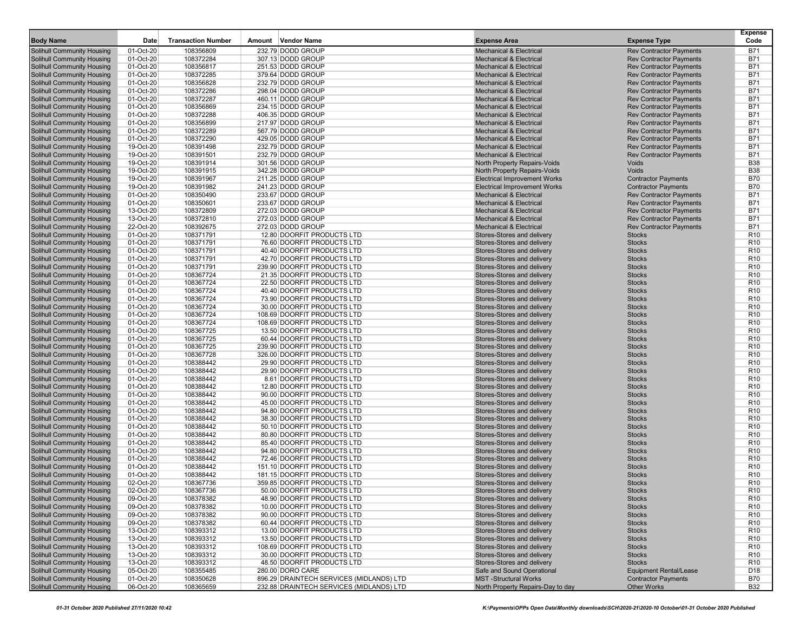| <b>Body Name</b>                                                | Date                   | <b>Transaction Number</b> | Amount Vendor Name                                        | <b>Expense Area</b>                                      | <b>Expense Type</b>            | Expense<br>Code                    |
|-----------------------------------------------------------------|------------------------|---------------------------|-----------------------------------------------------------|----------------------------------------------------------|--------------------------------|------------------------------------|
|                                                                 |                        |                           |                                                           |                                                          |                                |                                    |
| Solihull Community Housing                                      | 01-Oct-20              | 108356809                 | 232.79 DODD GROUP                                         | <b>Mechanical &amp; Electrical</b>                       | <b>Rev Contractor Payments</b> | <b>B71</b>                         |
| <b>Solihull Community Housing</b>                               | 01-Oct-20              | 108372284                 | 307.13 DODD GROUP                                         | <b>Mechanical &amp; Electrical</b>                       | <b>Rev Contractor Payments</b> | <b>B71</b>                         |
| Solihull Community Housing                                      | 01-Oct-20              | 108356817                 | 251.53 DODD GROUP                                         | <b>Mechanical &amp; Electrical</b>                       | <b>Rev Contractor Payments</b> | <b>B71</b>                         |
| <b>Solihull Community Housing</b>                               | 01-Oct-20              | 108372285                 | 379.64 DODD GROUP                                         | <b>Mechanical &amp; Electrical</b>                       | <b>Rev Contractor Payments</b> | <b>B71</b>                         |
| Solihull Community Housing                                      | 01-Oct-20              | 108356828                 | 232.79 DODD GROUP                                         | <b>Mechanical &amp; Electrical</b>                       | <b>Rev Contractor Payments</b> | <b>B71</b>                         |
| Solihull Community Housing                                      | 01-Oct-20              | 108372286                 | 298.04 DODD GROUP                                         | <b>Mechanical &amp; Electrical</b>                       | <b>Rev Contractor Payments</b> | <b>B71</b>                         |
| <b>Solihull Community Housing</b>                               | 01-Oct-20              | 108372287                 | 460.11 DODD GROUP                                         | <b>Mechanical &amp; Electrical</b>                       | <b>Rev Contractor Payments</b> | <b>B71</b>                         |
| Solihull Community Housing                                      | 01-Oct-20              | 108356869                 | 234.15 DODD GROUP                                         | <b>Mechanical &amp; Electrical</b>                       | <b>Rev Contractor Payments</b> | <b>B71</b>                         |
| Solihull Community Housing                                      | 01-Oct-20              | 108372288                 | 406.35 DODD GROUP                                         | <b>Mechanical &amp; Electrical</b>                       | <b>Rev Contractor Payments</b> | <b>B71</b>                         |
| Solihull Community Housing                                      | 01-Oct-20              | 108356899                 | 217.97 DODD GROUP                                         | <b>Mechanical &amp; Electrical</b>                       | <b>Rev Contractor Payments</b> | <b>B71</b>                         |
| Solihull Community Housing                                      | 01-Oct-20              | 108372289                 | 567.79 DODD GROUP                                         | <b>Mechanical &amp; Electrical</b>                       | <b>Rev Contractor Payments</b> | <b>B71</b>                         |
| <b>Solihull Community Housing</b>                               | 01-Oct-20              | 108372290                 | 429.05 DODD GROUP                                         | <b>Mechanical &amp; Electrical</b>                       | <b>Rev Contractor Payments</b> | <b>B71</b>                         |
| <b>Solihull Community Housing</b>                               | 19-Oct-20              | 108391498                 | 232.79 DODD GROUP                                         | <b>Mechanical &amp; Electrical</b>                       | <b>Rev Contractor Payments</b> | <b>B71</b>                         |
| Solihull Community Housing                                      | 19-Oct-20              | 108391501                 | 232.79 DODD GROUP                                         | <b>Mechanical &amp; Electrical</b>                       | <b>Rev Contractor Payments</b> | <b>B71</b>                         |
| <b>Solihull Community Housing</b>                               | 19-Oct-20              | 108391914                 | 301.56 DODD GROUP                                         | North Property Repairs-Voids                             | Voids                          | <b>B38</b>                         |
| Solihull Community Housing                                      | 19-Oct-20              | 108391915                 | 342.28 DODD GROUP                                         | North Property Repairs-Voids                             | Voids                          | <b>B38</b>                         |
| <b>Solihull Community Housing</b>                               | 19-Oct-20              | 108391967                 | 211.25 DODD GROUP                                         | <b>Electrical Improvement Works</b>                      | <b>Contractor Payments</b>     | <b>B70</b>                         |
| Solihull Community Housing                                      | 19-Oct-20              | 108391982                 | 241.23 DODD GROUP                                         | <b>Electrical Improvement Works</b>                      | <b>Contractor Payments</b>     | <b>B70</b>                         |
| Solihull Community Housing                                      | 01-Oct-20              | 108350490                 | 233.67 DODD GROUP                                         | <b>Mechanical &amp; Electrical</b>                       | <b>Rev Contractor Payments</b> | <b>B71</b>                         |
| <b>Solihull Community Housing</b>                               | 01-Oct-20              | 108350601                 | 233.67 DODD GROUP                                         | <b>Mechanical &amp; Electrical</b>                       | <b>Rev Contractor Payments</b> | <b>B71</b>                         |
| Solihull Community Housing                                      | 13-Oct-20              | 108372809                 | 272.03 DODD GROUP                                         | <b>Mechanical &amp; Electrical</b>                       | <b>Rev Contractor Payments</b> | <b>B71</b>                         |
| <b>Solihull Community Housing</b>                               | 13-Oct-20              | 108372810                 | 272.03 DODD GROUP                                         | <b>Mechanical &amp; Electrical</b>                       | <b>Rev Contractor Payments</b> | <b>B71</b>                         |
| <b>Solihull Community Housing</b>                               | 22-Oct-20              | 108392675                 | 272.03 DODD GROUP                                         | <b>Mechanical &amp; Electrical</b>                       | <b>Rev Contractor Payments</b> | <b>B71</b>                         |
| <b>Solihull Community Housing</b>                               | 01-Oct-20              | 108371791                 | 12.80 DOORFIT PRODUCTS LTD                                | Stores-Stores and delivery                               | <b>Stocks</b>                  | R <sub>10</sub>                    |
| <b>Solihull Community Housing</b>                               | 01-Oct-20              | 108371791                 | 76.60 DOORFIT PRODUCTS LTD                                | Stores-Stores and delivery                               | <b>Stocks</b>                  | R <sub>10</sub>                    |
| Solihull Community Housing                                      | 01-Oct-20              | 108371791                 | 40.40 DOORFIT PRODUCTS LTD                                | Stores-Stores and delivery                               | <b>Stocks</b>                  | R <sub>10</sub>                    |
| Solihull Community Housing                                      | 01-Oct-20              | 108371791                 | 42.70 DOORFIT PRODUCTS LTD                                | Stores-Stores and delivery                               | <b>Stocks</b>                  | R <sub>10</sub>                    |
| <b>Solihull Community Housing</b>                               | 01-Oct-20              | 108371791                 | 239.90 DOORFIT PRODUCTS LTD                               | Stores-Stores and delivery                               | <b>Stocks</b>                  | R <sub>10</sub>                    |
| <b>Solihull Community Housing</b>                               | 01-Oct-20              | 108367724                 | 21.35 DOORFIT PRODUCTS LTD<br>22.50 DOORFIT PRODUCTS LTD  | Stores-Stores and delivery                               | <b>Stocks</b>                  | R <sub>10</sub>                    |
| <b>Solihull Community Housing</b>                               | 01-Oct-20              | 108367724                 |                                                           | Stores-Stores and delivery                               | <b>Stocks</b>                  | R <sub>10</sub>                    |
| Solihull Community Housing                                      | 01-Oct-20              | 108367724                 | 40.40 DOORFIT PRODUCTS LTD                                | Stores-Stores and delivery                               | <b>Stocks</b>                  | R <sub>10</sub>                    |
| <b>Solihull Community Housing</b>                               | 01-Oct-20              | 108367724                 | 73.90 DOORFIT PRODUCTS LTD                                | Stores-Stores and delivery<br>Stores-Stores and delivery | <b>Stocks</b><br><b>Stocks</b> | R <sub>10</sub>                    |
| <b>Solihull Community Housing</b>                               | 01-Oct-20              | 108367724                 | 30.00 DOORFIT PRODUCTS LTD<br>108.69 DOORFIT PRODUCTS LTD | Stores-Stores and delivery                               | <b>Stocks</b>                  | R <sub>10</sub><br>R <sub>10</sub> |
| Solihull Community Housing<br>Solihull Community Housing        | 01-Oct-20              | 108367724<br>108367724    |                                                           |                                                          |                                | R <sub>10</sub>                    |
|                                                                 | 01-Oct-20              |                           | 108.69 DOORFIT PRODUCTS LTD                               | Stores-Stores and delivery                               | <b>Stocks</b>                  |                                    |
| Solihull Community Housing<br><b>Solihull Community Housing</b> | 01-Oct-20<br>01-Oct-20 | 108367725<br>108367725    | 13.50 DOORFIT PRODUCTS LTD<br>60.44 DOORFIT PRODUCTS LTD  | Stores-Stores and delivery<br>Stores-Stores and delivery | <b>Stocks</b><br><b>Stocks</b> | R <sub>10</sub><br>R <sub>10</sub> |
| <b>Solihull Community Housing</b>                               | 01-Oct-20              | 108367725                 | 239.90 DOORFIT PRODUCTS LTD                               | Stores-Stores and delivery                               | <b>Stocks</b>                  | R <sub>10</sub>                    |
| Solihull Community Housing                                      | 01-Oct-20              | 108367728                 | 326.00 DOORFIT PRODUCTS LTD                               | Stores-Stores and delivery                               | <b>Stocks</b>                  | R <sub>10</sub>                    |
| <b>Solihull Community Housing</b>                               | 01-Oct-20              | 108388442                 | 29.90 DOORFIT PRODUCTS LTD                                | Stores-Stores and delivery                               | <b>Stocks</b>                  | R <sub>10</sub>                    |
| Solihull Community Housing                                      | 01-Oct-20              | 108388442                 | 29.90 DOORFIT PRODUCTS LTD                                | Stores-Stores and delivery                               | <b>Stocks</b>                  | R <sub>10</sub>                    |
| <b>Solihull Community Housing</b>                               | 01-Oct-20              | 108388442                 | 8.61 DOORFIT PRODUCTS LTD                                 | Stores-Stores and delivery                               | <b>Stocks</b>                  | R <sub>10</sub>                    |
| <b>Solihull Community Housing</b>                               | 01-Oct-20              | 108388442                 | 12.80 DOORFIT PRODUCTS LTD                                | Stores-Stores and delivery                               | <b>Stocks</b>                  | R <sub>10</sub>                    |
| <b>Solihull Community Housing</b>                               | 01-Oct-20              | 108388442                 | 90.00 DOORFIT PRODUCTS LTD                                | Stores-Stores and delivery                               | <b>Stocks</b>                  | R <sub>10</sub>                    |
| <b>Solihull Community Housing</b>                               | 01-Oct-20              | 108388442                 | 45.00 DOORFIT PRODUCTS LTD                                | Stores-Stores and delivery                               | <b>Stocks</b>                  | R <sub>10</sub>                    |
| Solihull Community Housing                                      | 01-Oct-20              | 108388442                 | 94.80 DOORFIT PRODUCTS LTD                                | Stores-Stores and delivery                               | <b>Stocks</b>                  | R <sub>10</sub>                    |
| Solihull Community Housing                                      | 01-Oct-20              | 108388442                 | 38.30 DOORFIT PRODUCTS LTD                                | Stores-Stores and delivery                               | <b>Stocks</b>                  | R <sub>10</sub>                    |
| Solihull Community Housing                                      | 01-Oct-20              | 108388442                 | 50.10 DOORFIT PRODUCTS LTD                                | Stores-Stores and delivery                               | <b>Stocks</b>                  | R <sub>10</sub>                    |
| Solihull Community Housing                                      | 01-Oct-20              | 108388442                 | 80.80 DOORFIT PRODUCTS LTD                                | Stores-Stores and delivery                               | <b>Stocks</b>                  | R <sub>10</sub>                    |
| Solihull Community Housing                                      | 01-Oct-20              | 108388442                 | 85.40 DOORFIT PRODUCTS LTD                                | Stores-Stores and delivery                               | <b>Stocks</b>                  | R <sub>10</sub>                    |
| Solihull Community Housing                                      | 01-Oct-20              | 108388442                 | 94.80 DOORFIT PRODUCTS LTD                                | Stores-Stores and delivery                               | <b>Stocks</b>                  | R <sub>10</sub>                    |
| <b>Solihull Community Housing</b>                               | 01-Oct-20              | 108388442                 | 72.46 DOORFIT PRODUCTS LTD                                | Stores-Stores and delivery                               | <b>Stocks</b>                  | R <sub>10</sub>                    |
| Solihull Community Housing                                      | 01-Oct-20              | 108388442                 | 151.10 DOORFIT PRODUCTS LTD                               | Stores-Stores and delivery                               | <b>Stocks</b>                  | R <sub>10</sub>                    |
| Solihull Community Housing                                      | 01-Oct-20              | 108388442                 | 181.15 DOORFIT PRODUCTS LTD                               | Stores-Stores and delivery                               | <b>Stocks</b>                  | R <sub>10</sub>                    |
| <b>Solihull Community Housing</b>                               | 02-Oct-20              | 108367736                 | 359.85 DOORFIT PRODUCTS LTD                               | Stores-Stores and delivery                               | <b>Stocks</b>                  | R <sub>10</sub>                    |
| Solihull Community Housing                                      | 02-Oct-20              | 108367736                 | 50.00 DOORFIT PRODUCTS LTD                                | Stores-Stores and delivery                               | <b>Stocks</b>                  | R <sub>10</sub>                    |
| Solihull Community Housing                                      | 09-Oct-20              | 108378382                 | 48.90 DOORFIT PRODUCTS LTD                                | Stores-Stores and delivery                               | <b>Stocks</b>                  | R <sub>10</sub>                    |
| Solihull Community Housing                                      | 09-Oct-20              | 108378382                 | 10.00 DOORFIT PRODUCTS LTD                                | Stores-Stores and delivery                               | <b>Stocks</b>                  | R <sub>10</sub>                    |
| Solihull Community Housing                                      | 09-Oct-20              | 108378382                 | 90.00 DOORFIT PRODUCTS LTD                                | Stores-Stores and delivery                               | <b>Stocks</b>                  | R <sub>10</sub>                    |
| Solihull Community Housing                                      | 09-Oct-20              | 108378382                 | 60.44 DOORFIT PRODUCTS LTD                                | Stores-Stores and delivery                               | <b>Stocks</b>                  | R <sub>10</sub>                    |
| Solihull Community Housing                                      | 13-Oct-20              | 108393312                 | 13.00 DOORFIT PRODUCTS LTD                                | Stores-Stores and delivery                               | <b>Stocks</b>                  | R <sub>10</sub>                    |
| Solihull Community Housing                                      | 13-Oct-20              | 108393312                 | 13.50 DOORFIT PRODUCTS LTD                                | Stores-Stores and delivery                               | <b>Stocks</b>                  | R <sub>10</sub>                    |
| Solihull Community Housing                                      | 13-Oct-20              | 108393312                 | 108.69 DOORFIT PRODUCTS LTD                               | Stores-Stores and delivery                               | <b>Stocks</b>                  | R <sub>10</sub>                    |
| Solihull Community Housing                                      | 13-Oct-20              | 108393312                 | 30.00 DOORFIT PRODUCTS LTD                                | Stores-Stores and delivery                               | <b>Stocks</b>                  | R <sub>10</sub>                    |
| Solihull Community Housing                                      | 13-Oct-20              | 108393312                 | 48.50 DOORFIT PRODUCTS LTD                                | Stores-Stores and delivery                               | <b>Stocks</b>                  | R <sub>10</sub>                    |
| Solihull Community Housing                                      | 05-Oct-20              | 108355485                 | 280.00 DORO CARE                                          | Safe and Sound Operational                               | <b>Equipment Rental/Lease</b>  | D <sub>18</sub>                    |
| Solihull Community Housing                                      | 01-Oct-20              | 108350628                 | 896.29 DRAINTECH SERVICES (MIDLANDS) LTD                  | <b>MST-Structural Works</b>                              | <b>Contractor Payments</b>     | <b>B70</b>                         |
| <b>Solihull Community Housing</b>                               | 06-Oct-20              | 108365659                 | 232.88 DRAINTECH SERVICES (MIDLANDS) LTD                  | North Property Repairs-Day to day                        | <b>Other Works</b>             | <b>B32</b>                         |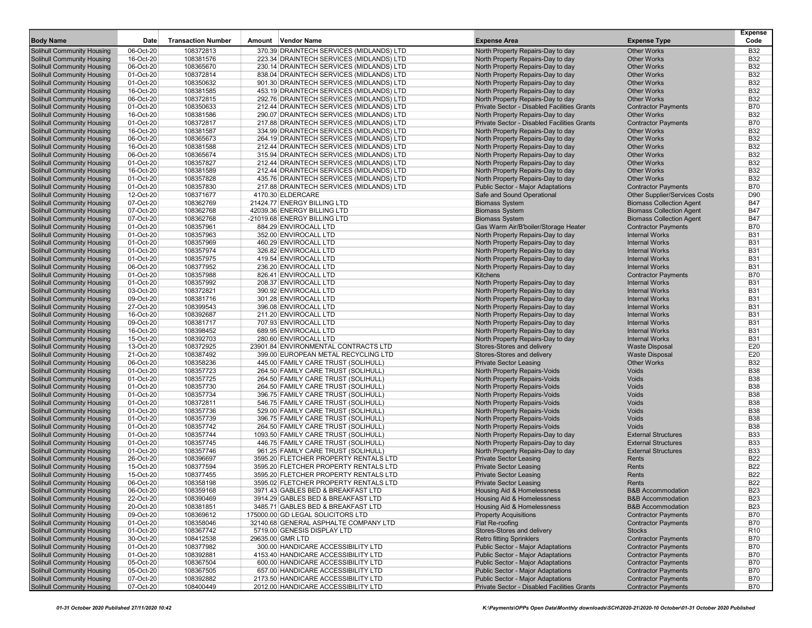| <b>Body Name</b>                                                       | Date                   | <b>Transaction Number</b> | Amount Vendor Name                                                         | <b>Expense Area</b>                                               | <b>Expense Type</b>                                 | <b>Expense</b><br>Code   |
|------------------------------------------------------------------------|------------------------|---------------------------|----------------------------------------------------------------------------|-------------------------------------------------------------------|-----------------------------------------------------|--------------------------|
| <b>Solihull Community Housing</b>                                      | 06-Oct-20              | 108372813                 | 370.39 DRAINTECH SERVICES (MIDLANDS) LTD                                   | North Property Repairs-Day to day                                 | <b>Other Works</b>                                  | <b>B32</b>               |
| <b>Solihull Community Housing</b>                                      | 16-Oct-20              | 108381576                 | 223.34 DRAINTECH SERVICES (MIDLANDS) LTD                                   | North Property Repairs-Day to day                                 | <b>Other Works</b>                                  | <b>B32</b>               |
| <b>Solihull Community Housing</b>                                      | 06-Oct-20              | 108365670                 | 230.14 DRAINTECH SERVICES (MIDLANDS) LTD                                   | North Property Repairs-Day to day                                 | <b>Other Works</b>                                  | <b>B32</b>               |
| Solihull Community Housing                                             | 01-Oct-20              | 108372814                 | 838.04 DRAINTECH SERVICES (MIDLANDS) LTD                                   | North Property Repairs-Day to day                                 | <b>Other Works</b>                                  | <b>B32</b>               |
| Solihull Community Housing                                             | 01-Oct-20              | 108350632                 | 901.30 DRAINTECH SERVICES (MIDLANDS) LTD                                   | North Property Repairs-Day to day                                 | <b>Other Works</b>                                  | <b>B32</b>               |
| Solihull Community Housing                                             | 16-Oct-20              | 108381585                 | 453.19 DRAINTECH SERVICES (MIDLANDS) LTD                                   | North Property Repairs-Day to day                                 | <b>Other Works</b>                                  | <b>B32</b>               |
| <b>Solihull Community Housing</b>                                      | 06-Oct-20              | 108372815                 | 292.76 DRAINTECH SERVICES (MIDLANDS) LTD                                   | North Property Repairs-Day to day                                 | <b>Other Works</b>                                  | <b>B32</b>               |
| Solihull Community Housing                                             | 01-Oct-20              | 108350633                 | 212.44 DRAINTECH SERVICES (MIDLANDS) LTD                                   | Private Sector - Disabled Facilities Grants                       | <b>Contractor Payments</b>                          | <b>B70</b>               |
| <b>Solihull Community Housing</b>                                      | 16-Oct-20              | 108381586                 | 290.07 DRAINTECH SERVICES (MIDLANDS) LTD                                   | North Property Repairs-Day to day                                 | <b>Other Works</b>                                  | <b>B32</b>               |
| <b>Solihull Community Housing</b>                                      | 01-Oct-20              | 108372817                 | 217.88 DRAINTECH SERVICES (MIDLANDS) LTD                                   | Private Sector - Disabled Facilities Grants                       | <b>Contractor Payments</b>                          | <b>B70</b>               |
| <b>Solihull Community Housing</b>                                      | 16-Oct-20              | 108381587                 | 334.99 DRAINTECH SERVICES (MIDLANDS) LTD                                   | North Property Repairs-Day to day                                 | <b>Other Works</b>                                  | <b>B32</b>               |
| <b>Solihull Community Housing</b>                                      | 06-Oct-20              | 108365673                 | 264.19 DRAINTECH SERVICES (MIDLANDS) LTD                                   | North Property Repairs-Day to day                                 | <b>Other Works</b>                                  | <b>B32</b>               |
| <b>Solihull Community Housing</b>                                      | 16-Oct-20              | 108381588                 | 212.44 DRAINTECH SERVICES (MIDLANDS) LTD                                   | North Property Repairs-Day to day                                 | <b>Other Works</b>                                  | <b>B32</b>               |
| <b>Solihull Community Housing</b>                                      | 06-Oct-20              | 108365674                 | 315.94 DRAINTECH SERVICES (MIDLANDS) LTD                                   | North Property Repairs-Day to day                                 | <b>Other Works</b>                                  | <b>B32</b>               |
| <b>Solihull Community Housing</b>                                      | 01-Oct-20              | 108357827                 | 212.44 DRAINTECH SERVICES (MIDLANDS) LTD                                   | North Property Repairs-Day to day                                 | <b>Other Works</b>                                  | <b>B32</b>               |
| <b>Solihull Community Housing</b>                                      | 16-Oct-20              | 108381589                 | 212.44 DRAINTECH SERVICES (MIDLANDS) LTD                                   | North Property Repairs-Day to day                                 | <b>Other Works</b>                                  | <b>B32</b>               |
| <b>Solihull Community Housing</b>                                      | 01-Oct-20              | 108357828                 | 435.76 DRAINTECH SERVICES (MIDLANDS) LTD                                   | North Property Repairs-Day to day                                 | <b>Other Works</b>                                  | <b>B32</b>               |
| <b>Solihull Community Housing</b>                                      | 01-Oct-20              | 108357830                 | 217.88 DRAINTECH SERVICES (MIDLANDS) LTD                                   | Public Sector - Major Adaptations                                 | <b>Contractor Payments</b>                          | <b>B70</b>               |
| <b>Solihull Community Housing</b>                                      | 12-Oct-20              | 108371677                 | 4170.30 ELDERCARE                                                          | Safe and Sound Operational                                        | Other Supplier/Services Costs                       | D90                      |
| <b>Solihull Community Housing</b>                                      | 07-Oct-20              | 108362769                 | 21424.77 ENERGY BILLING LTD                                                | <b>Biomass System</b>                                             | <b>Biomass Collection Agent</b>                     | <b>B47</b>               |
| <b>Solihull Community Housing</b>                                      | 07-Oct-20              | 108362768                 | 42039.36 ENERGY BILLING LTD                                                | <b>Biomass System</b>                                             | <b>Biomass Collection Agent</b>                     | <b>B47</b>               |
| <b>Solihull Community Housing</b>                                      | 07-Oct-20              | 108362768                 | -21019.68 ENERGY BILLING LTD                                               | <b>Biomass System</b>                                             | <b>Biomass Collection Agent</b>                     | <b>B47</b>               |
| <b>Solihull Community Housing</b>                                      | 01-Oct-20              | 108357961                 | 884.29 ENVIROCALL LTD                                                      | Gas Warm Air/B'boiler/Storage Heater                              | <b>Contractor Payments</b>                          | <b>B70</b>               |
| <b>Solihull Community Housing</b>                                      | 01-Oct-20              | 108357963                 | 352.00 ENVIROCALL LTD                                                      | North Property Repairs-Day to day                                 | <b>Internal Works</b>                               | <b>B31</b>               |
| <b>Solihull Community Housing</b>                                      | 01-Oct-20              | 108357969                 | 460.29 ENVIROCALL LTD                                                      | North Property Repairs-Day to day                                 | <b>Internal Works</b>                               | <b>B31</b>               |
| Solihull Community Housing                                             | 01-Oct-20              | 108357974                 | 326.82 ENVIROCALL LTD                                                      | North Property Repairs-Day to day                                 | <b>Internal Works</b>                               | <b>B31</b>               |
| <b>Solihull Community Housing</b>                                      | 01-Oct-20              | 108357975                 | 419.54 ENVIROCALL LTD                                                      | North Property Repairs-Day to day                                 | <b>Internal Works</b>                               | <b>B31</b>               |
| Solihull Community Housing                                             | 06-Oct-20              | 108377952                 | 236.20 ENVIROCALL LTD                                                      | North Property Repairs-Day to day                                 | <b>Internal Works</b>                               | <b>B31</b><br><b>B70</b> |
| <b>Solihull Community Housing</b><br><b>Solihull Community Housing</b> | 01-Oct-20<br>01-Oct-20 | 108357988<br>108357992    | 826.41 ENVIROCALL LTD<br>208.37 ENVIROCALL LTD                             | <b>Kitchens</b><br>North Property Repairs-Day to day              | <b>Contractor Payments</b><br><b>Internal Works</b> | <b>B31</b>               |
| Solihull Community Housing                                             | 03-Oct-20              | 108372821                 | 390.92 ENVIROCALL LTD                                                      | North Property Repairs-Day to day                                 | <b>Internal Works</b>                               | <b>B31</b>               |
| <b>Solihull Community Housing</b>                                      | 09-Oct-20              | 108381716                 | 301.28 ENVIROCALL LTD                                                      | North Property Repairs-Day to day                                 | <b>Internal Works</b>                               | <b>B31</b>               |
| <b>Solihull Community Housing</b>                                      | 27-Oct-20              | 108399543                 | 396.08 ENVIROCALL LTD                                                      | North Property Repairs-Day to day                                 | <b>Internal Works</b>                               | <b>B31</b>               |
| <b>Solihull Community Housing</b>                                      | 16-Oct-20              | 108392687                 | 211.20 ENVIROCALL LTD                                                      | North Property Repairs-Day to day                                 | <b>Internal Works</b>                               | <b>B31</b>               |
| <b>Solihull Community Housing</b>                                      | 09-Oct-20              | 108381717                 | 707.93 ENVIROCALL LTD                                                      | North Property Repairs-Day to day                                 | <b>Internal Works</b>                               | <b>B31</b>               |
| <b>Solihull Community Housing</b>                                      | 16-Oct-20              | 108398452                 | 689.95 ENVIROCALL LTD                                                      | North Property Repairs-Day to day                                 | <b>Internal Works</b>                               | <b>B31</b>               |
| <b>Solihull Community Housing</b>                                      | 15-Oct-20              | 108392703                 | 280.60 ENVIROCALL LTD                                                      | North Property Repairs-Day to day                                 | <b>Internal Works</b>                               | <b>B31</b>               |
| <b>Solihull Community Housing</b>                                      | 13-Oct-20              | 108372925                 | 23901.84 ENVIRONMENTAL CONTRACTS LTD                                       | Stores-Stores and delivery                                        | <b>Waste Disposal</b>                               | E20                      |
| <b>Solihull Community Housing</b>                                      | 21-Oct-20              | 108387492                 | 399.00 EUROPEAN METAL RECYCLING LTD                                        | Stores-Stores and delivery                                        | <b>Waste Disposal</b>                               | E20                      |
| <b>Solihull Community Housing</b>                                      | 06-Oct-20              | 108358236                 | 445.00 FAMILY CARE TRUST (SOLIHULL)                                        | <b>Private Sector Leasing</b>                                     | <b>Other Works</b>                                  | <b>B32</b>               |
| <b>Solihull Community Housing</b>                                      | 01-Oct-20              | 108357723                 | 264.50 FAMILY CARE TRUST (SOLIHULL)                                        | North Property Repairs-Voids                                      | Voids                                               | <b>B38</b>               |
| <b>Solihull Community Housing</b>                                      | 01-Oct-20              | 108357725                 | 264.50 FAMILY CARE TRUST (SOLIHULL)                                        | North Property Repairs-Voids                                      | Voids                                               | <b>B38</b>               |
| <b>Solihull Community Housing</b>                                      | 01-Oct-20              | 108357730                 | 264.50 FAMILY CARE TRUST (SOLIHULL)                                        | North Property Repairs-Voids                                      | Voids                                               | <b>B38</b>               |
| <b>Solihull Community Housing</b>                                      | 01-Oct-20              | 108357734                 | 396.75 FAMILY CARE TRUST (SOLIHULL)                                        | North Property Repairs-Voids                                      | Voids                                               | <b>B38</b>               |
| <b>Solihull Community Housing</b>                                      | 01-Oct-20              | 108372811                 | 546.75 FAMILY CARE TRUST (SOLIHULL)                                        | North Property Repairs-Voids                                      | Voids                                               | <b>B38</b>               |
| <b>Solihull Community Housing</b>                                      | 01-Oct-20              | 108357736                 | 529.00 FAMILY CARE TRUST (SOLIHULL)                                        | North Property Repairs-Voids                                      | Voids<br>Voids                                      | <b>B38</b>               |
| <b>Solihull Community Housing</b><br><b>Solihull Community Housing</b> | 01-Oct-20              | 108357739                 | 396.75 FAMILY CARE TRUST (SOLIHULL)<br>264.50 FAMILY CARE TRUST (SOLIHULL) | North Property Repairs-Voids                                      | Voids                                               | <b>B38</b><br><b>B38</b> |
|                                                                        | 01-Oct-20<br>01-Oct-20 | 108357742<br>108357744    | 1093.50 FAMILY CARE TRUST (SOLIHULL)                                       | North Property Repairs-Voids<br>North Property Repairs-Day to day | <b>External Structures</b>                          | <b>B33</b>               |
| <b>Solihull Community Housing</b><br><b>Solihull Community Housing</b> | 01-Oct-20              | 108357745                 | 446.75 FAMILY CARE TRUST (SOLIHULL)                                        | North Property Repairs-Day to day                                 | <b>External Structures</b>                          | <b>B33</b>               |
| <b>Solihull Community Housing</b>                                      | 01-Oct-20              | 108357746                 | 961.25 FAMILY CARE TRUST (SOLIHULL)                                        | North Property Repairs-Day to day                                 | <b>External Structures</b>                          | <b>B33</b>               |
| <b>Solihull Community Housing</b>                                      | 26-Oct-20              | 108396697                 | 3595.20 FLETCHER PROPERTY RENTALS LTD                                      | <b>Private Sector Leasing</b>                                     | Rents                                               | <b>B22</b>               |
| <b>Solihull Community Housing</b>                                      | 15-Oct-20              | 108377594                 | 3595.20 FLETCHER PROPERTY RENTALS LTD                                      | <b>Private Sector Leasing</b>                                     | Rents                                               | <b>B22</b>               |
| <b>Solihull Community Housing</b>                                      | 15-Oct-20              | 108377455                 | 3595.20 FLETCHER PROPERTY RENTALS LTD                                      | <b>Private Sector Leasing</b>                                     | Rents                                               | <b>B22</b>               |
| <b>Solihull Community Housing</b>                                      | 06-Oct-20              | 108358198                 | 3595.02 FLETCHER PROPERTY RENTALS LTD                                      | <b>Private Sector Leasing</b>                                     | Rents                                               | <b>B22</b>               |
| Solihull Community Housing                                             | 06-Oct-20              | 108359168                 | 3971.43 GABLES BED & BREAKFAST LTD                                         | Housing Aid & Homelessness                                        | <b>B&amp;B</b> Accommodation                        | B <sub>23</sub>          |
| <b>Solihull Community Housing</b>                                      | 22-Oct-20              | 108390469                 | 3914.29 GABLES BED & BREAKFAST LTD                                         | Housing Aid & Homelessness                                        | <b>B&amp;B Accommodation</b>                        | <b>B23</b>               |
| Solihull Community Housing                                             | 20-Oct-20              | 108381851                 | 3485.71 GABLES BED & BREAKFAST LTD                                         | Housing Aid & Homelessness                                        | <b>B&amp;B Accommodation</b>                        | <b>B23</b>               |
| <b>Solihull Community Housing</b>                                      | 09-Oct-20              | 108369612                 | 175000.00 GD LEGAL SOLICITORS LTD                                          | <b>Property Acquisitions</b>                                      | <b>Contractor Payments</b>                          | <b>B70</b>               |
| <b>Solihull Community Housing</b>                                      | 01-Oct-20              | 108358046                 | 32140.68 GENERAL ASPHALTE COMPANY LTD                                      | Flat Re-roofing                                                   | <b>Contractor Payments</b>                          | <b>B70</b>               |
| Solihull Community Housing                                             | 01-Oct-20              | 108367742                 | 5719.00 GENESIS DISPLAY LTD                                                | Stores-Stores and delivery                                        | <b>Stocks</b>                                       | R <sub>10</sub>          |
| <b>Solihull Community Housing</b>                                      | 30-Oct-20              | 108412538                 | 29635.00 GMR LTD                                                           | <b>Retro fitting Sprinklers</b>                                   | <b>Contractor Payments</b>                          | <b>B70</b>               |
| <b>Solihull Community Housing</b>                                      | 01-Oct-20              | 108377982                 | 300.00 HANDICARE ACCESSIBILITY LTD                                         | Public Sector - Major Adaptations                                 | <b>Contractor Payments</b>                          | <b>B70</b>               |
| <b>Solihull Community Housing</b>                                      | 01-Oct-20              | 108392881                 | 4153.40 HANDICARE ACCESSIBILITY LTD                                        | <b>Public Sector - Major Adaptations</b>                          | <b>Contractor Payments</b>                          | <b>B70</b>               |
| <b>Solihull Community Housing</b>                                      | 05-Oct-20              | 108367504                 | 600.00 HANDICARE ACCESSIBILITY LTD                                         | Public Sector - Major Adaptations                                 | <b>Contractor Payments</b>                          | <b>B70</b>               |
| <b>Solihull Community Housing</b>                                      | 05-Oct-20              | 108367505                 | 657.00 HANDICARE ACCESSIBILITY LTD                                         | <b>Public Sector - Major Adaptations</b>                          | <b>Contractor Payments</b>                          | <b>B70</b>               |
| <b>Solihull Community Housing</b>                                      | 07-Oct-20              | 108392882                 | 2173.50 HANDICARE ACCESSIBILITY LTD                                        | <b>Public Sector - Major Adaptations</b>                          | <b>Contractor Payments</b>                          | <b>B70</b>               |
| Solihull Community Housing                                             | 07-Oct-20              | 108400449                 | 2012.00 HANDICARE ACCESSIBILITY LTD                                        | Private Sector - Disabled Facilities Grants                       | <b>Contractor Payments</b>                          | <b>B70</b>               |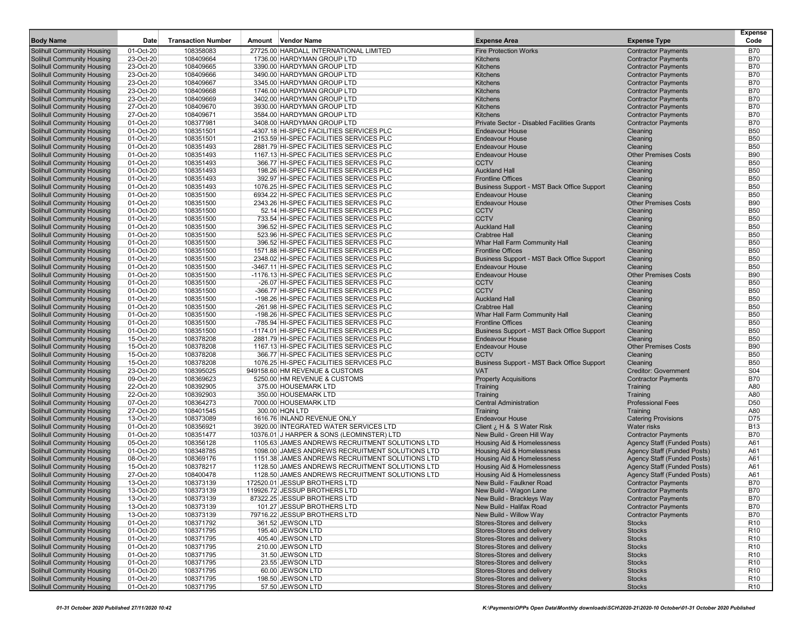| <b>Body Name</b>                                                | Date                   | <b>Transaction Number</b> | Amount Vendor Name                                                                  | <b>Expense Area</b>                                                  | <b>Expense Type</b>                | <b>Expense</b><br>Code   |
|-----------------------------------------------------------------|------------------------|---------------------------|-------------------------------------------------------------------------------------|----------------------------------------------------------------------|------------------------------------|--------------------------|
| Solihull Community Housing                                      | 01-Oct-20              | 108358083                 | 27725.00 HARDALL INTERNATIONAL LIMITED                                              | <b>Fire Protection Works</b>                                         | <b>Contractor Payments</b>         | <b>B70</b>               |
| Solihull Community Housing                                      | 23-Oct-20              | 108409664                 | 1736.00 HARDYMAN GROUP LTD                                                          | <b>Kitchens</b>                                                      | <b>Contractor Payments</b>         | <b>B70</b>               |
| Solihull Community Housing                                      | 23-Oct-20              | 108409665                 | 3390.00 HARDYMAN GROUP LTD                                                          | <b>Kitchens</b>                                                      | <b>Contractor Payments</b>         | <b>B70</b>               |
| Solihull Community Housing                                      | 23-Oct-20              | 108409666                 | 3490.00 HARDYMAN GROUP LTD                                                          | <b>Kitchens</b>                                                      | <b>Contractor Payments</b>         | <b>B70</b>               |
| Solihull Community Housing                                      | 23-Oct-20              | 108409667                 | 3345.00 HARDYMAN GROUP LTD                                                          | <b>Kitchens</b>                                                      | <b>Contractor Payments</b>         | <b>B70</b>               |
| Solihull Community Housing                                      | 23-Oct-20              | 108409668                 | 1746.00 HARDYMAN GROUP LTD                                                          | <b>Kitchens</b>                                                      | <b>Contractor Payments</b>         | <b>B70</b>               |
| Solihull Community Housing                                      | 23-Oct-20              | 108409669                 | 3402.00 HARDYMAN GROUP LTD                                                          | <b>Kitchens</b>                                                      | <b>Contractor Payments</b>         | <b>B70</b>               |
| Solihull Community Housing                                      | 27-Oct-20              | 108409670                 | 3930.00 HARDYMAN GROUP LTD                                                          | <b>Kitchens</b>                                                      | <b>Contractor Payments</b>         | <b>B70</b>               |
| Solihull Community Housing                                      | 27-Oct-20              | 108409671                 | 3584.00 HARDYMAN GROUP LTD                                                          | <b>Kitchens</b>                                                      | <b>Contractor Payments</b>         | <b>B70</b>               |
| <b>Solihull Community Housing</b>                               | 01-Oct-20              | 108377981                 | 3408.00 HARDYMAN GROUP LTD                                                          | Private Sector - Disabled Facilities Grants                          | <b>Contractor Payments</b>         | <b>B70</b>               |
| Solihull Community Housing                                      | 01-Oct-20              | 108351501                 | -4307.18 HI-SPEC FACILITIES SERVICES PLC                                            | <b>Endeavour House</b>                                               | Cleaning                           | <b>B50</b>               |
| Solihull Community Housing                                      | 01-Oct-20              | 108351501                 | 2153.59 HI-SPEC FACILITIES SERVICES PLC                                             | <b>Endeavour House</b>                                               | Cleaning                           | <b>B50</b>               |
| Solihull Community Housing                                      | 01-Oct-20              | 108351493                 | 2881.79 HI-SPEC FACILITIES SERVICES PLC                                             | Endeavour House                                                      | Cleaning                           | <b>B50</b>               |
| Solihull Community Housing                                      | 01-Oct-20              | 108351493                 | 1167.13 HI-SPEC FACILITIES SERVICES PLC                                             | <b>Endeavour House</b>                                               | <b>Other Premises Costs</b>        | <b>B90</b>               |
| Solihull Community Housing                                      | 01-Oct-20              | 108351493                 | 366.77 HI-SPEC FACILITIES SERVICES PLC                                              | <b>CCTV</b>                                                          | Cleaning                           | <b>B50</b>               |
| Solihull Community Housing                                      | 01-Oct-20              | 108351493                 | 198.26 HI-SPEC FACILITIES SERVICES PLC                                              | <b>Auckland Hall</b>                                                 | Cleaning                           | <b>B50</b>               |
| Solihull Community Housing                                      | 01-Oct-20              | 108351493                 | 392.97 HI-SPEC FACILITIES SERVICES PLC                                              | <b>Frontline Offices</b>                                             | Cleaning                           | <b>B50</b>               |
| Solihull Community Housing                                      | 01-Oct-20              | 108351493                 | 1076.25 HI-SPEC FACILITIES SERVICES PLC                                             | Business Support - MST Back Office Support                           | Cleaning                           | <b>B50</b>               |
| Solihull Community Housing                                      | 01-Oct-20              | 108351500                 | 6934.22 HI-SPEC FACILITIES SERVICES PLC                                             | <b>Endeavour House</b>                                               | Cleaning                           | <b>B50</b>               |
| Solihull Community Housing                                      | 01-Oct-20              | 108351500                 | 2343.26 HI-SPEC FACILITIES SERVICES PLC                                             | <b>Endeavour House</b>                                               | <b>Other Premises Costs</b>        | <b>B90</b>               |
| Solihull Community Housing                                      | 01-Oct-20              | 108351500                 | 52.14 HI-SPEC FACILITIES SERVICES PLC                                               | <b>CCTV</b>                                                          | Cleaning                           | <b>B50</b>               |
| Solihull Community Housing                                      | 01-Oct-20              | 108351500                 | 733.54 HI-SPEC FACILITIES SERVICES PLC                                              | <b>CCTV</b>                                                          | Cleaning                           | <b>B50</b>               |
| Solihull Community Housing                                      | 01-Oct-20              | 108351500                 | 396.52 HI-SPEC FACILITIES SERVICES PLC                                              | <b>Auckland Hall</b>                                                 | Cleaning                           | <b>B50</b>               |
| Solihull Community Housing                                      | 01-Oct-20              | 108351500                 | 523.96 HI-SPEC FACILITIES SERVICES PLC                                              | <b>Crabtree Hall</b>                                                 | Cleaning                           | <b>B50</b>               |
| Solihull Community Housing                                      | 01-Oct-20              | 108351500                 | 396.52 HI-SPEC FACILITIES SERVICES PLC                                              | Whar Hall Farm Community Hall                                        | Cleaning                           | <b>B50</b>               |
| Solihull Community Housing                                      | 01-Oct-20              | 108351500                 | 1571.88 HI-SPEC FACILITIES SERVICES PLC                                             | <b>Frontline Offices</b>                                             | Cleaning                           | <b>B50</b>               |
| Solihull Community Housing                                      | 01-Oct-20              | 108351500                 | 2348.02 HI-SPEC FACILITIES SERVICES PLC                                             | Business Support - MST Back Office Support                           | Cleaning                           | <b>B50</b>               |
| Solihull Community Housing                                      | 01-Oct-20              | 108351500                 | -3467.11 HI-SPEC FACILITIES SERVICES PLC                                            | Endeavour House                                                      | Cleaning                           | <b>B50</b>               |
| Solihull Community Housing                                      | 01-Oct-20              | 108351500                 | -1176.13 HI-SPEC FACILITIES SERVICES PLC                                            | <b>Endeavour House</b>                                               | <b>Other Premises Costs</b>        | <b>B90</b>               |
| Solihull Community Housing                                      | 01-Oct-20              | 108351500                 | -26.07 HI-SPEC FACILITIES SERVICES PLC                                              | <b>CCTV</b>                                                          | Cleaning                           | <b>B50</b>               |
| Solihull Community Housing                                      | 01-Oct-20              | 108351500                 | -366.77 HI-SPEC FACILITIES SERVICES PLC                                             | <b>CCTV</b>                                                          | Cleaning                           | <b>B50</b>               |
| Solihull Community Housing                                      | 01-Oct-20              | 108351500                 | -198.26 HI-SPEC FACILITIES SERVICES PLC                                             | <b>Auckland Hall</b>                                                 | Cleaning                           | <b>B50</b>               |
| Solihull Community Housing                                      | 01-Oct-20              | 108351500                 | -261.98 HI-SPEC FACILITIES SERVICES PLC                                             | <b>Crabtree Hall</b><br>Whar Hall Farm Community Hall                | Cleaning                           | <b>B50</b><br><b>B50</b> |
| Solihull Community Housing                                      | 01-Oct-20              | 108351500<br>108351500    | -198.26 HI-SPEC FACILITIES SERVICES PLC                                             |                                                                      | Cleaning                           | <b>B50</b>               |
| <b>Solihull Community Housing</b><br>Solihull Community Housing | 01-Oct-20<br>01-Oct-20 | 108351500                 | -785.94 HI-SPEC FACILITIES SERVICES PLC<br>-1174.01 HI-SPEC FACILITIES SERVICES PLC | <b>Frontline Offices</b>                                             | Cleaning<br>Cleaning               | <b>B50</b>               |
| Solihull Community Housing                                      | 15-Oct-20              | 108378208                 | 2881.79 HI-SPEC FACILITIES SERVICES PLC                                             | Business Support - MST Back Office Support<br><b>Endeavour House</b> | Cleaning                           | <b>B50</b>               |
| Solihull Community Housing                                      | 15-Oct-20              | 108378208                 | 1167.13 HI-SPEC FACILITIES SERVICES PLC                                             | <b>Endeavour House</b>                                               | <b>Other Premises Costs</b>        | <b>B90</b>               |
| Solihull Community Housing                                      | 15-Oct-20              | 108378208                 | 366.77 HI-SPEC FACILITIES SERVICES PLC                                              | <b>CCTV</b>                                                          | Cleaning                           | <b>B50</b>               |
| Solihull Community Housing                                      | 15-Oct-20              | 108378208                 | 1076.25 HI-SPEC FACILITIES SERVICES PLC                                             | Business Support - MST Back Office Support                           | Cleaning                           | <b>B50</b>               |
| Solihull Community Housing                                      | 23-Oct-20              | 108395025                 | 949158.60 HM REVENUE & CUSTOMS                                                      | <b>VAT</b>                                                           | <b>Creditor: Government</b>        | S <sub>04</sub>          |
| Solihull Community Housing                                      | 09-Oct-20              | 108369623                 | 5250.00 HM REVENUE & CUSTOMS                                                        | <b>Property Acquisitions</b>                                         | <b>Contractor Payments</b>         | <b>B70</b>               |
| Solihull Community Housing                                      | 22-Oct-20              | 108392905                 | 375.00 HOUSEMARK LTD                                                                | Training                                                             | Training                           | A80                      |
| Solihull Community Housing                                      | 22-Oct-20              | 108392903                 | 350.00 HOUSEMARK LTD                                                                | Training                                                             | Training                           | A80                      |
| Solihull Community Housing                                      | 07-Oct-20              | 108364273                 | 7000.00 HOUSEMARK LTD                                                               | <b>Central Administration</b>                                        | <b>Professional Fees</b>           | D <sub>50</sub>          |
| Solihull Community Housing                                      | 27-Oct-20              | 108401545                 | 300.00 HQN LTD                                                                      | Training                                                             | Training                           | A80                      |
| Solihull Community Housing                                      | 13-Oct-20              | 108373089                 | 1616.76 INLAND REVENUE ONLY                                                         | <b>Endeavour House</b>                                               | <b>Catering Provisions</b>         | D75                      |
| Solihull Community Housing                                      | 01-Oct-20              | 108356921                 | 3920.00 INTEGRATED WATER SERVICES LTD                                               | Client ¿ H & S Water Risk                                            | <b>Water risks</b>                 | <b>B13</b>               |
| Solihull Community Housing                                      | 01-Oct-20              | 108351477                 | 10376.01 J HARPER & SONS (LEOMINSTER) LTD                                           | New Build - Green Hill Way                                           | <b>Contractor Payments</b>         | <b>B70</b>               |
| <b>Solihull Community Housing</b>                               | 05-Oct-20              | 108356128                 | 1105.63 JAMES ANDREWS RECRUITMENT SOLUTIONS LTD                                     | <b>Housing Aid &amp; Homelessness</b>                                | <b>Agency Staff (Funded Posts)</b> | A61                      |
| Solihull Community Housing                                      | 01-Oct-20              | 108348785                 | 1098.00 JAMES ANDREWS RECRUITMENT SOLUTIONS LTD                                     | Housing Aid & Homelessness                                           | <b>Agency Staff (Funded Posts)</b> | A61                      |
| Solihull Community Housing                                      | 08-Oct-20              | 108369176                 | 1151.38 JAMES ANDREWS RECRUITMENT SOLUTIONS LTD                                     | <b>Housing Aid &amp; Homelessness</b>                                | <b>Agency Staff (Funded Posts)</b> | A61                      |
| Solihull Community Housing                                      | 15-Oct-20              | 108378217                 | 1128.50 JAMES ANDREWS RECRUITMENT SOLUTIONS LTD                                     | <b>Housing Aid &amp; Homelessness</b>                                | <b>Agency Staff (Funded Posts)</b> | A61                      |
| Solihull Community Housing                                      | 27-Oct-20              | 108400478                 | 1128.50 JAMES ANDREWS RECRUITMENT SOLUTIONS LTD                                     | Housing Aid & Homelessness                                           | <b>Agency Staff (Funded Posts)</b> | A61                      |
| Solihull Community Housing                                      | 13-Oct-20              | 108373139                 | 172520.01 JESSUP BROTHERS LTD                                                       | New Build - Faulkner Road                                            | <b>Contractor Payments</b>         | <b>B70</b>               |
| Solihull Community Housing                                      | 13-Oct-20              | 108373139                 | 119926.72 JESSUP BROTHERS LTD                                                       | New Build - Wagon Lane                                               | <b>Contractor Payments</b>         | B70                      |
| Solihull Community Housing                                      | 13-Oct-20              | 108373139                 | 87322.25 JESSUP BROTHERS LTD                                                        | New Build - Brackleys Way                                            | <b>Contractor Payments</b>         | <b>B70</b>               |
| Solihull Community Housing                                      | 13-Oct-20              | 108373139                 | 101.27 JESSUP BROTHERS LTD                                                          | New Build - Halifax Road                                             | <b>Contractor Payments</b>         | <b>B70</b>               |
| Solihull Community Housing                                      | 13-Oct-20              | 108373139                 | 79716.22 JESSUP BROTHERS LTD                                                        | New Build - Willow Way                                               | <b>Contractor Payments</b>         | <b>B70</b>               |
| Solihull Community Housing                                      | 01-Oct-20              | 108371792                 | 361.52 JEWSON LTD                                                                   | Stores-Stores and delivery                                           | <b>Stocks</b>                      | R <sub>10</sub>          |
| Solihull Community Housing                                      | 01-Oct-20              | 108371795                 | 195.40 JEWSON LTD                                                                   | Stores-Stores and delivery                                           | <b>Stocks</b>                      | R <sub>10</sub>          |
| Solihull Community Housing                                      | 01-Oct-20              | 108371795                 | 405.40 JEWSON LTD                                                                   | Stores-Stores and delivery                                           | <b>Stocks</b>                      | R <sub>10</sub>          |
| Solihull Community Housing                                      | 01-Oct-20              | 108371795                 | 210.00 JEWSON LTD                                                                   | Stores-Stores and delivery                                           | <b>Stocks</b>                      | R <sub>10</sub>          |
| Solihull Community Housing                                      | 01-Oct-20              | 108371795                 | 31.50 JEWSON LTD                                                                    | Stores-Stores and delivery                                           | <b>Stocks</b>                      | R <sub>10</sub>          |
| Solihull Community Housing                                      | 01-Oct-20              | 108371795                 | 23.55 JEWSON LTD                                                                    | Stores-Stores and delivery                                           | <b>Stocks</b>                      | R <sub>10</sub>          |
| Solihull Community Housing                                      | 01-Oct-20              | 108371795                 | 60.00 JEWSON LTD                                                                    | Stores-Stores and delivery                                           | <b>Stocks</b>                      | R <sub>10</sub>          |
| Solihull Community Housing                                      | 01-Oct-20              | 108371795                 | 198.50 JEWSON LTD                                                                   | Stores-Stores and delivery<br>Stores-Stores and delivery             | <b>Stocks</b>                      | R <sub>10</sub>          |
| <b>Solihull Community Housing</b>                               | 01-Oct-20              | 108371795                 | 57.50 JEWSON LTD                                                                    |                                                                      | <b>Stocks</b>                      | R <sub>10</sub>          |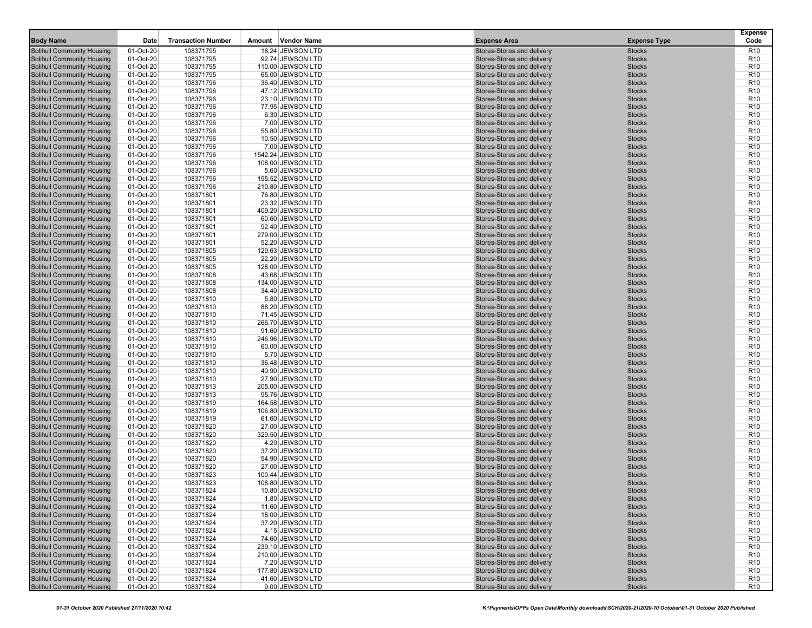| <b>Body Name</b>                                                       | Date                   | <b>Transaction Number</b> | Amount Vendor Name                   | <b>Expense Area</b>                                      | <b>Expense Type</b>            | <b>Expense</b><br>Code             |
|------------------------------------------------------------------------|------------------------|---------------------------|--------------------------------------|----------------------------------------------------------|--------------------------------|------------------------------------|
| <b>Solihull Community Housing</b>                                      | 01-Oct-20              | 108371795                 | 18.24 JEWSON LTD                     | Stores-Stores and delivery                               | <b>Stocks</b>                  | R <sub>10</sub>                    |
| <b>Solihull Community Housing</b>                                      | 01-Oct-20              | 108371795                 | 92.74 JEWSON LTD                     | Stores-Stores and delivery                               | <b>Stocks</b>                  | R <sub>10</sub>                    |
| <b>Solihull Community Housing</b>                                      | 01-Oct-20              | 108371795                 | 110.00 JEWSON LTD                    | Stores-Stores and delivery                               | <b>Stocks</b>                  | R <sub>10</sub>                    |
| <b>Solihull Community Housing</b>                                      | 01-Oct-20              | 108371795                 | 65.00 JEWSON LTD                     | Stores-Stores and delivery                               | <b>Stocks</b>                  | R <sub>10</sub>                    |
| Solihull Community Housing                                             | 01-Oct-20              | 108371796                 | 36.40 JEWSON LTD                     | Stores-Stores and delivery                               | <b>Stocks</b>                  | R <sub>10</sub>                    |
| <b>Solihull Community Housing</b>                                      | 01-Oct-20              | 108371796                 | 47.12 JEWSON LTD                     | Stores-Stores and delivery                               | <b>Stocks</b>                  | R <sub>10</sub>                    |
| <b>Solihull Community Housing</b>                                      | 01-Oct-20              | 108371796                 | 23.10 JEWSON LTD                     | Stores-Stores and delivery                               | <b>Stocks</b>                  | R <sub>10</sub>                    |
| <b>Solihull Community Housing</b>                                      | 01-Oct-20              | 108371796                 | 77.95 JEWSON LTD                     | Stores-Stores and delivery                               | <b>Stocks</b>                  | R <sub>10</sub>                    |
| <b>Solihull Community Housing</b>                                      | $01-Cct-20$            | 108371796                 | 6.30 JEWSON LTD                      | Stores-Stores and delivery                               | <b>Stocks</b>                  | R <sub>10</sub>                    |
| <b>Solihull Community Housing</b>                                      | 01-Oct-20              | 108371796                 | 7.00 JEWSON LTD                      | Stores-Stores and delivery                               | <b>Stocks</b>                  | R <sub>10</sub>                    |
| <b>Solihull Community Housing</b>                                      | 01-Oct-20              | 108371796                 | 55.80 JEWSON LTD                     | Stores-Stores and delivery                               | <b>Stocks</b>                  | R <sub>10</sub>                    |
| <b>Solihull Community Housing</b>                                      | 01-Oct-20              | 108371796                 | 10.50 JEWSON LTD                     | Stores-Stores and delivery                               | <b>Stocks</b>                  | R <sub>10</sub>                    |
| <b>Solihull Community Housing</b>                                      | 01-Oct-20              | 108371796                 | 7.00 JEWSON LTD                      | Stores-Stores and delivery                               | <b>Stocks</b>                  | R <sub>10</sub>                    |
| <b>Solihull Community Housing</b>                                      | 01-Oct-20              | 108371796                 | 1542.24 JEWSON LTD                   | Stores-Stores and delivery                               | <b>Stocks</b>                  | R <sub>10</sub>                    |
| Solihull Community Housing                                             | 01-Oct-20              | 108371796                 | 108.00 JEWSON LTD                    | Stores-Stores and delivery                               | <b>Stocks</b>                  | R <sub>10</sub>                    |
| <b>Solihull Community Housing</b>                                      | 01-Oct-20              | 108371796                 | 5.60 JEWSON LTD                      | Stores-Stores and delivery                               | <b>Stocks</b>                  | R <sub>10</sub>                    |
| <b>Solihull Community Housing</b>                                      | 01-Oct-20              | 108371796                 | 155.52 JEWSON LTD                    | Stores-Stores and delivery                               | <b>Stocks</b>                  | R <sub>10</sub>                    |
| <b>Solihull Community Housing</b>                                      | 01-Oct-20              | 108371796                 | 210.80 JEWSON LTD                    | Stores-Stores and delivery                               | <b>Stocks</b>                  | R <sub>10</sub>                    |
| <b>Solihull Community Housing</b>                                      | $01-Cct-20$            | 108371801                 | 76.80 JEWSON LTD                     | Stores-Stores and delivery                               | <b>Stocks</b>                  | R <sub>10</sub>                    |
| <b>Solihull Community Housing</b>                                      | 01-Oct-20              | 108371801                 | 23.32 JEWSON LTD                     | Stores-Stores and delivery                               | <b>Stocks</b>                  | R <sub>10</sub>                    |
| <b>Solihull Community Housing</b>                                      | 01-Oct-20              | 108371801                 | 409.20 JEWSON LTD                    | Stores-Stores and delivery                               | <b>Stocks</b>                  | R <sub>10</sub>                    |
| <b>Solihull Community Housing</b>                                      | 01-Oct-20              | 108371801                 | 60.60 JEWSON LTD                     | Stores-Stores and delivery                               | <b>Stocks</b>                  | R <sub>10</sub>                    |
| <b>Solihull Community Housing</b>                                      | 01-Oct-20              | 108371801                 | 92.40 JEWSON LTD                     | Stores-Stores and delivery                               | <b>Stocks</b>                  | R <sub>10</sub>                    |
| <b>Solihull Community Housing</b>                                      | $01-Oct-20$            | 108371801                 | 279.00 JEWSON LTD                    | Stores-Stores and delivery                               | <b>Stocks</b>                  | R <sub>10</sub>                    |
| <b>Solihull Community Housing</b>                                      | 01-Oct-20              | 108371801                 | 52.20 JEWSON LTD                     | Stores-Stores and delivery                               | <b>Stocks</b>                  | R <sub>10</sub>                    |
| <b>Solihull Community Housing</b>                                      | 01-Oct-20              | 108371805                 | 129.63 JEWSON LTD                    | Stores-Stores and delivery                               | <b>Stocks</b>                  | R <sub>10</sub>                    |
| <b>Solihull Community Housing</b>                                      | 01-Oct-20              | 108371805                 | 22.20 JEWSON LTD                     | Stores-Stores and delivery                               | <b>Stocks</b>                  | R <sub>10</sub>                    |
| <b>Solihull Community Housing</b>                                      | 01-Oct-20              | 108371805                 | 128.00 JEWSON LTD                    | Stores-Stores and delivery                               | <b>Stocks</b>                  | R <sub>10</sub>                    |
| <b>Solihull Community Housing</b>                                      | $01-Oct-20$            | 108371808                 | 43.68 JEWSON LTD                     | Stores-Stores and delivery                               | <b>Stocks</b>                  | R <sub>10</sub>                    |
| <b>Solihull Community Housing</b>                                      | 01-Oct-20              | 108371808                 | 134.00 JEWSON LTD                    | Stores-Stores and delivery                               | <b>Stocks</b>                  | R <sub>10</sub>                    |
| <b>Solihull Community Housing</b>                                      | 01-Oct-20              | 108371808                 | 34.40 JEWSON LTD                     | Stores-Stores and delivery                               | <b>Stocks</b>                  | R <sub>10</sub>                    |
| <b>Solihull Community Housing</b>                                      | 01-Oct-20              | 108371810                 | 5.80 JEWSON LTD                      | Stores-Stores and delivery                               | <b>Stocks</b>                  | R <sub>10</sub>                    |
| <b>Solihull Community Housing</b>                                      | 01-Oct-20              | 108371810                 | 88.20 JEWSON LTD                     | Stores-Stores and delivery                               | <b>Stocks</b>                  | R <sub>10</sub>                    |
| <b>Solihull Community Housing</b>                                      | 01-Oct-20              | 108371810                 | 71.45 JEWSON LTD                     | Stores-Stores and delivery                               | <b>Stocks</b>                  | R <sub>10</sub>                    |
| Solihull Community Housing                                             | 01-Oct-20              | 108371810                 | 266.70 JEWSON LTD                    | Stores-Stores and delivery                               | <b>Stocks</b>                  | R <sub>10</sub>                    |
| <b>Solihull Community Housing</b>                                      | 01-Oct-20              | 108371810                 | 91.60 JEWSON LTD                     | Stores-Stores and delivery                               | <b>Stocks</b>                  | R <sub>10</sub>                    |
| <b>Solihull Community Housing</b>                                      | 01-Oct-20              | 108371810                 | 246.96 JEWSON LTD                    | Stores-Stores and delivery                               | <b>Stocks</b>                  | R <sub>10</sub>                    |
| <b>Solihull Community Housing</b>                                      | 01-Oct-20              | 108371810                 | 60.00 JEWSON LTD                     | Stores-Stores and delivery                               | <b>Stocks</b>                  | R <sub>10</sub>                    |
| <b>Solihull Community Housing</b>                                      | 01-Oct-20              | 108371810                 | 5.70 JEWSON LTD                      | Stores-Stores and delivery                               | <b>Stocks</b>                  | R <sub>10</sub>                    |
| <b>Solihull Community Housing</b>                                      | 01-Oct-20              | 108371810                 | 36.48 JEWSON LTD                     | Stores-Stores and delivery                               | <b>Stocks</b>                  | R <sub>10</sub>                    |
| <b>Solihull Community Housing</b>                                      | 01-Oct-20              | 108371810                 | 40.90 JEWSON LTD                     | Stores-Stores and delivery                               | <b>Stocks</b>                  | R <sub>10</sub>                    |
| <b>Solihull Community Housing</b>                                      | 01-Oct-20              | 108371810                 | 27.90 JEWSON LTD                     | Stores-Stores and delivery                               | <b>Stocks</b>                  | R <sub>10</sub>                    |
| <b>Solihull Community Housing</b>                                      | 01-Oct-20              | 108371813                 | 205.00 JEWSON LTD                    | Stores-Stores and delivery                               | <b>Stocks</b>                  | R <sub>10</sub>                    |
| <b>Solihull Community Housing</b>                                      | 01-Oct-20              | 108371813                 | 95.76 JEWSON LTD                     | Stores-Stores and delivery                               | <b>Stocks</b>                  | R <sub>10</sub>                    |
| Solihull Community Housing                                             | 01-Oct-20              | 108371819                 | 164.58 JEWSON LTD                    | Stores-Stores and delivery                               | <b>Stocks</b>                  | R <sub>10</sub>                    |
| <b>Solihull Community Housing</b>                                      | 01-Oct-20              | 108371819                 | 106.80 JEWSON LTD                    | Stores-Stores and delivery                               | <b>Stocks</b>                  | R <sub>10</sub>                    |
| <b>Solihull Community Housing</b>                                      | 01-Oct-20              | 108371819                 | 61.60 JEWSON LTD                     | Stores-Stores and delivery                               | <b>Stocks</b>                  | R <sub>10</sub>                    |
| <b>Solihull Community Housing</b>                                      | 01-Oct-20              | 108371820<br>108371820    | 27.00 JEWSON LTD                     | Stores-Stores and delivery                               | <b>Stocks</b>                  | R <sub>10</sub>                    |
| <b>Solihull Community Housing</b>                                      | $01-Oct-20$            |                           | 329.50 JEWSON LTD                    | Stores-Stores and delivery                               | <b>Stocks</b>                  | R <sub>10</sub>                    |
| <b>Solihull Community Housing</b>                                      | 01-Oct-20              | 108371820                 | 4.20 JEWSON LTD                      | Stores-Stores and delivery                               | <b>Stocks</b>                  | R <sub>10</sub>                    |
| <b>Solihull Community Housing</b><br><b>Solihull Community Housing</b> | 01-Oct-20<br>01-Oct-20 | 108371820<br>108371820    | 37.20 JEWSON LTD<br>54.90 JEWSON LTD | Stores-Stores and delivery<br>Stores-Stores and delivery | <b>Stocks</b><br><b>Stocks</b> | R <sub>10</sub><br>R <sub>10</sub> |
| <b>Solihull Community Housing</b>                                      | 01-Oct-20              | 108371820                 | 27.00 JEWSON LTD                     | Stores-Stores and delivery                               | <b>Stocks</b>                  | R <sub>10</sub>                    |
| <b>Solihull Community Housing</b>                                      | $01-Oct-20$            | 108371823                 | 100.44 JEWSON LTD                    | Stores-Stores and delivery                               | <b>Stocks</b>                  | R <sub>10</sub>                    |
| <b>Solihull Community Housing</b>                                      | 01-Oct-20              | 108371823                 | 108.80 JEWSON LTD                    | Stores-Stores and delivery                               | <b>Stocks</b>                  | R <sub>10</sub>                    |
| Solihull Community Housing                                             | 01-Oct-20              | 108371824                 | 10.80 JEWSON LTD                     | Stores-Stores and delivery                               | <b>Stocks</b>                  | R <sub>10</sub>                    |
| <b>Solihull Community Housing</b>                                      | 01-Oct-20              | 108371824                 | 1.80 JEWSON LTD                      | Stores-Stores and delivery                               | <b>Stocks</b>                  | R <sub>10</sub>                    |
| <b>Solihull Community Housing</b>                                      | 01-Oct-20              | 108371824                 | 11.60 JEWSON LTD                     | Stores-Stores and delivery                               | <b>Stocks</b>                  | R <sub>10</sub>                    |
| <b>Solihull Community Housing</b>                                      | 01-Oct-20              | 108371824                 | 18.00 JEWSON LTD                     | Stores-Stores and delivery                               | <b>Stocks</b>                  | R <sub>10</sub>                    |
| <b>Solihull Community Housing</b>                                      | 01-Oct-20              | 108371824                 | 37.20 JEWSON LTD                     | Stores-Stores and delivery                               | <b>Stocks</b>                  | R <sub>10</sub>                    |
| <b>Solihull Community Housing</b>                                      | 01-Oct-20              | 108371824                 | 4.15 JEWSON LTD                      | Stores-Stores and delivery                               | <b>Stocks</b>                  | R <sub>10</sub>                    |
| <b>Solihull Community Housing</b>                                      | 01-Oct-20              | 108371824                 | 74.60 JEWSON LTD                     | Stores-Stores and delivery                               | <b>Stocks</b>                  | R <sub>10</sub>                    |
| <b>Solihull Community Housing</b>                                      | 01-Oct-20              | 108371824                 | 239.10 JEWSON LTD                    | Stores-Stores and delivery                               | <b>Stocks</b>                  | R <sub>10</sub>                    |
| <b>Solihull Community Housing</b>                                      | 01-Oct-20              | 108371824                 | 210.00 JEWSON LTD                    | Stores-Stores and delivery                               | <b>Stocks</b>                  | R <sub>10</sub>                    |
| <b>Solihull Community Housing</b>                                      | 01-Oct-20              | 108371824                 | 7.20 JEWSON LTD                      | Stores-Stores and delivery                               | <b>Stocks</b>                  | R <sub>10</sub>                    |
| <b>Solihull Community Housing</b>                                      | 01-Oct-20              | 108371824                 | 177.80 JEWSON LTD                    | Stores-Stores and delivery                               | <b>Stocks</b>                  | R <sub>10</sub>                    |
| <b>Solihull Community Housing</b>                                      | 01-Oct-20              | 108371824                 | 41.60 JEWSON LTD                     | Stores-Stores and delivery                               | <b>Stocks</b>                  | R <sub>10</sub>                    |
| <b>Solihull Community Housing</b>                                      | 01-Oct-20              | 108371824                 | 9.00 JEWSON LTD                      | Stores-Stores and delivery                               | <b>Stocks</b>                  | R <sub>10</sub>                    |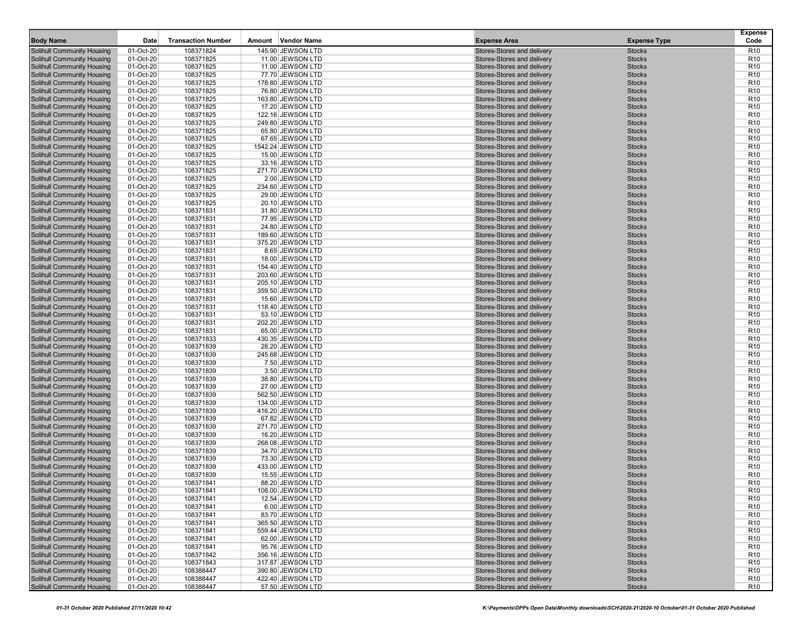| <b>Body Name</b>                                                       | Date                   | <b>Transaction Number</b> | Amount Vendor Name                    | <b>Expense Area</b>                                      | <b>Expense Type</b>            | <b>Expense</b><br>Code             |
|------------------------------------------------------------------------|------------------------|---------------------------|---------------------------------------|----------------------------------------------------------|--------------------------------|------------------------------------|
| Solihull Community Housing                                             | 01-Oct-20              | 108371824                 | 145.90 JEWSON LTD                     | Stores-Stores and delivery                               | <b>Stocks</b>                  | R <sub>10</sub>                    |
| Solihull Community Housing                                             | 01-Oct-20              | 108371825                 | 11.00 JEWSON LTD                      | Stores-Stores and delivery                               | <b>Stocks</b>                  | R <sub>10</sub>                    |
| <b>Solihull Community Housing</b>                                      | 01-Oct-20              | 108371825                 | 11.00 JEWSON LTD                      | Stores-Stores and delivery                               | <b>Stocks</b>                  | R <sub>10</sub>                    |
| <b>Solihull Community Housing</b>                                      | 01-Oct-20              | 108371825                 | 77.70 JEWSON LTD                      | Stores-Stores and delivery                               | <b>Stocks</b>                  | R <sub>10</sub>                    |
| Solihull Community Housing                                             | 01-Oct-20              | 108371825                 | 178.80 JEWSON LTD                     | Stores-Stores and delivery                               | <b>Stocks</b>                  | R <sub>10</sub>                    |
| <b>Solihull Community Housing</b>                                      | 01-Oct-20              | 108371825                 | 76.80 JEWSON LTD                      | Stores-Stores and delivery                               | <b>Stocks</b>                  | R <sub>10</sub>                    |
| <b>Solihull Community Housing</b>                                      | 01-Oct-20              | 108371825                 | 163.80 JEWSON LTD                     | Stores-Stores and delivery                               | <b>Stocks</b>                  | R <sub>10</sub>                    |
| Solihull Community Housing                                             | 01-Oct-20              | 108371825                 | 17.20 JEWSON LTD                      | Stores-Stores and delivery                               | <b>Stocks</b>                  | R <sub>10</sub>                    |
| <b>Solihull Community Housing</b>                                      | 01-Oct-20              | 108371825                 | 122.16 JEWSON LTD                     | Stores-Stores and delivery                               | <b>Stocks</b>                  | R <sub>10</sub>                    |
| Solihull Community Housing                                             | 01-Oct-20              | 108371825                 | 249.80 JEWSON LTD                     | Stores-Stores and delivery                               | <b>Stocks</b>                  | R <sub>10</sub>                    |
| <b>Solihull Community Housing</b>                                      | 01-Oct-20              | 108371825                 | 65.80 JEWSON LTD                      | Stores-Stores and delivery                               | <b>Stocks</b>                  | R <sub>10</sub>                    |
| <b>Solihull Community Housing</b>                                      | 01-Oct-20              | 108371825                 | 67.65 JEWSON LTD                      | Stores-Stores and delivery                               | <b>Stocks</b>                  | R <sub>10</sub>                    |
| <b>Solihull Community Housing</b>                                      | 01-Oct-20              | 108371825                 | 1542.24 JEWSON LTD                    | Stores-Stores and delivery                               | <b>Stocks</b>                  | R <sub>10</sub>                    |
| <b>Solihull Community Housing</b>                                      | 01-Oct-20              | 108371825                 | 15.00 JEWSON LTD                      | Stores-Stores and delivery                               | <b>Stocks</b>                  | R <sub>10</sub>                    |
| Solihull Community Housing                                             | 01-Oct-20              | 108371825                 | 33.16 JEWSON LTD                      | Stores-Stores and delivery                               | <b>Stocks</b>                  | R <sub>10</sub>                    |
| <b>Solihull Community Housing</b>                                      | 01-Oct-20              | 108371825                 | 271.70 JEWSON LTD                     | Stores-Stores and delivery                               | <b>Stocks</b>                  | R <sub>10</sub>                    |
| <b>Solihull Community Housing</b>                                      | 01-Oct-20              | 108371825                 | 2.00 JEWSON LTD                       | Stores-Stores and delivery                               | <b>Stocks</b>                  | R <sub>10</sub>                    |
| <b>Solihull Community Housing</b>                                      | 01-Oct-20              | 108371825                 | 234.60 JEWSON LTD                     | Stores-Stores and delivery                               | <b>Stocks</b>                  | R <sub>10</sub>                    |
| <b>Solihull Community Housing</b>                                      | 01-Oct-20              | 108371825                 | 29.00 JEWSON LTD                      | Stores-Stores and delivery                               | <b>Stocks</b>                  | R <sub>10</sub>                    |
| Solihull Community Housing                                             | 01-Oct-20              | 108371825                 | 20.10 JEWSON LTD                      | Stores-Stores and delivery                               | <b>Stocks</b>                  | R <sub>10</sub>                    |
| <b>Solihull Community Housing</b>                                      | 01-Oct-20              | 108371831                 | 31.80 JEWSON LTD                      | Stores-Stores and delivery                               | <b>Stocks</b>                  | R <sub>10</sub>                    |
| <b>Solihull Community Housing</b>                                      | 01-Oct-20              | 108371831                 | 77.95 JEWSON LTD                      | Stores-Stores and delivery                               | <b>Stocks</b>                  | R <sub>10</sub>                    |
| <b>Solihull Community Housing</b>                                      | 01-Oct-20              | 108371831                 | 24.80 JEWSON LTD                      | Stores-Stores and delivery                               | <b>Stocks</b>                  | R <sub>10</sub>                    |
| <b>Solihull Community Housing</b>                                      | 01-Oct-20              | 108371831                 | 189.60 JEWSON LTD                     | Stores-Stores and delivery                               | <b>Stocks</b>                  | R <sub>10</sub>                    |
| Solihull Community Housing                                             | 01-Oct-20              | 108371831                 | 375.20 JEWSON LTD                     | Stores-Stores and delivery                               | <b>Stocks</b>                  | R <sub>10</sub>                    |
| <b>Solihull Community Housing</b>                                      | 01-Oct-20              | 108371831                 | 8.65 JEWSON LTD                       | Stores-Stores and delivery                               | <b>Stocks</b>                  | R <sub>10</sub>                    |
| <b>Solihull Community Housing</b>                                      | 01-Oct-20              | 108371831                 | 18.00 JEWSON LTD                      | Stores-Stores and delivery                               | <b>Stocks</b>                  | R <sub>10</sub>                    |
| Solihull Community Housing                                             | 01-Oct-20              | 108371831                 | 154.40 JEWSON LTD                     | Stores-Stores and delivery                               | <b>Stocks</b>                  | R <sub>10</sub>                    |
| <b>Solihull Community Housing</b>                                      | 01-Oct-20              | 108371831                 | 203.60 JEWSON LTD                     | Stores-Stores and delivery                               | <b>Stocks</b>                  | R <sub>10</sub>                    |
| Solihull Community Housing                                             | 01-Oct-20              | 108371831                 | 205.10 JEWSON LTD                     | Stores-Stores and delivery                               | <b>Stocks</b>                  | R <sub>10</sub>                    |
| <b>Solihull Community Housing</b>                                      | 01-Oct-20              | 108371831                 | 359.50 JEWSON LTD                     | Stores-Stores and delivery                               | <b>Stocks</b>                  | R <sub>10</sub>                    |
| <b>Solihull Community Housing</b>                                      | 01-Oct-20              | 108371831                 | 15.60 JEWSON LTD                      | Stores-Stores and delivery                               | <b>Stocks</b>                  | R <sub>10</sub>                    |
| <b>Solihull Community Housing</b>                                      | 01-Oct-20              | 108371831                 | 118.40 JEWSON LTD                     | Stores-Stores and delivery                               | <b>Stocks</b>                  | R <sub>10</sub>                    |
| <b>Solihull Community Housing</b>                                      | 01-Oct-20              | 108371831                 | 53.10 JEWSON LTD                      | Stores-Stores and delivery                               | <b>Stocks</b>                  | R <sub>10</sub>                    |
| Solihull Community Housing                                             | 01-Oct-20              | 108371831                 | 202.20 JEWSON LTD                     | Stores-Stores and delivery                               | <b>Stocks</b>                  | R <sub>10</sub>                    |
| <b>Solihull Community Housing</b>                                      | 01-Oct-20              | 108371831                 | 65.00 JEWSON LTD                      | Stores-Stores and delivery                               | <b>Stocks</b>                  | R <sub>10</sub>                    |
| <b>Solihull Community Housing</b>                                      | 01-Oct-20              | 108371833<br>108371839    | 430.35 JEWSON LTD                     | Stores-Stores and delivery<br>Stores-Stores and delivery | <b>Stocks</b><br><b>Stocks</b> | R <sub>10</sub><br>R <sub>10</sub> |
| <b>Solihull Community Housing</b><br><b>Solihull Community Housing</b> | 01-Oct-20              | 108371839                 | 28.20 JEWSON LTD<br>245.68 JEWSON LTD | Stores-Stores and delivery                               | <b>Stocks</b>                  | R <sub>10</sub>                    |
| Solihull Community Housing                                             | 01-Oct-20<br>01-Oct-20 | 108371839                 | 7.50 JEWSON LTD                       | Stores-Stores and delivery                               | <b>Stocks</b>                  | R <sub>10</sub>                    |
| <b>Solihull Community Housing</b>                                      | 01-Oct-20              | 108371839                 | 3.50 JEWSON LTD                       | Stores-Stores and delivery                               | <b>Stocks</b>                  | R <sub>10</sub>                    |
| Solihull Community Housing                                             | 01-Oct-20              | 108371839                 | 38.80 JEWSON LTD                      | Stores-Stores and delivery                               | <b>Stocks</b>                  | R <sub>10</sub>                    |
| <b>Solihull Community Housing</b>                                      | 01-Oct-20              | 108371839                 | 27.00 JEWSON LTD                      | Stores-Stores and delivery                               | <b>Stocks</b>                  | R <sub>10</sub>                    |
| <b>Solihull Community Housing</b>                                      | 01-Oct-20              | 108371839                 | 562.50 JEWSON LTD                     | Stores-Stores and delivery                               | <b>Stocks</b>                  | R <sub>10</sub>                    |
| Solihull Community Housing                                             | 01-Oct-20              | 108371839                 | 134.00 JEWSON LTD                     | Stores-Stores and delivery                               | <b>Stocks</b>                  | R <sub>10</sub>                    |
| <b>Solihull Community Housing</b>                                      | 01-Oct-20              | 108371839                 | 416.20 JEWSON LTD                     | Stores-Stores and delivery                               | <b>Stocks</b>                  | R <sub>10</sub>                    |
| <b>Solihull Community Housing</b>                                      | 01-Oct-20              | 108371839                 | 67.82 JEWSON LTD                      | Stores-Stores and delivery                               | <b>Stocks</b>                  | R <sub>10</sub>                    |
| <b>Solihull Community Housing</b>                                      | 01-Oct-20              | 108371839                 | 271.70 JEWSON LTD                     | Stores-Stores and delivery                               | <b>Stocks</b>                  | R <sub>10</sub>                    |
| <b>Solihull Community Housing</b>                                      | 01-Oct-20              | 108371839                 | 16.20 JEWSON LTD                      | Stores-Stores and delivery                               | <b>Stocks</b>                  | R <sub>10</sub>                    |
| Solihull Community Housing                                             | 01-Oct-20              | 108371839                 | 268.08 JEWSON LTD                     | Stores-Stores and delivery                               | <b>Stocks</b>                  | R <sub>10</sub>                    |
| <b>Solihull Community Housing</b>                                      | 01-Oct-20              | 108371839                 | 34.70 JEWSON LTD                      | Stores-Stores and delivery                               | <b>Stocks</b>                  | R <sub>10</sub>                    |
| <b>Solihull Community Housing</b>                                      | 01-Oct-20              | 108371839                 | 73.30 JEWSON LTD                      | Stores-Stores and delivery                               | <b>Stocks</b>                  | R <sub>10</sub>                    |
| <b>Solihull Community Housing</b>                                      | 01-Oct-20              | 108371839                 | 433.00 JEWSON LTD                     | Stores-Stores and delivery                               | <b>Stocks</b>                  | R <sub>10</sub>                    |
| <b>Solihull Community Housing</b>                                      | 01-Oct-20              | 108371839                 | 15.55 JEWSON LTD                      | Stores-Stores and delivery                               | <b>Stocks</b>                  | R <sub>10</sub>                    |
| Solihull Community Housing                                             | 01-Oct-20              | 108371841                 | 88.20 JEWSON LTD                      | Stores-Stores and delivery                               | <b>Stocks</b>                  | R <sub>10</sub>                    |
| Solihull Community Housing                                             | 01-Oct-20              | 108371841                 | 108.00 JEWSON LTD                     | Stores-Stores and delivery                               | <b>Stocks</b>                  | R <sub>10</sub>                    |
| Solihull Community Housing                                             | 01-Oct-20              | 108371841                 | 12.54 JEWSON LTD                      | Stores-Stores and delivery                               | <b>Stocks</b>                  | R <sub>10</sub>                    |
| Solihull Community Housing                                             | 01-Oct-20              | 108371841                 | 6.00 JEWSON LTD                       | Stores-Stores and delivery                               | <b>Stocks</b>                  | R <sub>10</sub>                    |
| Solihull Community Housing                                             | 01-Oct-20              | 108371841                 | 83.70 JEWSON LTD                      | Stores-Stores and delivery                               | <b>Stocks</b>                  | R <sub>10</sub>                    |
| Solihull Community Housing                                             | 01-Oct-20              | 108371841                 | 365.50 JEWSON LTD                     | Stores-Stores and delivery                               | <b>Stocks</b>                  | R <sub>10</sub>                    |
| Solihull Community Housing                                             | 01-Oct-20              | 108371841                 | 559.44 JEWSON LTD                     | Stores-Stores and delivery                               | <b>Stocks</b>                  | R <sub>10</sub>                    |
| <b>Solihull Community Housing</b>                                      | 01-Oct-20              | 108371841                 | 62.00 JEWSON LTD                      | Stores-Stores and delivery                               | <b>Stocks</b>                  | R <sub>10</sub>                    |
| <b>Solihull Community Housing</b>                                      | 01-Oct-20              | 108371841                 | 95.76 JEWSON LTD                      | Stores-Stores and delivery                               | <b>Stocks</b>                  | R <sub>10</sub>                    |
| <b>Solihull Community Housing</b>                                      | 01-Oct-20              | 108371842                 | 356.16 JEWSON LTD                     | Stores-Stores and delivery                               | <b>Stocks</b>                  | R <sub>10</sub>                    |
| Solihull Community Housing                                             | 01-Oct-20              | 108371843                 | 317.87 JEWSON LTD                     | Stores-Stores and delivery                               | <b>Stocks</b>                  | R <sub>10</sub>                    |
| Solihull Community Housing                                             | 01-Oct-20              | 108388447                 | 390.80 JEWSON LTD                     | Stores-Stores and delivery                               | <b>Stocks</b>                  | R <sub>10</sub>                    |
| Solihull Community Housing                                             | 01-Oct-20              | 108388447                 | 422.40 JEWSON LTD                     | Stores-Stores and delivery                               | <b>Stocks</b>                  | R <sub>10</sub>                    |
| Solihull Community Housing                                             | 01-Oct-20              | 108388447                 | 57.50 JEWSON LTD                      | Stores-Stores and delivery                               | <b>Stocks</b>                  | R <sub>10</sub>                    |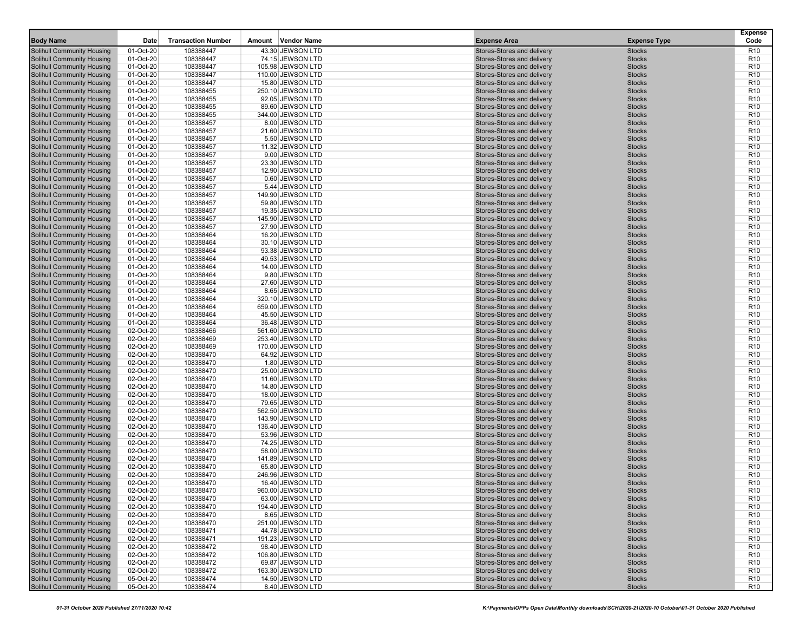| <b>Body Name</b>                                                       | Date                   | <b>Transaction Number</b> | Amount Vendor Name                    | <b>Expense Area</b>                                      | <b>Expense Type</b>            | <b>Expense</b><br>Code             |
|------------------------------------------------------------------------|------------------------|---------------------------|---------------------------------------|----------------------------------------------------------|--------------------------------|------------------------------------|
| Solihull Community Housing                                             | 01-Oct-20              | 108388447                 | 43.30 JEWSON LTD                      | Stores-Stores and delivery                               | <b>Stocks</b>                  | R <sub>10</sub>                    |
| Solihull Community Housing                                             | 01-Oct-20              | 108388447                 | 74.15 JEWSON LTD                      | Stores-Stores and delivery                               | <b>Stocks</b>                  | R <sub>10</sub>                    |
| <b>Solihull Community Housing</b>                                      | 01-Oct-20              | 108388447                 | 105.98 JEWSON LTD                     | Stores-Stores and delivery                               | <b>Stocks</b>                  | R <sub>10</sub>                    |
| <b>Solihull Community Housing</b>                                      | 01-Oct-20              | 108388447                 | 110.00 JEWSON LTD                     | Stores-Stores and delivery                               | <b>Stocks</b>                  | R <sub>10</sub>                    |
| Solihull Community Housing                                             | 01-Oct-20              | 108388447                 | 15.80 JEWSON LTD                      | Stores-Stores and delivery                               | <b>Stocks</b>                  | R <sub>10</sub>                    |
| <b>Solihull Community Housing</b>                                      | 01-Oct-20              | 108388455                 | 250.10 JEWSON LTD                     | Stores-Stores and delivery                               | <b>Stocks</b>                  | R <sub>10</sub>                    |
| Solihull Community Housing                                             | 01-Oct-20              | 108388455                 | 92.05 JEWSON LTD                      | Stores-Stores and delivery                               | <b>Stocks</b>                  | R <sub>10</sub>                    |
| Solihull Community Housing                                             | 01-Oct-20              | 108388455                 | 89.60 JEWSON LTD                      | Stores-Stores and delivery                               | <b>Stocks</b>                  | R <sub>10</sub>                    |
| <b>Solihull Community Housing</b>                                      | 01-Oct-20              | 108388455                 | 344.00 JEWSON LTD                     | Stores-Stores and delivery                               | <b>Stocks</b>                  | R <sub>10</sub>                    |
| Solihull Community Housing                                             | 01-Oct-20              | 108388457                 | 8.00 JEWSON LTD                       | Stores-Stores and delivery                               | <b>Stocks</b>                  | R <sub>10</sub>                    |
| <b>Solihull Community Housing</b>                                      | 01-Oct-20              | 108388457                 | 21.60 JEWSON LTD                      | Stores-Stores and delivery                               | <b>Stocks</b>                  | R <sub>10</sub>                    |
| <b>Solihull Community Housing</b>                                      | 01-Oct-20              | 108388457                 | 5.50 JEWSON LTD                       | Stores-Stores and delivery                               | <b>Stocks</b>                  | R <sub>10</sub>                    |
| Solihull Community Housing                                             | 01-Oct-20              | 108388457                 | 11.32 JEWSON LTD                      | Stores-Stores and delivery                               | <b>Stocks</b>                  | R <sub>10</sub>                    |
| <b>Solihull Community Housing</b>                                      | 01-Oct-20              | 108388457                 | 9.00 JEWSON LTD                       | Stores-Stores and delivery                               | <b>Stocks</b>                  | R <sub>10</sub>                    |
| Solihull Community Housing                                             | 01-Oct-20              | 108388457                 | 23.30 JEWSON LTD                      | Stores-Stores and delivery                               | <b>Stocks</b>                  | R <sub>10</sub>                    |
| <b>Solihull Community Housing</b>                                      | 01-Oct-20              | 108388457                 | 12.90 JEWSON LTD                      | Stores-Stores and delivery                               | <b>Stocks</b>                  | R <sub>10</sub>                    |
| Solihull Community Housing                                             | 01-Oct-20              | 108388457                 | 0.60 JEWSON LTD                       | Stores-Stores and delivery                               | <b>Stocks</b>                  | R <sub>10</sub>                    |
| <b>Solihull Community Housing</b>                                      | 01-Oct-20              | 108388457                 | 5.44 JEWSON LTD                       | Stores-Stores and delivery                               | <b>Stocks</b>                  | R <sub>10</sub>                    |
| <b>Solihull Community Housing</b>                                      | 01-Oct-20              | 108388457                 | 149.90 JEWSON LTD                     | Stores-Stores and delivery                               | <b>Stocks</b>                  | R <sub>10</sub>                    |
| Solihull Community Housing                                             | 01-Oct-20              | 108388457                 | 59.80 JEWSON LTD                      | Stores-Stores and delivery                               | <b>Stocks</b>                  | R <sub>10</sub>                    |
| <b>Solihull Community Housing</b>                                      | 01-Oct-20              | 108388457                 | 19.35 JEWSON LTD                      | Stores-Stores and delivery                               | <b>Stocks</b><br><b>Stocks</b> | R <sub>10</sub>                    |
| <b>Solihull Community Housing</b><br><b>Solihull Community Housing</b> | 01-Oct-20<br>01-Oct-20 | 108388457<br>108388457    | 145.90 JEWSON LTD<br>27.90 JEWSON LTD | Stores-Stores and delivery<br>Stores-Stores and delivery | <b>Stocks</b>                  | R <sub>10</sub><br>R <sub>10</sub> |
| <b>Solihull Community Housing</b>                                      | 01-Oct-20              | 108388464                 | 16.20 JEWSON LTD                      | Stores-Stores and delivery                               | <b>Stocks</b>                  | R <sub>10</sub>                    |
| Solihull Community Housing                                             | 01-Oct-20              | 108388464                 | 30.10 JEWSON LTD                      | Stores-Stores and delivery                               | <b>Stocks</b>                  | R <sub>10</sub>                    |
| <b>Solihull Community Housing</b>                                      | 01-Oct-20              | 108388464                 | 93.38 JEWSON LTD                      | Stores-Stores and delivery                               | <b>Stocks</b>                  | R <sub>10</sub>                    |
| <b>Solihull Community Housing</b>                                      | 01-Oct-20              | 108388464                 | 49.53 JEWSON LTD                      | Stores-Stores and delivery                               | <b>Stocks</b>                  | R <sub>10</sub>                    |
| Solihull Community Housing                                             | 01-Oct-20              | 108388464                 | 14.00 JEWSON LTD                      | Stores-Stores and delivery                               | <b>Stocks</b>                  | R <sub>10</sub>                    |
| <b>Solihull Community Housing</b>                                      | 01-Oct-20              | 108388464                 | 9.80 JEWSON LTD                       | Stores-Stores and delivery                               | <b>Stocks</b>                  | R <sub>10</sub>                    |
| Solihull Community Housing                                             | 01-Oct-20              | 108388464                 | 27.60 JEWSON LTD                      | Stores-Stores and delivery                               | <b>Stocks</b>                  | R <sub>10</sub>                    |
| <b>Solihull Community Housing</b>                                      | 01-Oct-20              | 108388464                 | 8.65 JEWSON LTD                       | Stores-Stores and delivery                               | <b>Stocks</b>                  | R <sub>10</sub>                    |
| <b>Solihull Community Housing</b>                                      | 01-Oct-20              | 108388464                 | 320.10 JEWSON LTD                     | Stores-Stores and delivery                               | <b>Stocks</b>                  | R <sub>10</sub>                    |
| <b>Solihull Community Housing</b>                                      | 01-Oct-20              | 108388464                 | 659.00 JEWSON LTD                     | Stores-Stores and delivery                               | <b>Stocks</b>                  | R <sub>10</sub>                    |
| <b>Solihull Community Housing</b>                                      | 01-Oct-20              | 108388464                 | 45.50 JEWSON LTD                      | Stores-Stores and delivery                               | <b>Stocks</b>                  | R <sub>10</sub>                    |
| Solihull Community Housing                                             | 01-Oct-20              | 108388464                 | 36.48 JEWSON LTD                      | Stores-Stores and delivery                               | <b>Stocks</b>                  | R <sub>10</sub>                    |
| Solihull Community Housing                                             | 02-Oct-20              | 108388466                 | 561.60 JEWSON LTD                     | Stores-Stores and delivery                               | <b>Stocks</b>                  | R <sub>10</sub>                    |
| Solihull Community Housing                                             | 02-Oct-20              | 108388469                 | 253.40 JEWSON LTD                     | Stores-Stores and delivery                               | <b>Stocks</b>                  | R <sub>10</sub>                    |
| <b>Solihull Community Housing</b>                                      | 02-Oct-20              | 108388469                 | 170.00 JEWSON LTD                     | Stores-Stores and delivery                               | <b>Stocks</b>                  | R <sub>10</sub>                    |
| <b>Solihull Community Housing</b>                                      | 02-Oct-20              | 108388470                 | 64.92 JEWSON LTD                      | Stores-Stores and delivery                               | <b>Stocks</b>                  | R <sub>10</sub>                    |
| Solihull Community Housing                                             | 02-Oct-20              | 108388470                 | 1.80 JEWSON LTD                       | Stores-Stores and delivery                               | <b>Stocks</b>                  | R <sub>10</sub>                    |
| <b>Solihull Community Housing</b>                                      | 02-Oct-20              | 108388470                 | 25.00 JEWSON LTD                      | Stores-Stores and delivery                               | <b>Stocks</b>                  | R <sub>10</sub>                    |
| Solihull Community Housing                                             | 02-Oct-20              | 108388470                 | 11.60 JEWSON LTD                      | Stores-Stores and delivery                               | <b>Stocks</b>                  | R <sub>10</sub>                    |
| Solihull Community Housing                                             | 02-Oct-20              | 108388470                 | 14.80 JEWSON LTD                      | Stores-Stores and delivery                               | <b>Stocks</b>                  | R <sub>10</sub>                    |
| <b>Solihull Community Housing</b>                                      | 02-Oct-20              | 108388470                 | 18.00 JEWSON LTD                      | Stores-Stores and delivery                               | <b>Stocks</b>                  | R <sub>10</sub>                    |
| Solihull Community Housing                                             | 02-Oct-20              | 108388470                 | 79.65 JEWSON LTD                      | Stores-Stores and delivery                               | <b>Stocks</b>                  | R <sub>10</sub>                    |
| <b>Solihull Community Housing</b>                                      | 02-Oct-20              | 108388470                 | 562.50 JEWSON LTD                     | Stores-Stores and delivery                               | <b>Stocks</b>                  | R <sub>10</sub>                    |
| <b>Solihull Community Housing</b>                                      | 02-Oct-20              | 108388470                 | 143.90 JEWSON LTD                     | Stores-Stores and delivery                               | <b>Stocks</b>                  | R <sub>10</sub>                    |
| <b>Solihull Community Housing</b>                                      | 02-Oct-20              | 108388470                 | 136.40 JEWSON LTD                     | Stores-Stores and delivery                               | <b>Stocks</b>                  | R <sub>10</sub>                    |
| <b>Solihull Community Housing</b>                                      | 02-Oct-20              | 108388470                 | 53.96 JEWSON LTD                      | Stores-Stores and delivery                               | <b>Stocks</b>                  | R <sub>10</sub>                    |
| Solihull Community Housing                                             | 02-Oct-20              | 108388470                 | 74.25 JEWSON LTD<br>58.00 JEWSON LTD  | Stores-Stores and delivery<br>Stores-Stores and delivery | <b>Stocks</b><br><b>Stocks</b> | R <sub>10</sub><br>R <sub>10</sub> |
| <b>Solihull Community Housing</b><br><b>Solihull Community Housing</b> | 02-Oct-20<br>02-Oct-20 | 108388470<br>108388470    | 141.89 JEWSON LTD                     | Stores-Stores and delivery                               | <b>Stocks</b>                  | R <sub>10</sub>                    |
| <b>Solihull Community Housing</b>                                      | 02-Oct-20              | 108388470                 | 65.80 JEWSON LTD                      | Stores-Stores and delivery                               | <b>Stocks</b>                  | R <sub>10</sub>                    |
| <b>Solihull Community Housing</b>                                      | 02-Oct-20              | 108388470                 | 246.96 JEWSON LTD                     | Stores-Stores and delivery                               | <b>Stocks</b>                  | R <sub>10</sub>                    |
| <b>Solihull Community Housing</b>                                      | 02-Oct-20              | 108388470                 | 16.40 JEWSON LTD                      | Stores-Stores and delivery                               | <b>Stocks</b>                  | R <sub>10</sub>                    |
| Solihull Community Housing                                             | 02-Oct-20              | 108388470                 | 960.00 JEWSON LTD                     | Stores-Stores and delivery                               | <b>Stocks</b>                  | R <sub>10</sub>                    |
| Solihull Community Housing                                             | 02-Oct-20              | 108388470                 | 63.00 JEWSON LTD                      | Stores-Stores and delivery                               | <b>Stocks</b>                  | R <sub>10</sub>                    |
| Solihull Community Housing                                             | 02-Oct-20              | 108388470                 | 194.40 JEWSON LTD                     | Stores-Stores and delivery                               | <b>Stocks</b>                  | R <sub>10</sub>                    |
| Solihull Community Housing                                             | 02-Oct-20              | 108388470                 | 8.65 JEWSON LTD                       | Stores-Stores and delivery                               | <b>Stocks</b>                  | R <sub>10</sub>                    |
| Solihull Community Housing                                             | 02-Oct-20              | 108388470                 | 251.00 JEWSON LTD                     | Stores-Stores and delivery                               | <b>Stocks</b>                  | R <sub>10</sub>                    |
| Solihull Community Housing                                             | 02-Oct-20              | 108388471                 | 44.78 JEWSON LTD                      | Stores-Stores and delivery                               | <b>Stocks</b>                  | R <sub>10</sub>                    |
| <b>Solihull Community Housing</b>                                      | 02-Oct-20              | 108388471                 | 191.23 JEWSON LTD                     | Stores-Stores and delivery                               | <b>Stocks</b>                  | R <sub>10</sub>                    |
| <b>Solihull Community Housing</b>                                      | 02-Oct-20              | 108388472                 | 98.40 JEWSON LTD                      | Stores-Stores and delivery                               | <b>Stocks</b>                  | R <sub>10</sub>                    |
| <b>Solihull Community Housing</b>                                      | 02-Oct-20              | 108388472                 | 106.80 JEWSON LTD                     | Stores-Stores and delivery                               | <b>Stocks</b>                  | R <sub>10</sub>                    |
| Solihull Community Housing                                             | 02-Oct-20              | 108388472                 | 69.87 JEWSON LTD                      | Stores-Stores and delivery                               | <b>Stocks</b>                  | R <sub>10</sub>                    |
| Solihull Community Housing                                             | 02-Oct-20              | 108388472                 | 163.30 JEWSON LTD                     | Stores-Stores and delivery                               | <b>Stocks</b>                  | R <sub>10</sub>                    |
| Solihull Community Housing                                             | 05-Oct-20              | 108388474                 | 14.50 JEWSON LTD                      | Stores-Stores and delivery                               | <b>Stocks</b>                  | R <sub>10</sub>                    |
| Solihull Community Housing                                             | 05-Oct-20              | 108388474                 | 8.40 JEWSON LTD                       | Stores-Stores and delivery                               | <b>Stocks</b>                  | R <sub>10</sub>                    |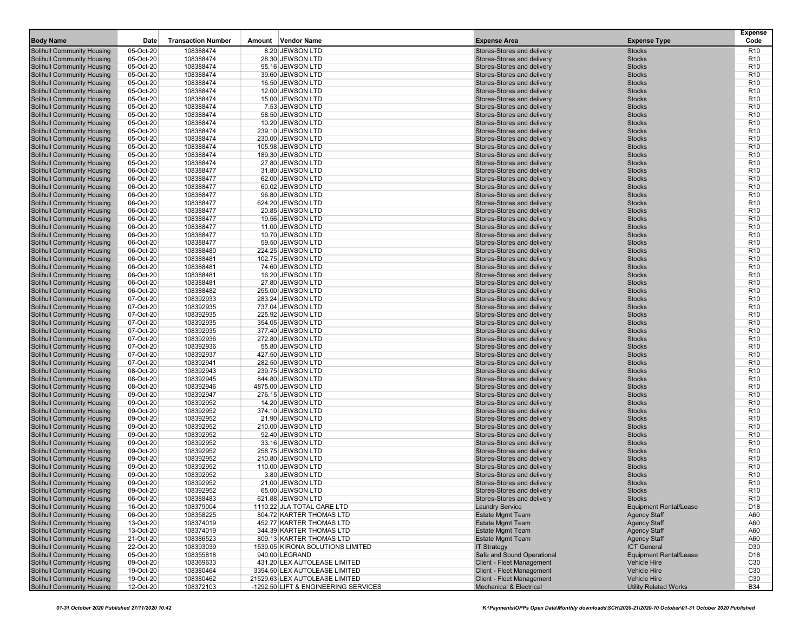| <b>Body Name</b>                  | Date      | <b>Transaction Number</b> | Amount Vendor Name                   | <b>Expense Area</b>        | <b>Expense Type</b>           | <b>Expense</b><br>Code |
|-----------------------------------|-----------|---------------------------|--------------------------------------|----------------------------|-------------------------------|------------------------|
|                                   |           |                           |                                      |                            |                               |                        |
| <b>Solihull Community Housing</b> | 05-Oct-20 | 108388474                 | 8.20 JEWSON LTD                      | Stores-Stores and delivery | <b>Stocks</b>                 | R <sub>10</sub>        |
| <b>Solihull Community Housing</b> | 05-Oct-20 | 108388474                 | 28.30 JEWSON LTD                     | Stores-Stores and delivery | <b>Stocks</b>                 | R <sub>10</sub>        |
| <b>Solihull Community Housing</b> | 05-Oct-20 | 108388474                 | 95.16 JEWSON LTD                     | Stores-Stores and delivery | <b>Stocks</b>                 | R <sub>10</sub>        |
| <b>Solihull Community Housing</b> | 05-Oct-20 | 108388474                 | 39.60 JEWSON LTD                     | Stores-Stores and delivery | <b>Stocks</b>                 | R <sub>10</sub>        |
| <b>Solihull Community Housing</b> | 05-Oct-20 | 108388474                 | 16.50 JEWSON LTD                     | Stores-Stores and delivery | <b>Stocks</b>                 | R <sub>10</sub>        |
| Solihull Community Housing        | 05-Oct-20 | 108388474                 | 12.00 JEWSON LTD                     | Stores-Stores and delivery | <b>Stocks</b>                 | R <sub>10</sub>        |
| Solihull Community Housing        | 05-Oct-20 | 108388474                 | 15.00 JEWSON LTD                     | Stores-Stores and delivery | <b>Stocks</b>                 | R <sub>10</sub>        |
| <b>Solihull Community Housing</b> | 05-Oct-20 | 108388474                 | 7.53 JEWSON LTD                      | Stores-Stores and delivery | <b>Stocks</b>                 | R <sub>10</sub>        |
| <b>Solihull Community Housing</b> | 05-Oct-20 | 108388474                 | 58.50 JEWSON LTD                     | Stores-Stores and delivery | <b>Stocks</b>                 | R <sub>10</sub>        |
| <b>Solihull Community Housing</b> | 05-Oct-20 | 108388474                 | 10.20 JEWSON LTD                     | Stores-Stores and delivery | <b>Stocks</b>                 | R <sub>10</sub>        |
| Solihull Community Housing        | 05-Oct-20 | 108388474                 | 239.10 JEWSON LTD                    | Stores-Stores and delivery | <b>Stocks</b>                 | R <sub>10</sub>        |
| Solihull Community Housing        | 05-Oct-20 | 108388474                 | 230.00 JEWSON LTD                    | Stores-Stores and delivery | <b>Stocks</b>                 | R <sub>10</sub>        |
| <b>Solihull Community Housing</b> | 05-Oct-20 | 108388474                 | 105.98 JEWSON LTD                    | Stores-Stores and delivery | <b>Stocks</b>                 | R <sub>10</sub>        |
| <b>Solihull Community Housing</b> | 05-Oct-20 | 108388474                 | 189.30 JEWSON LTD                    | Stores-Stores and delivery | <b>Stocks</b>                 | R <sub>10</sub>        |
| <b>Solihull Community Housing</b> | 05-Oct-20 | 108388474                 | 27.80 JEWSON LTD                     | Stores-Stores and delivery | <b>Stocks</b>                 | R <sub>10</sub>        |
| Solihull Community Housing        | 06-Oct-20 | 108388477                 | 31.80 JEWSON LTD                     | Stores-Stores and delivery | <b>Stocks</b>                 | R <sub>10</sub>        |
| Solihull Community Housing        | 06-Oct-20 | 108388477                 | 62.00 JEWSON LTD                     | Stores-Stores and delivery | <b>Stocks</b>                 | R <sub>10</sub>        |
| <b>Solihull Community Housing</b> | 06-Oct-20 | 108388477                 | 60.02 JEWSON LTD                     | Stores-Stores and delivery | <b>Stocks</b>                 | R <sub>10</sub>        |
| <b>Solihull Community Housing</b> | 06-Oct-20 | 108388477                 | 96.80 JEWSON LTD                     | Stores-Stores and delivery | <b>Stocks</b>                 | R <sub>10</sub>        |
| <b>Solihull Community Housing</b> | 06-Oct-20 | 108388477                 | 624.20 JEWSON LTD                    | Stores-Stores and delivery | <b>Stocks</b>                 | R <sub>10</sub>        |
| Solihull Community Housing        | 06-Oct-20 | 108388477                 | 20.85 JEWSON LTD                     | Stores-Stores and delivery | <b>Stocks</b>                 | R <sub>10</sub>        |
| <b>Solihull Community Housing</b> | 06-Oct-20 | 108388477                 | 19.56 JEWSON LTD                     | Stores-Stores and delivery | <b>Stocks</b>                 | R <sub>10</sub>        |
| <b>Solihull Community Housing</b> | 06-Oct-20 | 108388477                 | 11.00 JEWSON LTD                     | Stores-Stores and delivery | <b>Stocks</b>                 | R <sub>10</sub>        |
| <b>Solihull Community Housing</b> | 06-Oct-20 | 108388477                 | 10.70 JEWSON LTD                     | Stores-Stores and delivery | <b>Stocks</b>                 | R <sub>10</sub>        |
| <b>Solihull Community Housing</b> | 06-Oct-20 | 108388477                 | 59.50 JEWSON LTD                     | Stores-Stores and delivery | <b>Stocks</b>                 | R <sub>10</sub>        |
| Solihull Community Housing        | 06-Oct-20 | 108388480                 | 224.25 JEWSON LTD                    | Stores-Stores and delivery | <b>Stocks</b>                 | R <sub>10</sub>        |
| Solihull Community Housing        | 06-Oct-20 | 108388481                 | 102.75 JEWSON LTD                    | Stores-Stores and delivery | <b>Stocks</b>                 | R <sub>10</sub>        |
| <b>Solihull Community Housing</b> | 06-Oct-20 | 108388481                 | 74.60 JEWSON LTD                     | Stores-Stores and delivery | <b>Stocks</b>                 | R <sub>10</sub>        |
| <b>Solihull Community Housing</b> | 06-Oct-20 | 108388481                 | 16.20 JEWSON LTD                     | Stores-Stores and delivery | <b>Stocks</b>                 | R <sub>10</sub>        |
| <b>Solihull Community Housing</b> | 06-Oct-20 | 108388481                 | 27.80 JEWSON LTD                     | Stores-Stores and delivery | <b>Stocks</b>                 | R <sub>10</sub>        |
| <b>Solihull Community Housing</b> | 06-Oct-20 | 108388482                 | 255.00 JEWSON LTD                    | Stores-Stores and delivery | <b>Stocks</b>                 | R <sub>10</sub>        |
| Solihull Community Housing        | 07-Oct-20 | 108392933                 | 283.24 JEWSON LTD                    | Stores-Stores and delivery | <b>Stocks</b>                 | R <sub>10</sub>        |
| <b>Solihull Community Housing</b> | 07-Oct-20 | 108392935                 | 737.04 JEWSON LTD                    | Stores-Stores and delivery | <b>Stocks</b>                 | R <sub>10</sub>        |
| <b>Solihull Community Housing</b> | 07-Oct-20 | 108392935                 | 225.92 JEWSON LTD                    | Stores-Stores and delivery | <b>Stocks</b>                 | R <sub>10</sub>        |
| <b>Solihull Community Housing</b> | 07-Oct-20 | 108392935                 | 354.05 JEWSON LTD                    | Stores-Stores and delivery | <b>Stocks</b>                 | R <sub>10</sub>        |
| Solihull Community Housing        | 07-Oct-20 | 108392935                 | 377.40 JEWSON LTD                    | Stores-Stores and delivery | <b>Stocks</b>                 | R <sub>10</sub>        |
| Solihull Community Housing        | 07-Oct-20 | 108392936                 | 272.80 JEWSON LTD                    | Stores-Stores and delivery | <b>Stocks</b>                 | R <sub>10</sub>        |
| <b>Solihull Community Housing</b> | 07-Oct-20 | 108392936                 | 55.80 JEWSON LTD                     | Stores-Stores and delivery | <b>Stocks</b>                 | R <sub>10</sub>        |
| <b>Solihull Community Housing</b> | 07-Oct-20 | 108392937                 | 427.50 JEWSON LTD                    | Stores-Stores and delivery | <b>Stocks</b>                 | R <sub>10</sub>        |
| Solihull Community Housing        | 07-Oct-20 | 108392941                 | 282.50 JEWSON LTD                    | Stores-Stores and delivery | <b>Stocks</b>                 | R <sub>10</sub>        |
| Solihull Community Housing        | 08-Oct-20 | 108392943                 | 239.75 JEWSON LTD                    | Stores-Stores and delivery | <b>Stocks</b>                 | R <sub>10</sub>        |
| Solihull Community Housing        | 08-Oct-20 | 108392945                 | 844.80 JEWSON LTD                    | Stores-Stores and delivery | <b>Stocks</b>                 | R <sub>10</sub>        |
| <b>Solihull Community Housing</b> | 08-Oct-20 | 108392946                 | 4875.00 JEWSON LTD                   | Stores-Stores and delivery | <b>Stocks</b>                 | R <sub>10</sub>        |
| <b>Solihull Community Housing</b> | 09-Oct-20 | 108392947                 | 276.15 JEWSON LTD                    | Stores-Stores and delivery | <b>Stocks</b>                 | R <sub>10</sub>        |
| <b>Solihull Community Housing</b> | 09-Oct-20 | 108392952                 | 14.20 JEWSON LTD                     | Stores-Stores and delivery | <b>Stocks</b>                 | R <sub>10</sub>        |
| Solihull Community Housing        | 09-Oct-20 | 108392952                 | 374.10 JEWSON LTD                    | Stores-Stores and delivery | <b>Stocks</b>                 | R <sub>10</sub>        |
| Solihull Community Housing        | 09-Oct-20 | 108392952                 | 21.90 JEWSON LTD                     | Stores-Stores and delivery | <b>Stocks</b>                 | R <sub>10</sub>        |
| <b>Solihull Community Housing</b> | 09-Oct-20 | 108392952                 | 210.00 JEWSON LTD                    | Stores-Stores and delivery | <b>Stocks</b>                 | R <sub>10</sub>        |
| <b>Solihull Community Housing</b> | 09-Oct-20 | 108392952                 | 92.40 JEWSON LTD                     | Stores-Stores and delivery | <b>Stocks</b>                 | R <sub>10</sub>        |
| <b>Solihull Community Housing</b> | 09-Oct-20 | 108392952                 | 33.16 JEWSON LTD                     | Stores-Stores and delivery | <b>Stocks</b>                 | R <sub>10</sub>        |
| Solihull Community Housing        | 09-Oct-20 | 108392952                 | 258.75 JEWSON LTD                    | Stores-Stores and delivery | <b>Stocks</b>                 | R <sub>10</sub>        |
| Solihull Community Housing        | 09-Oct-20 | 108392952                 | 210.80 JEWSON LTD                    | Stores-Stores and delivery | <b>Stocks</b>                 | R <sub>10</sub>        |
| <b>Solihull Community Housing</b> | 09-Oct-20 | 108392952                 | 110.00 JEWSON LTD                    | Stores-Stores and delivery | <b>Stocks</b>                 | R <sub>10</sub>        |
| <b>Solihull Community Housing</b> | 09-Oct-20 | 108392952                 | 3.80 JEWSON LTD                      | Stores-Stores and delivery | <b>Stocks</b>                 | R <sub>10</sub>        |
| <b>Solihull Community Housing</b> | 09-Oct-20 | 108392952                 | 21.00 JEWSON LTD                     | Stores-Stores and delivery | <b>Stocks</b>                 | R <sub>10</sub>        |
| Solihull Community Housing        | 09-Oct-20 | 108392952                 | 65.00 JEWSON LTD                     | Stores-Stores and delivery | <b>Stocks</b>                 | R <sub>10</sub>        |
| Solihull Community Housing        | 06-Oct-20 | 108388483                 | 621.88 JEWSON LTD                    | Stores-Stores and delivery | <b>Stocks</b>                 | R <sub>10</sub>        |
| Solihull Community Housing        | 16-Oct-20 | 108379004                 | 1110.22 JLA TOTAL CARE LTD           | <b>Laundry Service</b>     | <b>Equipment Rental/Lease</b> | D <sub>18</sub>        |
| Solihull Community Housing        | 06-Oct-20 | 108358225                 | 804.72 KARTER THOMAS LTD             | <b>Estate Mgmt Team</b>    | <b>Agency Staff</b>           | A60                    |
| Solihull Community Housing        | 13-Oct-20 | 108374019                 | 452.77 KARTER THOMAS LTD             | <b>Estate Mgmt Team</b>    | <b>Agency Staff</b>           | A60                    |
| Solihull Community Housing        | 13-Oct-20 | 108374019                 | 344.39 KARTER THOMAS LTD             | <b>Estate Mgmt Team</b>    | <b>Agency Staff</b>           | A60                    |
| Solihull Community Housing        | 21-Oct-20 | 108386523                 | 809.13 KARTER THOMAS LTD             | <b>Estate Mgmt Team</b>    | <b>Agency Staff</b>           | A60                    |
| Solihull Community Housing        | 22-Oct-20 | 108393039                 | 1539.05 KIRONA SOLUTIONS LIMITED     | <b>IT Strategy</b>         | <b>ICT General</b>            | D30                    |
| Solihull Community Housing        | 05-Oct-20 | 108355818                 | 940.00 LEGRAND                       | Safe and Sound Operational | <b>Equipment Rental/Lease</b> | D <sub>18</sub>        |
| Solihull Community Housing        | 09-Oct-20 | 108369633                 | 431.20 LEX AUTOLEASE LIMITED         | Client - Fleet Management  | <b>Vehicle Hire</b>           | C30                    |
| Solihull Community Housing        | 19-Oct-20 | 108380464                 | 3394.50 LEX AUTOLEASE LIMITED        | Client - Fleet Management  | <b>Vehicle Hire</b>           | C <sub>30</sub>        |
| Solihull Community Housing        | 19-Oct-20 | 108380462                 | 21529.63 LEX AUTOLEASE LIMITED       | Client - Fleet Management  | Vehicle Hire                  | C30                    |
| <b>Solihull Community Housing</b> | 12-Oct-20 | 108372103                 | -1292.50 LIFT & ENGINEERING SERVICES | Mechanical & Electrical    | <b>Utility Related Works</b>  | <b>B34</b>             |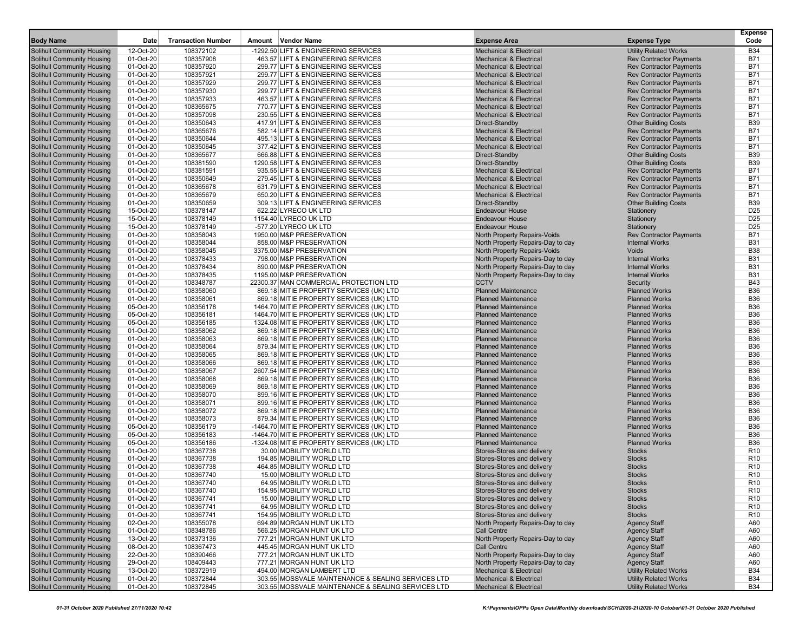| <b>Body Name</b>                                                       | Date                   | <b>Transaction Number</b> | Amount Vendor Name                                                                   |                                                    | <b>Expense Area</b>                                      | <b>Expense Type</b>                          | <b>Expense</b><br>Code   |
|------------------------------------------------------------------------|------------------------|---------------------------|--------------------------------------------------------------------------------------|----------------------------------------------------|----------------------------------------------------------|----------------------------------------------|--------------------------|
| <b>Solihull Community Housing</b>                                      | 12-Oct-20              | 108372102                 | -1292.50 LIFT & ENGINEERING SERVICES                                                 |                                                    | <b>Mechanical &amp; Electrical</b>                       | <b>Utility Related Works</b>                 | <b>B34</b>               |
| Solihull Community Housing                                             | 01-Oct-20              | 108357908                 | 463.57 LIFT & ENGINEERING SERVICES                                                   |                                                    | <b>Mechanical &amp; Electrical</b>                       | <b>Rev Contractor Payments</b>               | <b>B71</b>               |
| <b>Solihull Community Housing</b>                                      | 01-Oct-20              | 108357920                 | 299.77 LIFT & ENGINEERING SERVICES                                                   |                                                    | <b>Mechanical &amp; Electrical</b>                       | <b>Rev Contractor Payments</b>               | <b>B71</b>               |
| <b>Solihull Community Housing</b>                                      | 01-Oct-20              | 108357921                 | 299.77 LIFT & ENGINEERING SERVICES                                                   |                                                    | <b>Mechanical &amp; Electrical</b>                       | <b>Rev Contractor Payments</b>               | <b>B71</b>               |
| <b>Solihull Community Housing</b>                                      | 01-Oct-20              | 108357929                 | 299.77 LIFT & ENGINEERING SERVICES                                                   |                                                    | <b>Mechanical &amp; Electrical</b>                       | <b>Rev Contractor Payments</b>               | <b>B71</b>               |
| <b>Solihull Community Housing</b>                                      | 01-Oct-20              | 108357930                 | 299.77 LIFT & ENGINEERING SERVICES                                                   |                                                    | <b>Mechanical &amp; Electrical</b>                       | <b>Rev Contractor Payments</b>               | <b>B71</b>               |
| <b>Solihull Community Housing</b>                                      | 01-Oct-20              | 108357933                 | 463.57 LIFT & ENGINEERING SERVICES                                                   |                                                    | <b>Mechanical &amp; Electrical</b>                       | <b>Rev Contractor Payments</b>               | <b>B71</b>               |
| <b>Solihull Community Housing</b>                                      | 01-Oct-20              | 108365675                 | 770.77 LIFT & ENGINEERING SERVICES                                                   |                                                    | <b>Mechanical &amp; Electrical</b>                       | <b>Rev Contractor Payments</b>               | <b>B71</b>               |
| <b>Solihull Community Housing</b>                                      | 01-Oct-20              | 108357098                 | 230.55 LIFT & ENGINEERING SERVICES                                                   |                                                    | <b>Mechanical &amp; Electrical</b>                       | <b>Rev Contractor Payments</b>               | <b>B71</b>               |
| <b>Solihull Community Housing</b>                                      | 01-Oct-20              | 108350643                 | 417.91 LIFT & ENGINEERING SERVICES                                                   |                                                    | Direct-Standby                                           | <b>Other Building Costs</b>                  | <b>B39</b>               |
| <b>Solihull Community Housing</b>                                      | 01-Oct-20              | 108365676                 | 582.14 LIFT & ENGINEERING SERVICES                                                   |                                                    | <b>Mechanical &amp; Electrical</b>                       | <b>Rev Contractor Payments</b>               | <b>B71</b>               |
| <b>Solihull Community Housing</b>                                      | 01-Oct-20              | 108350644                 | 495.13 LIFT & ENGINEERING SERVICES                                                   |                                                    | <b>Mechanical &amp; Electrical</b>                       | <b>Rev Contractor Payments</b>               | <b>B71</b>               |
| <b>Solihull Community Housing</b>                                      | 01-Oct-20              | 108350645                 | 377.42 LIFT & ENGINEERING SERVICES                                                   |                                                    | <b>Mechanical &amp; Electrical</b>                       | <b>Rev Contractor Payments</b>               | <b>B71</b>               |
| <b>Solihull Community Housing</b>                                      | 01-Oct-20              | 108365677                 | 666.88 LIFT & ENGINEERING SERVICES                                                   |                                                    | Direct-Standby                                           | <b>Other Building Costs</b>                  | <b>B39</b>               |
| <b>Solihull Community Housing</b>                                      | 01-Oct-20              | 108381590                 | 1290.58 LIFT & ENGINEERING SERVICES                                                  |                                                    | Direct-Standby                                           | <b>Other Building Costs</b>                  | <b>B39</b>               |
| Solihull Community Housing                                             | 01-Oct-20              | 108381591                 | 935.55 LIFT & ENGINEERING SERVICES                                                   |                                                    | <b>Mechanical &amp; Electrical</b>                       | <b>Rev Contractor Payments</b>               | <b>B71</b>               |
| <b>Solihull Community Housing</b>                                      | 01-Oct-20              | 108350649                 | 279.45 LIFT & ENGINEERING SERVICES                                                   |                                                    | <b>Mechanical &amp; Electrical</b>                       | <b>Rev Contractor Payments</b>               | <b>B71</b>               |
| <b>Solihull Community Housing</b>                                      | 01-Oct-20              | 108365678                 | 631.79 LIFT & ENGINEERING SERVICES                                                   |                                                    | <b>Mechanical &amp; Electrical</b>                       | <b>Rev Contractor Payments</b>               | <b>B71</b>               |
| <b>Solihull Community Housing</b>                                      | 01-Oct-20              | 108365679                 | 650.20 LIFT & ENGINEERING SERVICES                                                   |                                                    | <b>Mechanical &amp; Electrical</b>                       | <b>Rev Contractor Payments</b>               | <b>B71</b>               |
| <b>Solihull Community Housing</b>                                      | 01-Oct-20              | 108350659                 | 309.13 LIFT & ENGINEERING SERVICES                                                   |                                                    | Direct-Standby                                           | <b>Other Building Costs</b>                  | <b>B39</b>               |
| <b>Solihull Community Housing</b>                                      | 15-Oct-20              | 108378147                 | 622.22 LYRECO UK LTD                                                                 |                                                    | <b>Endeavour House</b>                                   | Stationery                                   | D <sub>25</sub>          |
| <b>Solihull Community Housing</b>                                      | 15-Oct-20              | 108378149                 | 1154.40 LYRECO UK LTD                                                                |                                                    | <b>Endeavour House</b>                                   | Stationery                                   | D <sub>25</sub>          |
| <b>Solihull Community Housing</b>                                      | 15-Oct-20              | 108378149                 | -577.20 LYRECO UK LTD                                                                |                                                    | <b>Endeavour House</b>                                   | Stationery                                   | D <sub>25</sub>          |
| <b>Solihull Community Housing</b>                                      | 01-Oct-20              | 108358043                 | 1950.00 M&P PRESERVATION                                                             |                                                    | North Property Repairs-Voids                             | <b>Rev Contractor Payments</b>               | <b>B71</b>               |
| <b>Solihull Community Housing</b>                                      | 01-Oct-20              | 108358044                 | 858.00 M&P PRESERVATION                                                              |                                                    | North Property Repairs-Day to day                        | <b>Internal Works</b>                        | <b>B31</b>               |
| <b>Solihull Community Housing</b>                                      | 01-Oct-20              | 108358045                 | 3375.00 M&P PRESERVATION                                                             |                                                    | North Property Repairs-Voids                             | Voids                                        | <b>B38</b>               |
| <b>Solihull Community Housing</b>                                      | 01-Oct-20              | 108378433                 | 798.00 M&P PRESERVATION                                                              |                                                    | North Property Repairs-Day to day                        | <b>Internal Works</b>                        | <b>B31</b>               |
| <b>Solihull Community Housing</b>                                      | 01-Oct-20              | 108378434                 | 890.00 M&P PRESERVATION                                                              |                                                    | North Property Repairs-Day to day                        | <b>Internal Works</b>                        | <b>B31</b>               |
| <b>Solihull Community Housing</b>                                      | 01-Oct-20              | 108378435                 | 1195.00 M&P PRESERVATION                                                             |                                                    | North Property Repairs-Day to day                        | <b>Internal Works</b>                        | <b>B31</b>               |
| <b>Solihull Community Housing</b>                                      | 01-Oct-20              | 108348787                 | 22300.37 MAN COMMERCIAL PROTECTION LTD                                               |                                                    | <b>CCTV</b>                                              | Security                                     | <b>B43</b>               |
| <b>Solihull Community Housing</b>                                      | 01-Oct-20              | 108358060                 | 869.18 MITIE PROPERTY SERVICES (UK) LTD                                              |                                                    | <b>Planned Maintenance</b>                               | <b>Planned Works</b>                         | <b>B36</b>               |
| <b>Solihull Community Housing</b>                                      | 01-Oct-20              | 108358061                 | 869.18 MITIE PROPERTY SERVICES (UK) LTD                                              |                                                    | <b>Planned Maintenance</b><br><b>Planned Maintenance</b> | <b>Planned Works</b><br><b>Planned Works</b> | <b>B36</b><br><b>B36</b> |
| <b>Solihull Community Housing</b>                                      | 05-Oct-20              | 108356178                 | 1464.70 MITIE PROPERTY SERVICES (UK) LTD<br>1464.70 MITIE PROPERTY SERVICES (UK) LTD |                                                    |                                                          |                                              | <b>B36</b>               |
| <b>Solihull Community Housing</b>                                      | 05-Oct-20              | 108356181                 |                                                                                      |                                                    | <b>Planned Maintenance</b>                               | <b>Planned Works</b>                         |                          |
| <b>Solihull Community Housing</b>                                      | 05-Oct-20              | 108356185                 | 1324.08 MITIE PROPERTY SERVICES (UK) LTD                                             |                                                    | <b>Planned Maintenance</b>                               | <b>Planned Works</b>                         | <b>B36</b>               |
| <b>Solihull Community Housing</b><br><b>Solihull Community Housing</b> | 01-Oct-20<br>01-Oct-20 | 108358062<br>108358063    | 869.18 MITIE PROPERTY SERVICES (UK) LTD<br>869.18 MITIE PROPERTY SERVICES (UK) LTD   |                                                    | <b>Planned Maintenance</b><br><b>Planned Maintenance</b> | <b>Planned Works</b><br><b>Planned Works</b> | <b>B36</b><br><b>B36</b> |
| <b>Solihull Community Housing</b>                                      | 01-Oct-20              | 108358064                 |                                                                                      |                                                    | <b>Planned Maintenance</b>                               | <b>Planned Works</b>                         | <b>B36</b>               |
| <b>Solihull Community Housing</b>                                      | 01-Oct-20              | 108358065                 | 879.34 MITIE PROPERTY SERVICES (UK) LTD<br>869.18 MITIE PROPERTY SERVICES (UK) LTD   |                                                    | <b>Planned Maintenance</b>                               | <b>Planned Works</b>                         | <b>B36</b>               |
| <b>Solihull Community Housing</b>                                      | 01-Oct-20              | 108358066                 | 869.18 MITIE PROPERTY SERVICES (UK) LTD                                              |                                                    | <b>Planned Maintenance</b>                               | <b>Planned Works</b>                         | <b>B36</b>               |
| <b>Solihull Community Housing</b>                                      | 01-Oct-20              | 108358067                 | 2607.54 MITIE PROPERTY SERVICES (UK) LTD                                             |                                                    | <b>Planned Maintenance</b>                               | <b>Planned Works</b>                         | <b>B36</b>               |
| <b>Solihull Community Housing</b>                                      | 01-Oct-20              | 108358068                 | 869.18 MITIE PROPERTY SERVICES (UK) LTD                                              |                                                    | <b>Planned Maintenance</b>                               | <b>Planned Works</b>                         | <b>B36</b>               |
| <b>Solihull Community Housing</b>                                      | 01-Oct-20              | 108358069                 | 869.18 MITIE PROPERTY SERVICES (UK) LTD                                              |                                                    | <b>Planned Maintenance</b>                               | <b>Planned Works</b>                         | <b>B36</b>               |
| <b>Solihull Community Housing</b>                                      | 01-Oct-20              | 108358070                 | 899.16 MITIE PROPERTY SERVICES (UK) LTD                                              |                                                    | <b>Planned Maintenance</b>                               | <b>Planned Works</b>                         | <b>B36</b>               |
| <b>Solihull Community Housing</b>                                      | 01-Oct-20              | 108358071                 | 899.16 MITIE PROPERTY SERVICES (UK) LTD                                              |                                                    | <b>Planned Maintenance</b>                               | <b>Planned Works</b>                         | <b>B36</b>               |
| <b>Solihull Community Housing</b>                                      | 01-Oct-20              | 108358072                 | 869.18 MITIE PROPERTY SERVICES (UK) LTD                                              |                                                    | <b>Planned Maintenance</b>                               | <b>Planned Works</b>                         | <b>B36</b>               |
| <b>Solihull Community Housing</b>                                      | 01-Oct-20              | 108358073                 | 879.34 MITIE PROPERTY SERVICES (UK) LTD                                              |                                                    | <b>Planned Maintenance</b>                               | <b>Planned Works</b>                         | <b>B36</b>               |
| <b>Solihull Community Housing</b>                                      | 05-Oct-20              | 108356179                 | -1464.70 MITIE PROPERTY SERVICES (UK) LTD                                            |                                                    | <b>Planned Maintenance</b>                               | <b>Planned Works</b>                         | <b>B36</b>               |
| <b>Solihull Community Housing</b>                                      | 05-Oct-20              | 108356183                 | -1464.70 MITIE PROPERTY SERVICES (UK) LTD                                            |                                                    | <b>Planned Maintenance</b>                               | <b>Planned Works</b>                         | <b>B36</b>               |
| <b>Solihull Community Housing</b>                                      | 05-Oct-20              | 108356186                 | -1324.08 MITIE PROPERTY SERVICES (UK) LTD                                            |                                                    | <b>Planned Maintenance</b>                               | <b>Planned Works</b>                         | <b>B36</b>               |
| <b>Solihull Community Housing</b>                                      | 01-Oct-20              | 108367738                 | 30.00 MOBILITY WORLD LTD                                                             |                                                    | Stores-Stores and delivery                               | <b>Stocks</b>                                | R <sub>10</sub>          |
| <b>Solihull Community Housing</b>                                      | 01-Oct-20              | 108367738                 | 194.85 MOBILITY WORLD LTD                                                            |                                                    | Stores-Stores and delivery                               | <b>Stocks</b>                                | R <sub>10</sub>          |
| <b>Solihull Community Housing</b>                                      | 01-Oct-20              | 108367738                 | 464.85 MOBILITY WORLD LTD                                                            |                                                    | Stores-Stores and delivery                               | <b>Stocks</b>                                | R <sub>10</sub>          |
| <b>Solihull Community Housing</b>                                      | 01-Oct-20              | 108367740                 | 15.00 MOBILITY WORLD LTD                                                             |                                                    | Stores-Stores and delivery                               | <b>Stocks</b>                                | R <sub>10</sub>          |
| <b>Solihull Community Housing</b>                                      | 01-Oct-20              | 108367740                 | 64.95 MOBILITY WORLD LTD                                                             |                                                    | Stores-Stores and delivery                               | <b>Stocks</b>                                | R <sub>10</sub>          |
| <b>Solihull Community Housing</b>                                      | 01-Oct-20              | 108367740                 | 154.95 MOBILITY WORLD LTD                                                            |                                                    | Stores-Stores and delivery                               | Stocks                                       | R <sub>10</sub>          |
| <b>Solihull Community Housing</b>                                      | 01-Oct-20              | 108367741                 | 15.00 MOBILITY WORLD LTD                                                             |                                                    | Stores-Stores and delivery                               | <b>Stocks</b>                                | R <sub>10</sub>          |
| <b>Solihull Community Housing</b>                                      | 01-Oct-20              | 108367741                 | 64.95 MOBILITY WORLD LTD                                                             |                                                    | Stores-Stores and delivery                               | <b>Stocks</b>                                | R <sub>10</sub>          |
| <b>Solihull Community Housing</b>                                      | 01-Oct-20              | 108367741                 | 154.95 MOBILITY WORLD LTD                                                            |                                                    | Stores-Stores and delivery                               | <b>Stocks</b>                                | R <sub>10</sub>          |
| <b>Solihull Community Housing</b>                                      | 02-Oct-20              | 108355078                 | 694.89 MORGAN HUNT UK LTD                                                            |                                                    | North Property Repairs-Day to day                        | <b>Agency Staff</b>                          | A60                      |
| Solihull Community Housing                                             | 01-Oct-20              | 108348786                 | 566.25 MORGAN HUNT UK LTD                                                            |                                                    | <b>Call Centre</b>                                       | <b>Agency Staff</b>                          | A60                      |
| Solihull Community Housing                                             | 13-Oct-20              | 108373136                 | 777.21 MORGAN HUNT UK LTD                                                            |                                                    | North Property Repairs-Day to day                        | <b>Agency Staff</b>                          | A60                      |
| <b>Solihull Community Housing</b>                                      | 08-Oct-20              | 108367473                 | 445.45 MORGAN HUNT UK LTD                                                            |                                                    | Call Centre                                              | <b>Agency Staff</b>                          | A60                      |
| <b>Solihull Community Housing</b>                                      | 22-Oct-20              | 108390466                 | 777.21 MORGAN HUNT UK LTD                                                            |                                                    | North Property Repairs-Day to day                        | <b>Agency Staff</b>                          | A60                      |
| <b>Solihull Community Housing</b>                                      | 29-Oct-20              | 108409443                 | 777.21 MORGAN HUNT UK LTD                                                            |                                                    | North Property Repairs-Day to day                        | <b>Agency Staff</b>                          | A60                      |
| <b>Solihull Community Housing</b>                                      | 13-Oct-20              | 108372919                 | 494.00 MORGAN LAMBERT LTD                                                            |                                                    | <b>Mechanical &amp; Electrical</b>                       | <b>Utility Related Works</b>                 | <b>B34</b>               |
| <b>Solihull Community Housing</b>                                      | 01-Oct-20              | 108372844                 |                                                                                      | 303.55 MOSSVALE MAINTENANCE & SEALING SERVICES LTD | <b>Mechanical &amp; Electrical</b>                       | <b>Utility Related Works</b>                 | <b>B34</b>               |
| Solihull Community Housing                                             | 01-Oct-20              | 108372845                 |                                                                                      | 303.55 MOSSVALE MAINTENANCE & SEALING SERVICES LTD | <b>Mechanical &amp; Electrical</b>                       | <b>Utility Related Works</b>                 | <b>B34</b>               |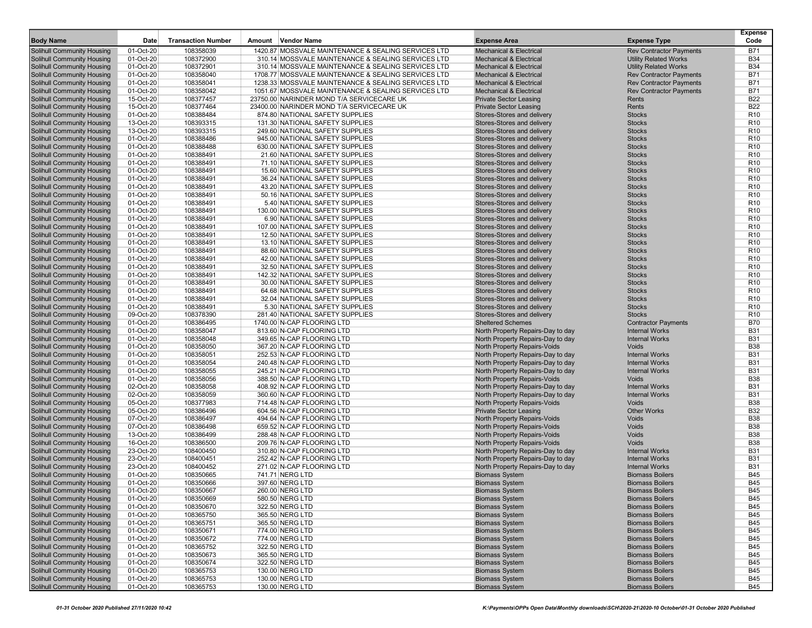| <b>Body Name</b>                                                       | Date                   | <b>Transaction Number</b> | Amount<br><b>Vendor Name</b>                                     | <b>Expense Area</b>                                           | <b>Expense Type</b>            | Expense<br>Code                    |
|------------------------------------------------------------------------|------------------------|---------------------------|------------------------------------------------------------------|---------------------------------------------------------------|--------------------------------|------------------------------------|
| <b>Solihull Community Housing</b>                                      | 01-Oct-20              | 108358039                 | 1420.87 MOSSVALE MAINTENANCE & SEALING SERVICES LTD              | <b>Mechanical &amp; Electrical</b>                            | <b>Rev Contractor Payments</b> | <b>B71</b>                         |
| Solihull Community Housing                                             | 01-Oct-20              | 108372900                 | 310.14 MOSSVALE MAINTENANCE & SEALING SERVICES LTD               | <b>Mechanical &amp; Electrical</b>                            | <b>Utility Related Works</b>   | <b>B34</b>                         |
| Solihull Community Housing                                             | 01-Oct-20              | 108372901                 | 310.14 MOSSVALE MAINTENANCE & SEALING SERVICES LTD               | <b>Mechanical &amp; Electrical</b>                            | <b>Utility Related Works</b>   | <b>B34</b>                         |
| <b>Solihull Community Housing</b>                                      | 01-Oct-20              | 108358040                 | 1708.77 MOSSVALE MAINTENANCE & SEALING SERVICES LTD              | <b>Mechanical &amp; Electrical</b>                            | <b>Rev Contractor Payments</b> | <b>B71</b>                         |
| <b>Solihull Community Housing</b>                                      | 01-Oct-20              | 108358041                 | 1238.33 MOSSVALE MAINTENANCE & SEALING SERVICES LTD              | <b>Mechanical &amp; Electrical</b>                            | <b>Rev Contractor Payments</b> | <b>B71</b>                         |
| Solihull Community Housing                                             | 01-Oct-20              | 108358042                 | 1051.67 MOSSVALE MAINTENANCE & SEALING SERVICES LTD              | <b>Mechanical &amp; Electrical</b>                            | <b>Rev Contractor Payments</b> | <b>B71</b>                         |
| <b>Solihull Community Housing</b>                                      | 15-Oct-20              | 108377457                 | 23750.00 NARINDER MOND T/A SERVICECARE UK                        | <b>Private Sector Leasing</b>                                 | Rents                          | <b>B22</b>                         |
| <b>Solihull Community Housing</b>                                      | 15-Oct-20              | 108377464                 | 23400.00 NARINDER MOND T/A SERVICECARE UK                        | <b>Private Sector Leasing</b>                                 | Rents                          | <b>B22</b>                         |
| <b>Solihull Community Housing</b>                                      | 01-Oct-20              | 108388484                 | 874.80 NATIONAL SAFETY SUPPLIES                                  | Stores-Stores and delivery                                    | <b>Stocks</b>                  | R <sub>10</sub>                    |
| <b>Solihull Community Housing</b>                                      | 13-Oct-20              | 108393315                 | 131.30 NATIONAL SAFETY SUPPLIES                                  | Stores-Stores and delivery                                    | <b>Stocks</b>                  | R <sub>10</sub>                    |
| <b>Solihull Community Housing</b>                                      | 13-Oct-20              | 108393315                 | 249.60 NATIONAL SAFETY SUPPLIES                                  | Stores-Stores and delivery                                    | <b>Stocks</b>                  | R <sub>10</sub>                    |
| <b>Solihull Community Housing</b>                                      | 01-Oct-20              | 108388486                 | 945.00 NATIONAL SAFETY SUPPLIES                                  | Stores-Stores and delivery                                    | <b>Stocks</b>                  | R <sub>10</sub>                    |
| <b>Solihull Community Housing</b>                                      | 01-Oct-20              | 108388488                 | 630.00 NATIONAL SAFETY SUPPLIES                                  | Stores-Stores and delivery                                    | <b>Stocks</b>                  | R <sub>10</sub>                    |
| <b>Solihull Community Housing</b>                                      | 01-Oct-20              | 108388491                 | 21.60 NATIONAL SAFETY SUPPLIES                                   | Stores-Stores and delivery                                    | <b>Stocks</b>                  | R <sub>10</sub>                    |
| <b>Solihull Community Housing</b>                                      | 01-Oct-20              | 108388491                 | 71.10 NATIONAL SAFETY SUPPLIES                                   | Stores-Stores and delivery                                    | <b>Stocks</b>                  | R <sub>10</sub>                    |
| Solihull Community Housing                                             | 01-Oct-20              | 108388491                 | 15.60 NATIONAL SAFETY SUPPLIES                                   | Stores-Stores and delivery                                    | <b>Stocks</b>                  | R <sub>10</sub>                    |
| <b>Solihull Community Housing</b>                                      | 01-Oct-20              | 108388491                 | 36.24 NATIONAL SAFETY SUPPLIES                                   | Stores-Stores and delivery                                    | <b>Stocks</b>                  | R <sub>10</sub>                    |
| <b>Solihull Community Housing</b>                                      | 01-Oct-20              | 108388491                 | 43.20 NATIONAL SAFETY SUPPLIES                                   | Stores-Stores and delivery                                    | <b>Stocks</b>                  | R <sub>10</sub>                    |
| <b>Solihull Community Housing</b>                                      | 01-Oct-20              | 108388491                 | 50.16 NATIONAL SAFETY SUPPLIES                                   | Stores-Stores and delivery                                    | <b>Stocks</b>                  | R <sub>10</sub>                    |
| <b>Solihull Community Housing</b>                                      | 01-Oct-20              | 108388491                 | 5.40 NATIONAL SAFETY SUPPLIES                                    | Stores-Stores and delivery                                    | <b>Stocks</b>                  | R <sub>10</sub>                    |
| <b>Solihull Community Housing</b>                                      | 01-Oct-20              | 108388491                 | 130.00 NATIONAL SAFETY SUPPLIES                                  | Stores-Stores and delivery                                    | <b>Stocks</b>                  | R <sub>10</sub>                    |
| <b>Solihull Community Housing</b>                                      | 01-Oct-20              | 108388491                 | 6.90 NATIONAL SAFETY SUPPLIES                                    | Stores-Stores and delivery                                    | <b>Stocks</b>                  | R <sub>10</sub>                    |
| <b>Solihull Community Housing</b>                                      | 01-Oct-20              | 108388491                 | 107.00 NATIONAL SAFETY SUPPLIES                                  | Stores-Stores and delivery                                    | <b>Stocks</b>                  | R <sub>10</sub>                    |
| <b>Solihull Community Housing</b>                                      | 01-Oct-20              | 108388491                 | 12.50 NATIONAL SAFETY SUPPLIES                                   | Stores-Stores and delivery                                    | <b>Stocks</b>                  | R <sub>10</sub>                    |
| <b>Solihull Community Housing</b>                                      | 01-Oct-20              | 108388491                 | 13.10 NATIONAL SAFETY SUPPLIES                                   | Stores-Stores and delivery                                    | <b>Stocks</b>                  | R <sub>10</sub>                    |
| <b>Solihull Community Housing</b>                                      | 01-Oct-20              | 108388491<br>108388491    | 88.60 NATIONAL SAFETY SUPPLIES                                   | Stores-Stores and delivery<br>Stores-Stores and delivery      | <b>Stocks</b><br><b>Stocks</b> | R <sub>10</sub><br>R <sub>10</sub> |
| <b>Solihull Community Housing</b><br><b>Solihull Community Housing</b> | 01-Oct-20<br>01-Oct-20 | 108388491                 | 42.00 NATIONAL SAFETY SUPPLIES<br>32.50 NATIONAL SAFETY SUPPLIES | Stores-Stores and delivery                                    | <b>Stocks</b>                  | R <sub>10</sub>                    |
| <b>Solihull Community Housing</b>                                      | 01-Oct-20              | 108388491                 | 142.32 NATIONAL SAFETY SUPPLIES                                  | Stores-Stores and delivery                                    | <b>Stocks</b>                  | R <sub>10</sub>                    |
| <b>Solihull Community Housing</b>                                      | 01-Oct-20              | 108388491                 | 30.00 NATIONAL SAFETY SUPPLIES                                   | Stores-Stores and delivery                                    | <b>Stocks</b>                  | R <sub>10</sub>                    |
| <b>Solihull Community Housing</b>                                      | 01-Oct-20              | 108388491                 | 64.68 NATIONAL SAFETY SUPPLIES                                   | Stores-Stores and delivery                                    | <b>Stocks</b>                  | R <sub>10</sub>                    |
| <b>Solihull Community Housing</b>                                      | 01-Oct-20              | 108388491                 | 32.04 NATIONAL SAFETY SUPPLIES                                   | Stores-Stores and delivery                                    | <b>Stocks</b>                  | R <sub>10</sub>                    |
| <b>Solihull Community Housing</b>                                      | 01-Oct-20              | 108388491                 | 5.30 NATIONAL SAFETY SUPPLIES                                    | Stores-Stores and delivery                                    | <b>Stocks</b>                  | R <sub>10</sub>                    |
| <b>Solihull Community Housing</b>                                      | 09-Oct-20              | 108378390                 | 281.40 NATIONAL SAFETY SUPPLIES                                  | Stores-Stores and delivery                                    | <b>Stocks</b>                  | R <sub>10</sub>                    |
| <b>Solihull Community Housing</b>                                      | 01-Oct-20              | 108386495                 | 1740.00 N-CAP FLOORING LTD                                       | <b>Sheltered Schemes</b>                                      | <b>Contractor Payments</b>     | <b>B70</b>                         |
| <b>Solihull Community Housing</b>                                      | 01-Oct-20              | 108358047                 | 813.60 N-CAP FLOORING LTD                                        | North Property Repairs-Day to day                             | <b>Internal Works</b>          | <b>B31</b>                         |
| <b>Solihull Community Housing</b>                                      | 01-Oct-20              | 108358048                 | 349.65 N-CAP FLOORING LTD                                        | North Property Repairs-Day to day                             | <b>Internal Works</b>          | <b>B31</b>                         |
| <b>Solihull Community Housing</b>                                      | 01-Oct-20              | 108358050                 | 367.20 N-CAP FLOORING LTD                                        | North Property Repairs-Voids                                  | Voids                          | <b>B38</b>                         |
| <b>Solihull Community Housing</b>                                      | 01-Oct-20              | 108358051                 | 252.53 N-CAP FLOORING LTD                                        | North Property Repairs-Day to day                             | <b>Internal Works</b>          | <b>B31</b>                         |
| <b>Solihull Community Housing</b>                                      | 01-Oct-20              | 108358054                 | 240.48 N-CAP FLOORING LTD                                        | North Property Repairs-Day to day                             | <b>Internal Works</b>          | <b>B31</b>                         |
| <b>Solihull Community Housing</b>                                      | 01-Oct-20              | 108358055                 | 245.21 N-CAP FLOORING LTD                                        | North Property Repairs-Day to day                             | <b>Internal Works</b>          | <b>B31</b>                         |
| <b>Solihull Community Housing</b>                                      | 01-Oct-20              | 108358056                 | 388.50 N-CAP FLOORING LTD                                        | North Property Repairs-Voids                                  | <b>Voids</b>                   | <b>B38</b>                         |
| <b>Solihull Community Housing</b>                                      | 02-Oct-20              | 108358058                 | 408.92 N-CAP FLOORING LTD                                        | North Property Repairs-Day to day                             | <b>Internal Works</b>          | <b>B31</b>                         |
| <b>Solihull Community Housing</b>                                      | 02-Oct-20              | 108358059                 | 360.60 N-CAP FLOORING LTD                                        | North Property Repairs-Day to day                             | <b>Internal Works</b>          | <b>B31</b>                         |
| <b>Solihull Community Housing</b>                                      | 05-Oct-20              | 108377983<br>108386496    | 714.48 N-CAP FLOORING LTD                                        | North Property Repairs-Voids                                  | Voids                          | <b>B38</b><br><b>B32</b>           |
| <b>Solihull Community Housing</b><br><b>Solihull Community Housing</b> | 05-Oct-20<br>07-Oct-20 | 108386497                 | 604.56 N-CAP FLOORING LTD<br>494.64 N-CAP FLOORING LTD           | <b>Private Sector Leasing</b><br>North Property Repairs-Voids | <b>Other Works</b><br>Voids    | <b>B38</b>                         |
| <b>Solihull Community Housing</b>                                      | 07-Oct-20              | 108386498                 | 659.52 N-CAP FLOORING LTD                                        | North Property Repairs-Voids                                  | Voids                          | <b>B38</b>                         |
| <b>Solihull Community Housing</b>                                      | 13-Oct-20              | 108386499                 | 288.48 N-CAP FLOORING LTD                                        | North Property Repairs-Voids                                  | Voids                          | <b>B38</b>                         |
| <b>Solihull Community Housing</b>                                      | 16-Oct-20              | 108386500                 | 209.76 N-CAP FLOORING LTD                                        | North Property Repairs-Voids                                  | Voids                          | <b>B38</b>                         |
| <b>Solihull Community Housing</b>                                      | 23-Oct-20              | 108400450                 | 310.80 N-CAP FLOORING LTD                                        | North Property Repairs-Day to day                             | <b>Internal Works</b>          | <b>B31</b>                         |
| <b>Solihull Community Housing</b>                                      | 23-Oct-20              | 108400451                 | 252.42 N-CAP FLOORING LTD                                        | North Property Repairs-Day to day                             | <b>Internal Works</b>          | <b>B31</b>                         |
| <b>Solihull Community Housing</b>                                      | 23-Oct-20              | 108400452                 | 271.02 N-CAP FLOORING LTD                                        | North Property Repairs-Day to day                             | <b>Internal Works</b>          | <b>B31</b>                         |
| <b>Solihull Community Housing</b>                                      | 01-Oct-20              | 108350665                 | 741.71 NERG LTD                                                  | <b>Biomass System</b>                                         | <b>Biomass Boilers</b>         | <b>B45</b>                         |
| <b>Solihull Community Housing</b>                                      | 01-Oct-20              | 108350666                 | 397.60 NERG LTD                                                  | <b>Biomass System</b>                                         | <b>Biomass Boilers</b>         | <b>B45</b>                         |
| <b>Solihull Community Housing</b>                                      | 01-Oct-20              | 108350667                 | 260.00 NERG LTD                                                  | <b>Biomass System</b>                                         | <b>Biomass Boilers</b>         | B45                                |
| <b>Solihull Community Housing</b>                                      | 01-Oct-20              | 108350669                 | 580.50 NERG LTD                                                  | <b>Biomass System</b>                                         | <b>Biomass Boilers</b>         | <b>B45</b>                         |
| <b>Solihull Community Housing</b>                                      | 01-Oct-20              | 108350670                 | 322.50 NERG LTD                                                  | <b>Biomass System</b>                                         | <b>Biomass Boilers</b>         | <b>B45</b>                         |
| <b>Solihull Community Housing</b>                                      | 01-Oct-20              | 108365750                 | 365.50 NERG LTD                                                  | <b>Biomass System</b>                                         | <b>Biomass Boilers</b>         | <b>B45</b>                         |
| <b>Solihull Community Housing</b>                                      | 01-Oct-20              | 108365751                 | 365.50 NERG LTD                                                  | <b>Biomass System</b>                                         | <b>Biomass Boilers</b>         | <b>B45</b>                         |
| Solihull Community Housing                                             | 01-Oct-20              | 108350671                 | 774.00 NERG LTD                                                  | <b>Biomass System</b>                                         | <b>Biomass Boilers</b>         | <b>B45</b>                         |
| <b>Solihull Community Housing</b>                                      | 01-Oct-20              | 108350672                 | 774.00 NERG LTD                                                  | <b>Biomass System</b>                                         | <b>Biomass Boilers</b>         | <b>B45</b>                         |
| <b>Solihull Community Housing</b>                                      | 01-Oct-20              | 108365752                 | 322.50 NERG LTD                                                  | <b>Biomass System</b>                                         | <b>Biomass Boilers</b>         | <b>B45</b>                         |
| <b>Solihull Community Housing</b>                                      | 01-Oct-20              | 108350673                 | 365.50 NERG LTD                                                  | <b>Biomass System</b>                                         | <b>Biomass Boilers</b>         | <b>B45</b>                         |
| Solihull Community Housing                                             | 01-Oct-20              | 108350674                 | 322.50 NERG LTD                                                  | <b>Biomass System</b>                                         | <b>Biomass Boilers</b>         | <b>B45</b>                         |
| Solihull Community Housing                                             | 01-Oct-20              | 108365753                 | 130.00 NERG LTD                                                  | <b>Biomass System</b>                                         | <b>Biomass Boilers</b>         | <b>B45</b>                         |
| <b>Solihull Community Housing</b>                                      | 01-Oct-20              | 108365753                 | 130.00 NERG LTD                                                  | <b>Biomass System</b>                                         | <b>Biomass Boilers</b>         | <b>B45</b>                         |
| <b>Solihull Community Housing</b>                                      | 01-Oct-20              | 108365753                 | 130.00 NERG LTD                                                  | <b>Biomass System</b>                                         | <b>Biomass Boilers</b>         | <b>B45</b>                         |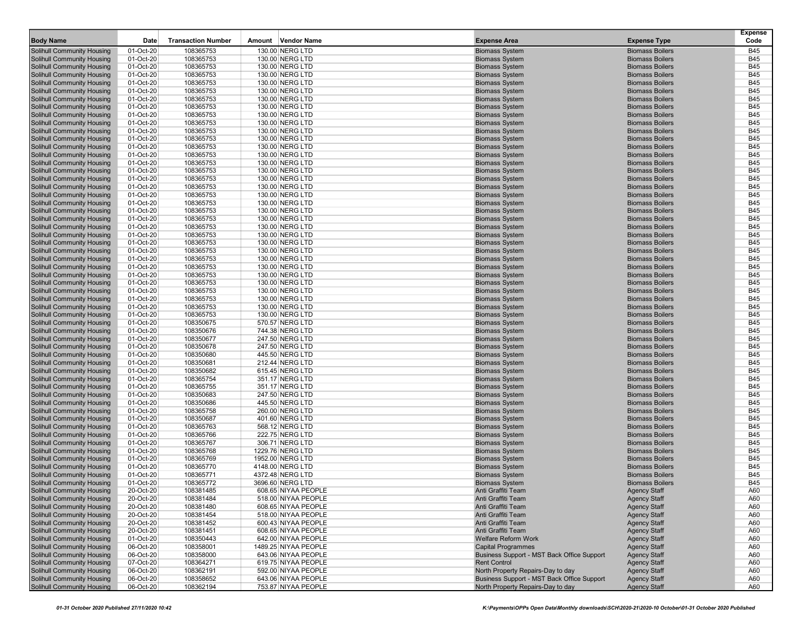| <b>Body Name</b>                  | Date        | <b>Transaction Number</b> | Amount Vendor Name   | <b>Expense Area</b>                        | <b>Expense Type</b>    | <b>Expense</b><br>Code |
|-----------------------------------|-------------|---------------------------|----------------------|--------------------------------------------|------------------------|------------------------|
|                                   |             |                           |                      |                                            |                        |                        |
| Solihull Community Housing        | 01-Oct-20   | 108365753                 | 130.00 NERG LTD      | <b>Biomass System</b>                      | <b>Biomass Boilers</b> | <b>B45</b>             |
| <b>Solihull Community Housing</b> | 01-Oct-20   | 108365753                 | 130.00 NERG LTD      | <b>Biomass System</b>                      | <b>Biomass Boilers</b> | <b>B45</b>             |
| Solihull Community Housing        | 01-Oct-20   | 108365753                 | 130.00 NERG LTD      | <b>Biomass System</b>                      | <b>Biomass Boilers</b> | <b>B45</b>             |
| Solihull Community Housing        | 01-Oct-20   | 108365753                 | 130.00 NERG LTD      | <b>Biomass System</b>                      | <b>Biomass Boilers</b> | <b>B45</b>             |
| Solihull Community Housing        | 01-Oct-20   | 108365753                 | 130.00 NERG LTD      | <b>Biomass System</b>                      | <b>Biomass Boilers</b> | <b>B45</b>             |
| Solihull Community Housing        | 01-Oct-20   | 108365753                 | 130.00 NERG LTD      | <b>Biomass System</b>                      | <b>Biomass Boilers</b> | <b>B45</b>             |
| Solihull Community Housing        | 01-Oct-20   | 108365753                 | 130.00 NERG LTD      | <b>Biomass System</b>                      | <b>Biomass Boilers</b> | <b>B45</b>             |
| Solihull Community Housing        | 01-Oct-20   | 108365753                 | 130.00 NERG LTD      | <b>Biomass System</b>                      | <b>Biomass Boilers</b> | <b>B45</b>             |
| <b>Solihull Community Housing</b> | 01-Oct-20   | 108365753                 | 130.00 NERG LTD      | <b>Biomass System</b>                      | <b>Biomass Boilers</b> | <b>B45</b>             |
| Solihull Community Housing        | 01-Oct-20   | 108365753                 | 130.00 NERG LTD      | <b>Biomass System</b>                      | <b>Biomass Boilers</b> | <b>B45</b>             |
| Solihull Community Housing        | $01-Oct-20$ | 108365753                 | 130.00 NERG LTD      | <b>Biomass System</b>                      | <b>Biomass Boilers</b> | <b>B45</b>             |
| Solihull Community Housing        | 01-Oct-20   | 108365753                 | 130.00 NERG LTD      | <b>Biomass System</b>                      | <b>Biomass Boilers</b> | <b>B45</b>             |
| Solihull Community Housing        | 01-Oct-20   | 108365753                 | 130.00 NERG LTD      | <b>Biomass System</b>                      | <b>Biomass Boilers</b> | <b>B45</b>             |
| Solihull Community Housing        | 01-Oct-20   | 108365753                 | 130.00 NERG LTD      | <b>Biomass System</b>                      | <b>Biomass Boilers</b> | <b>B45</b>             |
| Solihull Community Housing        | 01-Oct-20   | 108365753                 | 130.00 NERG LTD      | <b>Biomass System</b>                      | <b>Biomass Boilers</b> | <b>B45</b>             |
| Solihull Community Housing        | 01-Oct-20   | 108365753                 | 130.00 NERG LTD      | <b>Biomass System</b>                      | <b>Biomass Boilers</b> | <b>B45</b>             |
| Solihull Community Housing        | 01-Oct-20   | 108365753                 | 130.00 NERG LTD      | <b>Biomass System</b>                      | <b>Biomass Boilers</b> | <b>B45</b>             |
| Solihull Community Housing        | 01-Oct-20   | 108365753                 | 130.00 NERG LTD      | <b>Biomass System</b>                      | <b>Biomass Boilers</b> | <b>B45</b>             |
| <b>Solihull Community Housing</b> | 01-Oct-20   | 108365753                 | 130.00 NERG LTD      | <b>Biomass System</b>                      | <b>Biomass Boilers</b> | <b>B45</b>             |
| Solihull Community Housing        | 01-Oct-20   | 108365753                 | 130.00 NERG LTD      | <b>Biomass System</b>                      | <b>Biomass Boilers</b> | <b>B45</b>             |
| Solihull Community Housing        | $01-Oct-20$ | 108365753                 | 130.00 NERG LTD      | <b>Biomass System</b>                      | <b>Biomass Boilers</b> | <b>B45</b>             |
| <b>Solihull Community Housing</b> | 01-Oct-20   | 108365753                 | 130.00 NERG LTD      | <b>Biomass System</b>                      | <b>Biomass Boilers</b> | <b>B45</b>             |
| Solihull Community Housing        | 01-Oct-20   | 108365753                 | 130.00 NERG LTD      | <b>Biomass System</b>                      | <b>Biomass Boilers</b> | <b>B45</b>             |
| Solihull Community Housing        | 01-Oct-20   | 108365753                 | 130.00 NERG LTD      | <b>Biomass System</b>                      | <b>Biomass Boilers</b> | <b>B45</b>             |
| Solihull Community Housing        | 01-Oct-20   | 108365753                 | 130.00 NERG LTD      | <b>Biomass System</b>                      | <b>Biomass Boilers</b> | <b>B45</b>             |
| Solihull Community Housing        | 01-Oct-20   | 108365753                 | 130.00 NERG LTD      | <b>Biomass System</b>                      | <b>Biomass Boilers</b> | <b>B45</b>             |
| Solihull Community Housing        | 01-Oct-20   | 108365753                 | 130.00 NERG LTD      | <b>Biomass System</b>                      | <b>Biomass Boilers</b> | <b>B45</b>             |
| Solihull Community Housing        | 01-Oct-20   | 108365753                 | 130.00 NERG LTD      | <b>Biomass System</b>                      | <b>Biomass Boilers</b> | <b>B45</b>             |
| <b>Solihull Community Housing</b> | 01-Oct-20   | 108365753                 | 130.00 NERG LTD      | <b>Biomass System</b>                      | <b>Biomass Boilers</b> | <b>B45</b>             |
| Solihull Community Housing        | 01-Oct-20   | 108365753                 | 130.00 NERG LTD      | <b>Biomass System</b>                      | <b>Biomass Boilers</b> | <b>B45</b>             |
| Solihull Community Housing        | 01-Oct-20   | 108365753                 | 130.00 NERG LTD      | <b>Biomass System</b>                      | <b>Biomass Boilers</b> | <b>B45</b>             |
| Solihull Community Housing        | 01-Oct-20   | 108365753                 | 130.00 NERG LTD      | <b>Biomass System</b>                      | <b>Biomass Boilers</b> | <b>B45</b>             |
| Solihull Community Housing        | 01-Oct-20   | 108365753                 | 130.00 NERG LTD      | <b>Biomass System</b>                      | <b>Biomass Boilers</b> | <b>B45</b>             |
| Solihull Community Housing        | 01-Oct-20   | 108365753                 | 130.00 NERG LTD      | <b>Biomass System</b>                      | <b>Biomass Boilers</b> | <b>B45</b>             |
| Solihull Community Housing        | 01-Oct-20   | 108350675                 | 570.57 NERG LTD      | <b>Biomass System</b>                      | <b>Biomass Boilers</b> | <b>B45</b>             |
| Solihull Community Housing        | 01-Oct-20   | 108350676                 | 744.38 NERG LTD      | <b>Biomass System</b>                      | <b>Biomass Boilers</b> | <b>B45</b>             |
| Solihull Community Housing        | 01-Oct-20   | 108350677                 | 247.50 NERG LTD      | <b>Biomass System</b>                      | <b>Biomass Boilers</b> | <b>B45</b>             |
| Solihull Community Housing        | 01-Oct-20   | 108350678                 | 247.50 NERG LTD      | <b>Biomass System</b>                      | <b>Biomass Boilers</b> | <b>B45</b>             |
| <b>Solihull Community Housing</b> | 01-Oct-20   | 108350680                 | 445.50 NERG LTD      | <b>Biomass System</b>                      | <b>Biomass Boilers</b> | <b>B45</b>             |
| <b>Solihull Community Housing</b> | 01-Oct-20   | 108350681                 | 212.44 NERG LTD      | <b>Biomass System</b>                      | <b>Biomass Boilers</b> | <b>B45</b>             |
| Solihull Community Housing        | 01-Oct-20   | 108350682                 | 615.45 NERG LTD      | <b>Biomass System</b>                      | <b>Biomass Boilers</b> | <b>B45</b>             |
| Solihull Community Housing        | 01-Oct-20   | 108365754                 | 351.17 NERG LTD      | <b>Biomass System</b>                      | <b>Biomass Boilers</b> | <b>B45</b>             |
| Solihull Community Housing        | 01-Oct-20   | 108365755                 | 351.17 NERG LTD      | <b>Biomass System</b>                      | <b>Biomass Boilers</b> | <b>B45</b>             |
| Solihull Community Housing        | 01-Oct-20   | 108350683                 | 247.50 NERG LTD      | <b>Biomass System</b>                      | <b>Biomass Boilers</b> | <b>B45</b>             |
| Solihull Community Housing        | 01-Oct-20   | 108350686                 | 445.50 NERG LTD      | <b>Biomass System</b>                      | <b>Biomass Boilers</b> | <b>B45</b>             |
| Solihull Community Housing        | 01-Oct-20   | 108365758                 | 260.00 NERG LTD      | <b>Biomass System</b>                      | <b>Biomass Boilers</b> | <b>B45</b>             |
| Solihull Community Housing        | 01-Oct-20   | 108350687                 | 401.60 NERG LTD      | <b>Biomass System</b>                      | <b>Biomass Boilers</b> | <b>B45</b>             |
| Solihull Community Housing        | 01-Oct-20   | 108365763                 | 568.12 NERG LTD      | <b>Biomass System</b>                      | <b>Biomass Boilers</b> | <b>B45</b>             |
| <b>Solihull Community Housing</b> | 01-Oct-20   | 108365766                 | 222.75 NERG LTD      | <b>Biomass System</b>                      | <b>Biomass Boilers</b> | <b>B45</b>             |
| Solihull Community Housing        | 01-Oct-20   | 108365767                 | 306.71 NERG LTD      | <b>Biomass System</b>                      | <b>Biomass Boilers</b> | <b>B45</b>             |
| Solihull Community Housing        | 01-Oct-20   | 108365768                 | 1229.76 NERG LTD     | <b>Biomass System</b>                      | <b>Biomass Boilers</b> | <b>B45</b>             |
| Solihull Community Housing        | 01-Oct-20   | 108365769                 | 1952.00 NERG LTD     | <b>Biomass System</b>                      | <b>Biomass Boilers</b> | <b>B45</b>             |
| Solihull Community Housing        | 01-Oct-20   | 108365770                 | 4148.00 NERG LTD     | <b>Biomass System</b>                      | <b>Biomass Boilers</b> | <b>B45</b>             |
| Solihull Community Housing        | 01-Oct-20   | 108365771                 | 4372.48 NERG LTD     | <b>Biomass System</b>                      | <b>Biomass Boilers</b> | <b>B45</b>             |
| Solihull Community Housing        | 01-Oct-20   | 108365772                 | 3696.60 NERG LTD     | <b>Biomass System</b>                      | <b>Biomass Boilers</b> | <b>B45</b>             |
| Solihull Community Housing        | 20-Oct-20   | 108381485                 | 608.65 NIYAA PEOPLE  | Anti Graffiti Team                         | Agency Staff           | A60                    |
| Solihull Community Housing        | 20-Oct-20   | 108381484                 | 518.00 NIYAA PEOPLE  | Anti Graffiti Team                         | <b>Agency Staff</b>    | A60                    |
| Solihull Community Housing        | 20-Oct-20   | 108381480                 | 608.65 NIYAA PEOPLE  | Anti Graffiti Team                         | <b>Agency Staff</b>    | A60                    |
| Solihull Community Housing        | 20-Oct-20   | 108381454                 | 518.00 NIYAA PEOPLE  | Anti Graffiti Team                         | <b>Agency Staff</b>    | A60                    |
| Solihull Community Housing        | 20-Oct-20   | 108381452                 | 600.43 NIYAA PEOPLE  | Anti Graffiti Team                         | <b>Agency Staff</b>    | A60                    |
| Solihull Community Housing        | 20-Oct-20   | 108381451                 | 608.65 NIYAA PEOPLE  | Anti Graffiti Team                         | <b>Agency Staff</b>    | A60                    |
| Solihull Community Housing        | 01-Oct-20   | 108350443                 | 642.00 NIYAA PEOPLE  | Welfare Reform Work                        | <b>Agency Staff</b>    | A60                    |
| Solihull Community Housing        | 06-Oct-20   | 108358001                 | 1489.25 NIYAA PEOPLE | <b>Capital Programmes</b>                  | <b>Agency Staff</b>    | A60                    |
| Solihull Community Housing        | 06-Oct-20   | 108358000                 | 643.06 NIYAA PEOPLE  | Business Support - MST Back Office Support | <b>Agency Staff</b>    | A60                    |
| Solihull Community Housing        | 07-Oct-20   | 108364271                 | 619.75 NIYAA PEOPLE  | <b>Rent Control</b>                        | <b>Agency Staff</b>    | A60                    |
| Solihull Community Housing        | 06-Oct-20   | 108362191                 | 592.00 NIYAA PEOPLE  | North Property Repairs-Day to day          | <b>Agency Staff</b>    | A60                    |
| Solihull Community Housing        | 06-Oct-20   | 108358652                 | 643.06 NIYAA PEOPLE  | Business Support - MST Back Office Support | <b>Agency Staff</b>    | A60                    |
| <b>Solihull Community Housing</b> | 06-Oct-20   | 108362194                 | 753.87 NIYAA PEOPLE  | North Property Repairs-Day to day          | <b>Agency Staff</b>    | A60                    |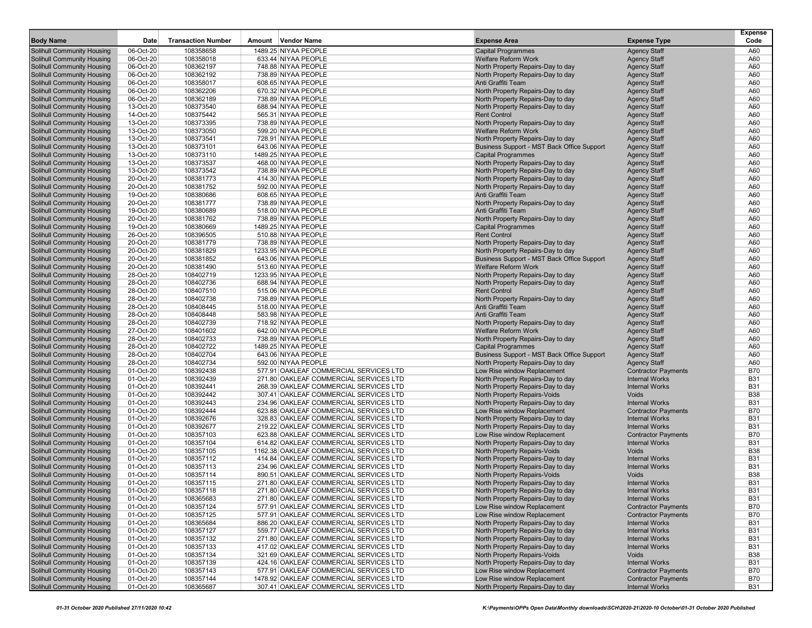|                                                                        |                        |                           |                                            |                                                                        |                                            | <b>Expense</b> |
|------------------------------------------------------------------------|------------------------|---------------------------|--------------------------------------------|------------------------------------------------------------------------|--------------------------------------------|----------------|
| <b>Body Name</b>                                                       | Date                   | <b>Transaction Number</b> | Amount Vendor Name                         | <b>Expense Area</b>                                                    | <b>Expense Type</b>                        | Code           |
| <b>Solihull Community Housing</b>                                      | 06-Oct-20              | 108358658                 | 1489.25 NIYAA PEOPLE                       | <b>Capital Programmes</b>                                              | <b>Agency Staff</b>                        | A60            |
| <b>Solihull Community Housing</b>                                      | 06-Oct-20              | 108358018                 | 633.44 NIYAA PEOPLE                        | <b>Welfare Reform Work</b>                                             | <b>Agency Staff</b>                        | A60            |
| <b>Solihull Community Housing</b>                                      | 06-Oct-20              | 108362197                 | 748.88 NIYAA PEOPLE                        | North Property Repairs-Day to day                                      | <b>Agency Staff</b>                        | A60            |
| Solihull Community Housing                                             | 06-Oct-20              | 108362192                 | 738.89 NIYAA PEOPLE                        | North Property Repairs-Day to day                                      | <b>Agency Staff</b>                        | A60            |
| <b>Solihull Community Housing</b><br><b>Solihull Community Housing</b> | 06-Oct-20              | 108358017                 | 608.65 NIYAA PEOPLE                        | Anti Graffiti Team                                                     | <b>Agency Staff</b>                        | A60            |
| <b>Solihull Community Housing</b>                                      | 06-Oct-20<br>06-Oct-20 | 108362206<br>108362189    | 670.32 NIYAA PEOPLE<br>738.89 NIYAA PEOPLE | North Property Repairs-Day to day<br>North Property Repairs-Day to day | <b>Agency Staff</b><br><b>Agency Staff</b> | A60<br>A60     |
| <b>Solihull Community Housing</b>                                      | 13-Oct-20              | 108373540                 | 688.94 NIYAA PEOPLE                        | North Property Repairs-Day to day                                      | <b>Agency Staff</b>                        | A60            |
| <b>Solihull Community Housing</b>                                      | 14-Oct-20              | 108375442                 | 565.31 NIYAA PEOPLE                        | <b>Rent Control</b>                                                    | <b>Agency Staff</b>                        | A60            |
| <b>Solihull Community Housing</b>                                      | 13-Oct-20              | 108373395                 | 738.89 NIYAA PEOPLE                        | North Property Repairs-Day to day                                      | <b>Agency Staff</b>                        | A60            |
| <b>Solihull Community Housing</b>                                      | 13-Oct-20              | 108373050                 | 599.20 NIYAA PEOPLE                        | <b>Welfare Reform Work</b>                                             | <b>Agency Staff</b>                        | A60            |
| <b>Solihull Community Housing</b>                                      | 13-Oct-20              | 108373541                 | 728.91 NIYAA PEOPLE                        | North Property Repairs-Day to day                                      | <b>Agency Staff</b>                        | A60            |
| <b>Solihull Community Housing</b>                                      | 13-Oct-20              | 108373101                 | 643.06 NIYAA PEOPLE                        | Business Support - MST Back Office Support                             | <b>Agency Staff</b>                        | A60            |
| <b>Solihull Community Housing</b>                                      | 13-Oct-20              | 108373110                 | 1489.25 NIYAA PEOPLE                       | <b>Capital Programmes</b>                                              | <b>Agency Staff</b>                        | A60            |
| Solihull Community Housing                                             | 13-Oct-20              | 108373537                 | 468.00 NIYAA PEOPLE                        | North Property Repairs-Day to day                                      | <b>Agency Staff</b>                        | A60            |
| <b>Solihull Community Housing</b>                                      | 13-Oct-20              | 108373542                 | 738.89 NIYAA PEOPLE                        | North Property Repairs-Day to day                                      | <b>Agency Staff</b>                        | A60            |
| <b>Solihull Community Housing</b>                                      | 20-Oct-20              | 108381773                 | 414.30 NIYAA PEOPLE                        | North Property Repairs-Day to day                                      | <b>Agency Staff</b>                        | A60            |
| <b>Solihull Community Housing</b>                                      | 20-Oct-20              | 108381752                 | 592.00 NIYAA PEOPLE                        | North Property Repairs-Day to day                                      | <b>Agency Staff</b>                        | A60            |
| <b>Solihull Community Housing</b>                                      | 19-Oct-20              | 108380686                 | 608.65 NIYAA PEOPLE                        | Anti Graffiti Team                                                     | <b>Agency Staff</b>                        | A60            |
| <b>Solihull Community Housing</b>                                      | 20-Oct-20              | 108381777                 | 738.89 NIYAA PEOPLE                        | North Property Repairs-Day to day                                      | <b>Agency Staff</b>                        | A60            |
| <b>Solihull Community Housing</b>                                      | 19-Oct-20              | 108380689                 | 518.00 NIYAA PEOPLE                        | Anti Graffiti Team                                                     | <b>Agency Staff</b>                        | A60            |
| <b>Solihull Community Housing</b>                                      | 20-Oct-20              | 108381762                 | 738.89 NIYAA PEOPLE                        | North Property Repairs-Day to day                                      | <b>Agency Staff</b>                        | A60            |
| <b>Solihull Community Housing</b>                                      | 19-Oct-20              | 108380669                 | 1489.25 NIYAA PEOPLE                       | <b>Capital Programmes</b>                                              | <b>Agency Staff</b>                        | A60            |
| Solihull Community Housing                                             | 26-Oct-20              | 108396505                 | 510.88 NIYAA PEOPLE                        | <b>Rent Control</b>                                                    | <b>Agency Staff</b>                        | A60            |
| <b>Solihull Community Housing</b>                                      | 20-Oct-20              | 108381779                 | 738.89 NIYAA PEOPLE                        | North Property Repairs-Day to day                                      | <b>Agency Staff</b>                        | A60            |
| <b>Solihull Community Housing</b>                                      | 20-Oct-20              | 108381829                 | 1233.95 NIYAA PEOPLE                       | North Property Repairs-Day to day                                      | <b>Agency Staff</b>                        | A60            |
| <b>Solihull Community Housing</b>                                      | 20-Oct-20              | 108381852                 | 643.06 NIYAA PEOPLE                        | Business Support - MST Back Office Support                             | <b>Agency Staff</b>                        | A60            |
| <b>Solihull Community Housing</b>                                      | 20-Oct-20              | 108381490                 | 513.60 NIYAA PEOPLE                        | <b>Welfare Reform Work</b>                                             | <b>Agency Staff</b>                        | A60            |
| <b>Solihull Community Housing</b>                                      | 28-Oct-20              | 108402719                 | 1233.95 NIYAA PEOPLE                       | North Property Repairs-Day to day                                      | <b>Agency Staff</b>                        | A60            |
| <b>Solihull Community Housing</b>                                      | 28-Oct-20              | 108402736                 | 688.94 NIYAA PEOPLE                        | North Property Repairs-Day to day                                      | <b>Agency Staff</b>                        | A60            |
| <b>Solihull Community Housing</b>                                      | 28-Oct-20              | 108407510                 | 515.06 NIYAA PEOPLE                        | <b>Rent Control</b>                                                    | <b>Agency Staff</b>                        | A60            |
| <b>Solihull Community Housing</b>                                      | 28-Oct-20              | 108402738                 | 738.89 NIYAA PEOPLE                        | North Property Repairs-Day to day                                      | <b>Agency Staff</b>                        | A60            |
| <b>Solihull Community Housing</b>                                      | 28-Oct-20              | 108408445                 | 518.00 NIYAA PEOPLE                        | Anti Graffiti Team                                                     | <b>Agency Staff</b>                        | A60            |
| Solihull Community Housing                                             | 28-Oct-20              | 108408448                 | 583.98 NIYAA PEOPLE                        | Anti Graffiti Team                                                     | <b>Agency Staff</b>                        | A60            |
| Solihull Community Housing                                             | 28-Oct-20              | 108402739                 | 718.92 NIYAA PEOPLE                        | North Property Repairs-Day to day                                      | <b>Agency Staff</b>                        | A60            |
| <b>Solihull Community Housing</b>                                      | 27-Oct-20              | 108401602                 | 642.00 NIYAA PEOPLE<br>738.89 NIYAA PEOPLE | <b>Welfare Reform Work</b>                                             | <b>Agency Staff</b>                        | A60<br>A60     |
| <b>Solihull Community Housing</b><br><b>Solihull Community Housing</b> | 28-Oct-20<br>28-Oct-20 | 108402733<br>108402722    | 1489.25 NIYAA PEOPLE                       | North Property Repairs-Day to day<br><b>Capital Programmes</b>         | <b>Agency Staff</b><br><b>Agency Staff</b> | A60            |
| <b>Solihull Community Housing</b>                                      | 28-Oct-20              | 108402704                 | 643.06 NIYAA PEOPLE                        | Business Support - MST Back Office Support                             | <b>Agency Staff</b>                        | A60            |
| <b>Solihull Community Housing</b>                                      | 28-Oct-20              | 108402734                 | 592.00 NIYAA PEOPLE                        | North Property Repairs-Day to day                                      | <b>Agency Staff</b>                        | A60            |
| <b>Solihull Community Housing</b>                                      | 01-Oct-20              | 108392438                 | 577.91 OAKLEAF COMMERCIAL SERVICES LTD     | Low Rise window Replacement                                            | <b>Contractor Payments</b>                 | <b>B70</b>     |
| <b>Solihull Community Housing</b>                                      | 01-Oct-20              | 108392439                 | 271.80 OAKLEAF COMMERCIAL SERVICES LTD     | North Property Repairs-Day to day                                      | <b>Internal Works</b>                      | <b>B31</b>     |
| <b>Solihull Community Housing</b>                                      | 01-Oct-20              | 108392441                 | 268.39 OAKLEAF COMMERCIAL SERVICES LTD     | North Property Repairs-Day to day                                      | <b>Internal Works</b>                      | <b>B31</b>     |
| Solihull Community Housing                                             | 01-Oct-20              | 108392442                 | 307.41 OAKLEAF COMMERCIAL SERVICES LTD     | North Property Repairs-Voids                                           | <b>Voids</b>                               | <b>B38</b>     |
| <b>Solihull Community Housing</b>                                      | 01-Oct-20              | 108392443                 | 234.96 OAKLEAF COMMERCIAL SERVICES LTD     | North Property Repairs-Day to day                                      | <b>Internal Works</b>                      | <b>B31</b>     |
| <b>Solihull Community Housing</b>                                      | 01-Oct-20              | 108392444                 | 623.88 OAKLEAF COMMERCIAL SERVICES LTD     | Low Rise window Replacement                                            | <b>Contractor Payments</b>                 | <b>B70</b>     |
| <b>Solihull Community Housing</b>                                      | 01-Oct-20              | 108392676                 | 328.83 OAKLEAF COMMERCIAL SERVICES LTD     | North Property Repairs-Day to day                                      | <b>Internal Works</b>                      | <b>B31</b>     |
| <b>Solihull Community Housing</b>                                      | 01-Oct-20              | 108392677                 | 219.22 OAKLEAF COMMERCIAL SERVICES LTD     | North Property Repairs-Day to day                                      | <b>Internal Works</b>                      | <b>B31</b>     |
| <b>Solihull Community Housing</b>                                      | 01-Oct-20              | 108357103                 | 623.88 OAKLEAF COMMERCIAL SERVICES LTD     | Low Rise window Replacement                                            | <b>Contractor Payments</b>                 | <b>B70</b>     |
| Solihull Community Housing                                             | 01-Oct-20              | 108357104                 | 614.82 OAKLEAF COMMERCIAL SERVICES LTD     | North Property Repairs-Day to day                                      | <b>Internal Works</b>                      | <b>B31</b>     |
| <b>Solihull Community Housing</b>                                      | 01-Oct-20              | 108357105                 | 1162.38 OAKLEAF COMMERCIAL SERVICES LTD    | North Property Repairs-Voids                                           | Voids                                      | <b>B38</b>     |
| <b>Solihull Community Housing</b>                                      | 01-Oct-20              | 108357112                 | 414.84 OAKLEAF COMMERCIAL SERVICES LTD     | North Property Repairs-Day to day                                      | <b>Internal Works</b>                      | <b>B31</b>     |
| <b>Solihull Community Housing</b>                                      | 01-Oct-20              | 108357113                 | 234.96 OAKLEAF COMMERCIAL SERVICES LTD     | North Property Repairs-Day to day                                      | <b>Internal Works</b>                      | <b>B31</b>     |
| Solihull Community Housing                                             | 01-Oct-20              | 108357114                 | 890.51 OAKLEAF COMMERCIAL SERVICES LTD     | North Property Repairs-Voids                                           | Voids                                      | <b>B38</b>     |
| <b>Solihull Community Housing</b>                                      | 01-Oct-20              | 108357115                 | 271.80 OAKLEAF COMMERCIAL SERVICES LTD     | North Property Repairs-Day to day                                      | <b>Internal Works</b>                      | <b>B31</b>     |
| <b>Solihull Community Housing</b>                                      | 01-Oct-20              | 108357118                 | 271.80 OAKLEAF COMMERCIAL SERVICES LTD     | North Property Repairs-Day to day                                      | <b>Internal Works</b>                      | B31            |
| <b>Solihull Community Housing</b>                                      | 01-Oct-20              | 108365683                 | 271.80 OAKLEAF COMMERCIAL SERVICES LTD     | North Property Repairs-Day to day                                      | <b>Internal Works</b>                      | <b>B31</b>     |
| <b>Solihull Community Housing</b>                                      | 01-Oct-20              | 108357124                 | 577.91 OAKLEAF COMMERCIAL SERVICES LTD     | Low Rise window Replacement                                            | <b>Contractor Payments</b>                 | <b>B70</b>     |
| <b>Solihull Community Housing</b>                                      | 01-Oct-20              | 108357125                 | 577.91 OAKLEAF COMMERCIAL SERVICES LTD     | Low Rise window Replacement                                            | <b>Contractor Payments</b>                 | <b>B70</b>     |
| <b>Solihull Community Housing</b>                                      | 01-Oct-20              | 108365684                 | 886.20 OAKLEAF COMMERCIAL SERVICES LTD     | North Property Repairs-Day to day                                      | <b>Internal Works</b>                      | <b>B31</b>     |
| <b>Solihull Community Housing</b>                                      | 01-Oct-20              | 108357127                 | 559.77 OAKLEAF COMMERCIAL SERVICES LTD     | North Property Repairs-Day to day                                      | <b>Internal Works</b>                      | <b>B31</b>     |
| <b>Solihull Community Housing</b>                                      | 01-Oct-20              | 108357132                 | 271.80 OAKLEAF COMMERCIAL SERVICES LTD     | North Property Repairs-Day to day                                      | <b>Internal Works</b>                      | <b>B31</b>     |
| <b>Solihull Community Housing</b>                                      | 01-Oct-20              | 108357133                 | 417.02 OAKLEAF COMMERCIAL SERVICES LTD     | North Property Repairs-Day to day                                      | <b>Internal Works</b>                      | <b>B31</b>     |
| <b>Solihull Community Housing</b>                                      | 01-Oct-20              | 108357134                 | 321.69 OAKLEAF COMMERCIAL SERVICES LTD     | North Property Repairs-Voids                                           | Voids                                      | <b>B38</b>     |
| <b>Solihull Community Housing</b>                                      | 01-Oct-20              | 108357139                 | 424.16 OAKLEAF COMMERCIAL SERVICES LTD     | North Property Repairs-Day to day                                      | <b>Internal Works</b>                      | <b>B31</b>     |
| Solihull Community Housing                                             | 01-Oct-20              | 108357143                 | 577.91 OAKLEAF COMMERCIAL SERVICES LTD     | Low Rise window Replacement                                            | <b>Contractor Payments</b>                 | <b>B70</b>     |
| Solihull Community Housing                                             | 01-Oct-20              | 108357144                 | 1478.92 OAKLEAF COMMERCIAL SERVICES LTD    | Low Rise window Replacement                                            | <b>Contractor Payments</b>                 | <b>B70</b>     |
| <b>Solihull Community Housing</b>                                      | 01-Oct-20              | 108365687                 | 307.41 OAKLEAF COMMERCIAL SERVICES LTD     | North Property Repairs-Day to day                                      | Internal Works                             | <b>B31</b>     |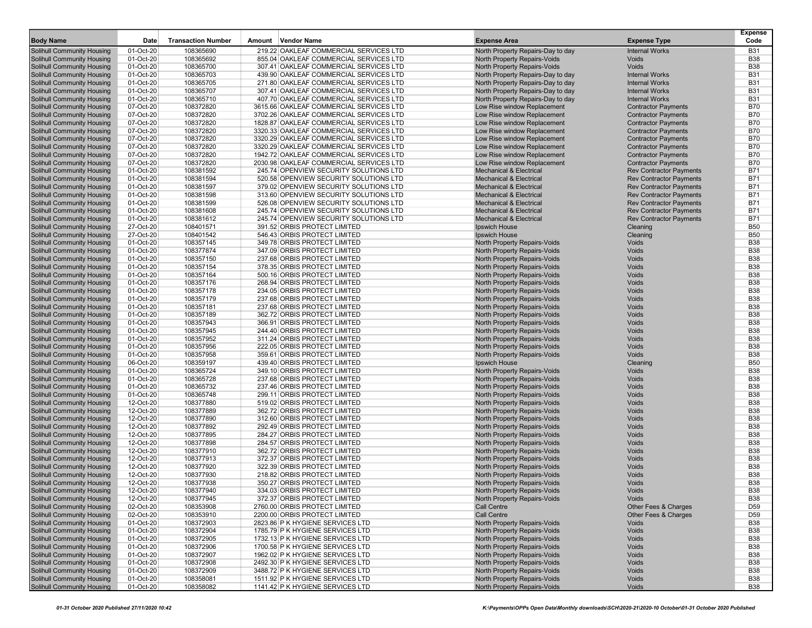| <b>Body Name</b>                                         | Date                   | <b>Transaction Number</b> | Amount Vendor Name                                           | <b>Expense Area</b>                                          | <b>Expense Type</b>            | Expense<br>Code          |
|----------------------------------------------------------|------------------------|---------------------------|--------------------------------------------------------------|--------------------------------------------------------------|--------------------------------|--------------------------|
|                                                          |                        |                           |                                                              |                                                              |                                |                          |
| <b>Solihull Community Housing</b>                        | 01-Oct-20              | 108365690                 | 219.22 OAKLEAF COMMERCIAL SERVICES LTD                       | North Property Repairs-Day to day                            | <b>Internal Works</b>          | <b>B31</b>               |
| <b>Solihull Community Housing</b>                        | 01-Oct-20              | 108365692                 | 855.04 OAKLEAF COMMERCIAL SERVICES LTD                       | North Property Repairs-Voids                                 | <b>Voids</b>                   | <b>B38</b>               |
| Solihull Community Housing                               | 01-Oct-20              | 108365700                 | 307.41 OAKLEAF COMMERCIAL SERVICES LTD                       | North Property Repairs-Voids                                 | <b>Voids</b>                   | <b>B38</b>               |
| <b>Solihull Community Housing</b>                        | 01-Oct-20              | 108365703                 | 439.90 OAKLEAF COMMERCIAL SERVICES LTD                       | North Property Repairs-Day to day                            | <b>Internal Works</b>          | <b>B31</b>               |
| Solihull Community Housing                               | 01-Oct-20              | 108365705                 | 271.80 OAKLEAF COMMERCIAL SERVICES LTD                       | North Property Repairs-Day to day                            | <b>Internal Works</b>          | <b>B31</b>               |
| Solihull Community Housing                               | 01-Oct-20              | 108365707                 | 307.41 OAKLEAF COMMERCIAL SERVICES LTD                       | North Property Repairs-Day to day                            | <b>Internal Works</b>          | <b>B31</b>               |
| <b>Solihull Community Housing</b>                        | 01-Oct-20              | 108365710                 | 407.70 OAKLEAF COMMERCIAL SERVICES LTD                       | North Property Repairs-Day to day                            | <b>Internal Works</b>          | <b>B31</b>               |
| Solihull Community Housing                               | 07-Oct-20              | 108372820                 | 3615.66 OAKLEAF COMMERCIAL SERVICES LTD                      | Low Rise window Replacement                                  | <b>Contractor Payments</b>     | <b>B70</b>               |
| Solihull Community Housing                               | 07-Oct-20              | 108372820                 | 3702.26 OAKLEAF COMMERCIAL SERVICES LTD                      | Low Rise window Replacement                                  | <b>Contractor Payments</b>     | <b>B70</b>               |
| Solihull Community Housing                               | 07-Oct-20              | 108372820                 | 1828.87 OAKLEAF COMMERCIAL SERVICES LTD                      | Low Rise window Replacement                                  | <b>Contractor Payments</b>     | <b>B70</b>               |
| Solihull Community Housing                               | 07-Oct-20              | 108372820                 | 3320.33 OAKLEAF COMMERCIAL SERVICES LTD                      | Low Rise window Replacement                                  | <b>Contractor Payments</b>     | <b>B70</b>               |
| <b>Solihull Community Housing</b>                        | 07-Oct-20              | 108372820                 | 3320.29 OAKLEAF COMMERCIAL SERVICES LTD                      | Low Rise window Replacement                                  | <b>Contractor Payments</b>     | <b>B70</b>               |
| Solihull Community Housing                               | 07-Oct-20              | 108372820                 | 3320.29 OAKLEAF COMMERCIAL SERVICES LTD                      | Low Rise window Replacement                                  | <b>Contractor Payments</b>     | <b>B70</b>               |
| Solihull Community Housing                               | 07-Oct-20              | 108372820                 | 1942.72 OAKLEAF COMMERCIAL SERVICES LTD                      | Low Rise window Replacement                                  | <b>Contractor Payments</b>     | <b>B70</b>               |
| Solihull Community Housing                               | 07-Oct-20              | 108372820                 | 2030.98 OAKLEAF COMMERCIAL SERVICES LTD                      | Low Rise window Replacement                                  | <b>Contractor Payments</b>     | <b>B70</b>               |
| Solihull Community Housing                               | 01-Oct-20              | 108381592                 | 245.74 OPENVIEW SECURITY SOLUTIONS LTD                       | <b>Mechanical &amp; Electrical</b>                           | <b>Rev Contractor Payments</b> | <b>B71</b>               |
| <b>Solihull Community Housing</b>                        | 01-Oct-20              | 108381594                 | 520.58 OPENVIEW SECURITY SOLUTIONS LTD                       | <b>Mechanical &amp; Electrical</b>                           | <b>Rev Contractor Payments</b> | <b>B71</b>               |
| Solihull Community Housing                               | 01-Oct-20              | 108381597                 | 379.02 OPENVIEW SECURITY SOLUTIONS LTD                       | <b>Mechanical &amp; Electrical</b>                           | <b>Rev Contractor Payments</b> | <b>B71</b>               |
| Solihull Community Housing                               | 01-Oct-20              | 108381598                 | 313.60 OPENVIEW SECURITY SOLUTIONS LTD                       | <b>Mechanical &amp; Electrical</b>                           | <b>Rev Contractor Payments</b> | <b>B71</b>               |
| <b>Solihull Community Housing</b>                        | 01-Oct-20              | 108381599                 | 526.08 OPENVIEW SECURITY SOLUTIONS LTD                       | <b>Mechanical &amp; Electrical</b>                           | <b>Rev Contractor Payments</b> | <b>B71</b>               |
| Solihull Community Housing                               | 01-Oct-20              | 108381608                 | 245.74 OPENVIEW SECURITY SOLUTIONS LTD                       | <b>Mechanical &amp; Electrical</b>                           | <b>Rev Contractor Payments</b> | <b>B71</b>               |
| <b>Solihull Community Housing</b>                        | 01-Oct-20              | 108381612                 | 245.74 OPENVIEW SECURITY SOLUTIONS LTD                       | <b>Mechanical &amp; Electrical</b>                           | <b>Rev Contractor Payments</b> | <b>B71</b>               |
| Solihull Community Housing                               | 27-Oct-20              | 108401571                 | 391.52 ORBIS PROTECT LIMITED                                 | Ipswich House                                                | Cleaning                       | <b>B50</b>               |
| <b>Solihull Community Housing</b>                        | 27-Oct-20              | 108401542                 | 546.43 ORBIS PROTECT LIMITED                                 | Ipswich House                                                | Cleaning                       | <b>B50</b>               |
| Solihull Community Housing                               | 01-Oct-20              | 108357145                 | 349.78 ORBIS PROTECT LIMITED                                 | North Property Repairs-Voids                                 | Voids                          | <b>B38</b>               |
| Solihull Community Housing                               | 01-Oct-20              | 108377874                 | 347.09 ORBIS PROTECT LIMITED                                 | North Property Repairs-Voids                                 | Voids                          | <b>B38</b>               |
| <b>Solihull Community Housing</b>                        | 01-Oct-20              | 108357150                 | 237.68 ORBIS PROTECT LIMITED                                 | North Property Repairs-Voids                                 | Voids                          | <b>B38</b>               |
| Solihull Community Housing                               | 01-Oct-20              | 108357154                 | 378.35 ORBIS PROTECT LIMITED                                 | North Property Repairs-Voids                                 | Voids                          | <b>B38</b>               |
| Solihull Community Housing                               | 01-Oct-20              | 108357164                 | 500.16 ORBIS PROTECT LIMITED                                 | North Property Repairs-Voids                                 | Voids                          | <b>B38</b>               |
| <b>Solihull Community Housing</b>                        | 01-Oct-20              | 108357176                 | 268.94 ORBIS PROTECT LIMITED                                 | North Property Repairs-Voids                                 | Voids                          | <b>B38</b>               |
| Solihull Community Housing                               | 01-Oct-20              | 108357178                 | 234.05 ORBIS PROTECT LIMITED                                 | North Property Repairs-Voids                                 | Voids                          | <b>B38</b>               |
| <b>Solihull Community Housing</b>                        | 01-Oct-20              | 108357179                 | 237.68 ORBIS PROTECT LIMITED                                 | North Property Repairs-Voids                                 | Voids                          | <b>B38</b><br><b>B38</b> |
| Solihull Community Housing                               | 01-Oct-20              | 108357181                 | 237.68 ORBIS PROTECT LIMITED                                 | North Property Repairs-Voids                                 | Voids                          |                          |
| Solihull Community Housing                               | 01-Oct-20              | 108357189                 | 362.72 ORBIS PROTECT LIMITED                                 | North Property Repairs-Voids                                 | Voids                          | <b>B38</b>               |
| Solihull Community Housing                               | 01-Oct-20              | 108357943                 | 366.91 ORBIS PROTECT LIMITED                                 | North Property Repairs-Voids                                 | Voids                          | <b>B38</b>               |
| Solihull Community Housing                               | 01-Oct-20              | 108357945                 | 244.40 ORBIS PROTECT LIMITED                                 | North Property Repairs-Voids                                 | Voids                          | <b>B38</b><br><b>B38</b> |
| <b>Solihull Community Housing</b>                        | 01-Oct-20              | 108357952                 | 311.24 ORBIS PROTECT LIMITED                                 | North Property Repairs-Voids                                 | Voids<br>Voids                 | <b>B38</b>               |
| Solihull Community Housing<br>Solihull Community Housing | 01-Oct-20<br>01-Oct-20 | 108357956<br>108357958    | 222.05 ORBIS PROTECT LIMITED<br>359.61 ORBIS PROTECT LIMITED | North Property Repairs-Voids<br>North Property Repairs-Voids | Voids                          | <b>B38</b>               |
| Solihull Community Housing                               | 06-Oct-20              | 108359197                 | 439.40 ORBIS PROTECT LIMITED                                 | Ipswich House                                                | Cleaning                       | <b>B50</b>               |
| Solihull Community Housing                               | 01-Oct-20              | 108365724                 | 349.10 ORBIS PROTECT LIMITED                                 | North Property Repairs-Voids                                 | Voids                          | <b>B38</b>               |
| <b>Solihull Community Housing</b>                        | 01-Oct-20              | 108365728                 | 237.68 ORBIS PROTECT LIMITED                                 | North Property Repairs-Voids                                 | Voids                          | <b>B38</b>               |
| Solihull Community Housing                               | 01-Oct-20              | 108365732                 | 237.46 ORBIS PROTECT LIMITED                                 | North Property Repairs-Voids                                 | Voids                          | <b>B38</b>               |
| Solihull Community Housing                               | 01-Oct-20              | 108365748                 | 299.11 ORBIS PROTECT LIMITED                                 | North Property Repairs-Voids                                 | Voids                          | <b>B38</b>               |
| Solihull Community Housing                               | 12-Oct-20              | 108377880                 | 519.02 ORBIS PROTECT LIMITED                                 | North Property Repairs-Voids                                 | Voids                          | <b>B38</b>               |
| Solihull Community Housing                               | 12-Oct-20              | 108377889                 | 362.72 ORBIS PROTECT LIMITED                                 | North Property Repairs-Voids                                 | Voids                          | <b>B38</b>               |
| <b>Solihull Community Housing</b>                        | 12-Oct-20              | 108377890                 | 312.60 ORBIS PROTECT LIMITED                                 | North Property Repairs-Voids                                 | Voids                          | <b>B38</b>               |
| Solihull Community Housing                               | 12-Oct-20              | 108377892                 | 292.49 ORBIS PROTECT LIMITED                                 | North Property Repairs-Voids                                 | Voids                          | <b>B38</b>               |
| Solihull Community Housing                               | 12-Oct-20              | 108377895                 | 284.27 ORBIS PROTECT LIMITED                                 | North Property Repairs-Voids                                 | Voids                          | <b>B38</b>               |
| Solihull Community Housing                               | 12-Oct-20              | 108377898                 | 284.57 ORBIS PROTECT LIMITED                                 | North Property Repairs-Voids                                 | Voids                          | <b>B38</b>               |
| Solihull Community Housing                               | 12-Oct-20              | 108377910                 | 362.72 ORBIS PROTECT LIMITED                                 | North Property Repairs-Voids                                 | Voids                          | <b>B38</b>               |
| <b>Solihull Community Housing</b>                        | 12-Oct-20              | 108377913                 | 372.37 ORBIS PROTECT LIMITED                                 | North Property Repairs-Voids                                 | Voids                          | <b>B38</b>               |
| Solihull Community Housing                               | 12-Oct-20              | 108377920                 | 322.39 ORBIS PROTECT LIMITED                                 | North Property Repairs-Voids                                 | Voids                          | <b>B38</b>               |
| Solihull Community Housing                               | 12-Oct-20              | 108377930                 | 218.82 ORBIS PROTECT LIMITED                                 | North Property Repairs-Voids                                 | Voids                          | <b>B38</b>               |
| Solihull Community Housing                               | 12-Oct-20              | 108377938                 | 350.27 ORBIS PROTECT LIMITED                                 | North Property Repairs-Voids                                 | Voids                          | <b>B38</b>               |
| Solihull Community Housing                               | 12-Oct-20              | 108377940                 | 334.03 ORBIS PROTECT LIMITED                                 | North Property Repairs-Voids                                 | Voids                          | <b>B38</b>               |
| Solihull Community Housing                               | 12-Oct-20              | 108377945                 | 372.37 ORBIS PROTECT LIMITED                                 | North Property Repairs-Voids                                 | Voids                          | <b>B38</b>               |
| Solihull Community Housing                               | 02-Oct-20              | 108353908                 | 2760.00 ORBIS PROTECT LIMITED                                | <b>Call Centre</b>                                           | Other Fees & Charges           | D <sub>59</sub>          |
| Solihull Community Housing                               | 02-Oct-20              | 108353910                 | 2200.00 ORBIS PROTECT LIMITED                                | Call Centre                                                  | Other Fees & Charges           | D <sub>59</sub>          |
| Solihull Community Housing                               | 01-Oct-20              | 108372903                 | 2823.86 P K HYGIENE SERVICES LTD                             | North Property Repairs-Voids                                 | Voids                          | <b>B38</b>               |
| Solihull Community Housing                               | 01-Oct-20              | 108372904                 | 1785.79 P K HYGIENE SERVICES LTD                             | North Property Repairs-Voids                                 | Voids                          | <b>B38</b>               |
| Solihull Community Housing                               | 01-Oct-20              | 108372905                 | 1732.13 P K HYGIENE SERVICES LTD                             | North Property Repairs-Voids                                 | Voids                          | <b>B38</b>               |
| Solihull Community Housing                               | 01-Oct-20              | 108372906                 | 1700.58 P K HYGIENE SERVICES LTD                             | North Property Repairs-Voids                                 | Voids                          | <b>B38</b>               |
| Solihull Community Housing                               | 01-Oct-20              | 108372907                 | 1962.02 P K HYGIENE SERVICES LTD                             | North Property Repairs-Voids                                 | Voids                          | <b>B38</b>               |
| Solihull Community Housing                               | 01-Oct-20              | 108372908                 | 2492.30 P K HYGIENE SERVICES LTD                             | North Property Repairs-Voids                                 | Voids                          | <b>B38</b>               |
| Solihull Community Housing                               | 01-Oct-20              | 108372909                 | 3488.72 P K HYGIENE SERVICES LTD                             | North Property Repairs-Voids                                 | Voids                          | <b>B38</b>               |
| Solihull Community Housing                               | 01-Oct-20              | 108358081                 | 1511.92 P K HYGIENE SERVICES LTD                             | North Property Repairs-Voids                                 | Voids                          | <b>B38</b>               |
| <b>Solihull Community Housing</b>                        | 01-Oct-20              | 108358082                 | 1141.42 P K HYGIENE SERVICES LTD                             | North Property Repairs-Voids                                 | Voids                          | <b>B38</b>               |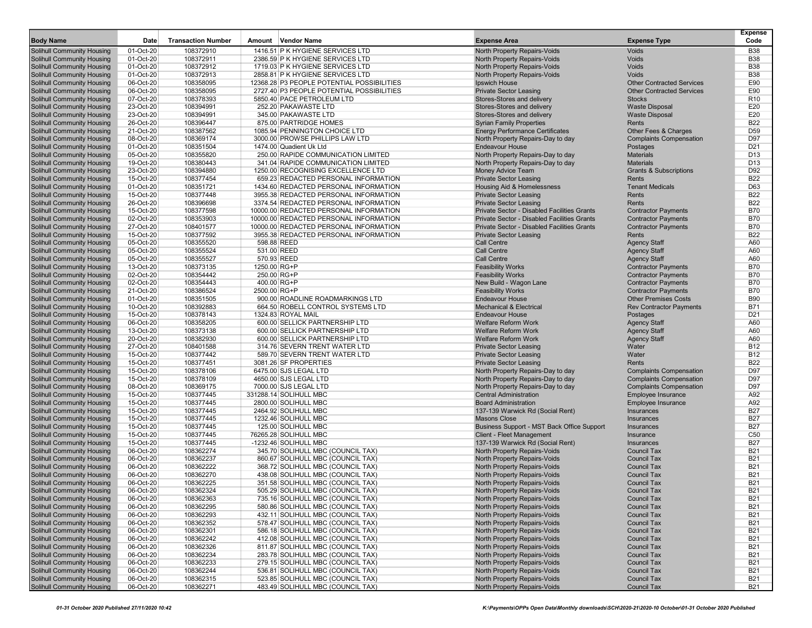|                                                          |                        |                           |                                                                         |                                                                   |                                                   | <b>Expense</b>    |
|----------------------------------------------------------|------------------------|---------------------------|-------------------------------------------------------------------------|-------------------------------------------------------------------|---------------------------------------------------|-------------------|
| <b>Body Name</b>                                         | Date                   | <b>Transaction Number</b> | Amount Vendor Name                                                      | <b>Expense Area</b>                                               | <b>Expense Type</b>                               | Code              |
| <b>Solihull Community Housing</b>                        | 01-Oct-20              | 108372910                 | 1416.51 P K HYGIENE SERVICES LTD                                        | North Property Repairs-Voids                                      | <b>Voids</b>                                      | <b>B38</b>        |
| <b>Solihull Community Housing</b>                        | 01-Oct-20              | 108372911                 | 2386.59 P K HYGIENE SERVICES LTD                                        | North Property Repairs-Voids                                      | <b>Voids</b>                                      | <b>B38</b>        |
| Solihull Community Housing                               | 01-Oct-20              | 108372912                 | 1719.03 P K HYGIENE SERVICES LTD                                        | North Property Repairs-Voids                                      | Voids                                             | <b>B38</b>        |
| <b>Solihull Community Housing</b>                        | 01-Oct-20              | 108372913                 | 2858.81 P K HYGIENE SERVICES LTD                                        | North Property Repairs-Voids                                      | <b>Voids</b>                                      | <b>B38</b>        |
| Solihull Community Housing                               | 06-Oct-20              | 108358095                 | 12368.28 P3 PEOPLE POTENTIAL POSSIBILITIES                              | <b>Ipswich House</b>                                              | <b>Other Contracted Services</b>                  | E90<br>E90        |
| Solihull Community Housing<br>Solihull Community Housing | 06-Oct-20<br>07-Oct-20 | 108358095<br>108378393    | 2727.40 P3 PEOPLE POTENTIAL POSSIBILITIES<br>5850.40 PACE PETROLEUM LTD | <b>Private Sector Leasing</b><br>Stores-Stores and delivery       | <b>Other Contracted Services</b><br><b>Stocks</b> | R <sub>10</sub>   |
| Solihull Community Housing                               | 23-Oct-20              | 108394991                 | 252.20 PAKAWASTE LTD                                                    | Stores-Stores and delivery                                        | <b>Waste Disposal</b>                             | E20               |
| Solihull Community Housing                               | 23-Oct-20              | 108394991                 | 345.00 PAKAWASTE LTD                                                    | Stores-Stores and delivery                                        | <b>Waste Disposal</b>                             | E20               |
| <b>Solihull Community Housing</b>                        | 26-Oct-20              | 108396447                 | 875.00 PARTRIDGE HOMES                                                  | <b>Syrian Family Properties</b>                                   | Rents                                             | <b>B22</b>        |
| Solihull Community Housing                               | 21-Oct-20              | 108387562                 | 1085.94 PENNINGTON CHOICE LTD                                           | <b>Energy Performance Certificates</b>                            | Other Fees & Charges                              | D59               |
| <b>Solihull Community Housing</b>                        | 08-Oct-20              | 108369174                 | 3000.00 PROWSE PHILLIPS LAW LTD                                         | North Property Repairs-Day to day                                 | <b>Complaints Compensation</b>                    | D97               |
| Solihull Community Housing                               | 01-Oct-20              | 108351504                 | 1474.00 Quadient Uk Ltd                                                 | <b>Endeavour House</b>                                            | Postages                                          | D <sub>21</sub>   |
| <b>Solihull Community Housing</b>                        | 05-Oct-20              | 108355820                 | 250.00 RAPIDE COMMUNICATION LIMITED                                     | North Property Repairs-Day to day                                 | <b>Materials</b>                                  | D <sub>13</sub>   |
| <b>Solihull Community Housing</b>                        | 19-Oct-20              | 108380443                 | 341.04 RAPIDE COMMUNICATION LIMITED                                     | North Property Repairs-Day to day                                 | <b>Materials</b>                                  | D <sub>13</sub>   |
| Solihull Community Housing                               | 23-Oct-20              | 108394880                 | 1250.00 RECOGNISING EXCELLENCE LTD                                      | Money Advice Team                                                 | <b>Grants &amp; Subscriptions</b>                 | D92               |
| Solihull Community Housing                               | 15-Oct-20              | 108377454                 | 659.23 REDACTED PERSONAL INFORMATION                                    | <b>Private Sector Leasing</b>                                     | Rents                                             | <b>B22</b>        |
| Solihull Community Housing                               | 01-Oct-20              | 108351721                 | 1434.60 REDACTED PERSONAL INFORMATION                                   | Housing Aid & Homelessness                                        | <b>Tenant Medicals</b>                            | D63               |
| Solihull Community Housing                               | 15-Oct-20              | 108377448                 | 3955.38 REDACTED PERSONAL INFORMATION                                   | <b>Private Sector Leasing</b>                                     | Rents                                             | <b>B22</b>        |
| <b>Solihull Community Housing</b>                        | 26-Oct-20              | 108396698                 | 3374.54 REDACTED PERSONAL INFORMATION                                   | <b>Private Sector Leasing</b>                                     | Rents                                             | <b>B22</b>        |
| Solihull Community Housing                               | 15-Oct-20              | 108377598                 | 10000.00 REDACTED PERSONAL INFORMATION                                  | Private Sector - Disabled Facilities Grants                       | <b>Contractor Payments</b>                        | <b>B70</b>        |
| <b>Solihull Community Housing</b>                        | 02-Oct-20              | 108353903                 | 10000.00 REDACTED PERSONAL INFORMATION                                  | <b>Private Sector - Disabled Facilities Grants</b>                | <b>Contractor Payments</b>                        | <b>B70</b>        |
| Solihull Community Housing                               | 27-Oct-20              | 108401577                 | 10000.00 REDACTED PERSONAL INFORMATION                                  | Private Sector - Disabled Facilities Grants                       | <b>Contractor Payments</b>                        | <b>B70</b>        |
| <b>Solihull Community Housing</b>                        | 15-Oct-20              | 108377592                 | 3955.38 REDACTED PERSONAL INFORMATION                                   | <b>Private Sector Leasing</b>                                     | Rents                                             | <b>B22</b>        |
| Solihull Community Housing                               | 05-Oct-20              | 108355520                 | 598.88 REED                                                             | Call Centre                                                       | <b>Agency Staff</b>                               | A60               |
| Solihull Community Housing                               | 05-Oct-20              | 108355524                 | 531.00 REED                                                             | Call Centre                                                       | <b>Agency Staff</b>                               | A60               |
| Solihull Community Housing                               | 05-Oct-20              | 108355527                 | 570.93 REED                                                             | <b>Call Centre</b>                                                | <b>Agency Staff</b>                               | A60               |
| Solihull Community Housing                               | 13-Oct-20              | 108373135                 | 1250.00 RG+P                                                            | <b>Feasibility Works</b>                                          | <b>Contractor Payments</b>                        | <b>B70</b>        |
| <b>Solihull Community Housing</b>                        | 02-Oct-20              | 108354442                 | 250.00 RG+P                                                             | <b>Feasibility Works</b>                                          | <b>Contractor Payments</b>                        | <b>B70</b>        |
| <b>Solihull Community Housing</b>                        | 02-Oct-20              | 108354443                 | 400.00 RG+P                                                             | New Build - Wagon Lane                                            | <b>Contractor Payments</b>                        | <b>B70</b>        |
| Solihull Community Housing                               | 21-Oct-20              | 108386524                 | 2500.00 RG+P                                                            | <b>Feasibility Works</b>                                          | <b>Contractor Payments</b>                        | <b>B70</b>        |
| Solihull Community Housing                               | 01-Oct-20              | 108351505                 | 900.00 ROADLINE ROADMARKINGS LTD                                        | <b>Endeavour House</b>                                            | <b>Other Premises Costs</b>                       | <b>B90</b>        |
| Solihull Community Housing                               | 10-Oct-20              | 108392883                 | 664.50 ROBELL CONTROL SYSTEMS LTD                                       | <b>Mechanical &amp; Electrical</b>                                | <b>Rev Contractor Payments</b>                    | <b>B71</b>        |
| <b>Solihull Community Housing</b>                        | 15-Oct-20              | 108378143                 | 1324.83 ROYAL MAIL                                                      | <b>Endeavour House</b>                                            | Postages                                          | D <sub>21</sub>   |
| <b>Solihull Community Housing</b>                        | 06-Oct-20              | 108358205                 | 600.00 SELLICK PARTNERSHIP LTD                                          | <b>Welfare Reform Work</b>                                        | <b>Agency Staff</b>                               | A60               |
| Solihull Community Housing                               | 13-Oct-20              | 108373138                 | 600.00 SELLICK PARTNERSHIP LTD                                          | <b>Welfare Reform Work</b>                                        | <b>Agency Staff</b>                               | A60               |
| Solihull Community Housing                               | 20-Oct-20              | 108382930                 | 600.00 SELLICK PARTNERSHIP LTD                                          | <b>Welfare Reform Work</b>                                        | <b>Agency Staff</b>                               | A60               |
| Solihull Community Housing                               | 27-Oct-20              | 108401588                 | 314.76 SEVERN TRENT WATER LTD                                           | <b>Private Sector Leasing</b>                                     | Water                                             | B12               |
| Solihull Community Housing                               | 15-Oct-20              | 108377442                 | 589.70 SEVERN TRENT WATER LTD                                           | <b>Private Sector Leasing</b>                                     | Water                                             | <b>B12</b>        |
| Solihull Community Housing                               | 15-Oct-20              | 108377451                 | 3081.26 SF PROPERTIES                                                   | <b>Private Sector Leasing</b>                                     | Rents                                             | <b>B22</b>        |
| Solihull Community Housing                               | 15-Oct-20              | 108378106                 | 6475.00 SJS LEGAL LTD                                                   | North Property Repairs-Day to day                                 | <b>Complaints Compensation</b>                    | D97               |
| <b>Solihull Community Housing</b>                        | 15-Oct-20              | 108378109                 | 4650.00 SJS LEGAL LTD                                                   | North Property Repairs-Day to day                                 | <b>Complaints Compensation</b>                    | D97               |
| Solihull Community Housing                               | 08-Oct-20              | 108369175                 | 7000.00 SJS LEGAL LTD                                                   | North Property Repairs-Day to day                                 | <b>Complaints Compensation</b>                    | D97               |
| <b>Solihull Community Housing</b>                        | 15-Oct-20              | 108377445                 | 331288.14 SOLIHULL MBC                                                  | <b>Central Administration</b>                                     | Employee Insurance                                | A92               |
| <b>Solihull Community Housing</b>                        | 15-Oct-20<br>15-Oct-20 | 108377445                 | 2800.00 SOLIHULL MBC                                                    | <b>Board Administration</b>                                       | Employee Insurance                                | A92<br><b>B27</b> |
| Solihull Community Housing                               |                        | 108377445                 | 2464.92 SOLIHULL MBC                                                    | 137-139 Warwick Rd (Social Rent)                                  | Insurances                                        | <b>B27</b>        |
| Solihull Community Housing<br>Solihull Community Housing | 15-Oct-20<br>15-Oct-20 | 108377445<br>108377445    | 1232.46 SOLIHULL MBC<br>125.00 SOLIHULL MBC                             | <b>Masons Close</b><br>Business Support - MST Back Office Support | Insurances<br>Insurances                          | <b>B27</b>        |
| Solihull Community Housing                               | 15-Oct-20              | 108377445                 | 76265.28 SOLIHULL MBC                                                   | Client - Fleet Management                                         | Insurance                                         | C <sub>50</sub>   |
| <b>Solihull Community Housing</b>                        | 15-Oct-20              | 108377445                 | -1232.46 SOLIHULL MBC                                                   | 137-139 Warwick Rd (Social Rent)                                  | Insurances                                        | <b>B27</b>        |
| Solihull Community Housing                               | 06-Oct-20              | 108362274                 | 345.70 SOLIHULL MBC (COUNCIL TAX)                                       | North Property Repairs-Voids                                      | <b>Council Tax</b>                                | <b>B21</b>        |
| <b>Solihull Community Housing</b>                        | 06-Oct-20              | 108362237                 | 860.67 SOLIHULL MBC (COUNCIL TAX)                                       | North Property Repairs-Voids                                      | <b>Council Tax</b>                                | <b>B21</b>        |
| Solihull Community Housing                               | 06-Oct-20              | 108362222                 | 368.72 SOLIHULL MBC (COUNCIL TAX)                                       | North Property Repairs-Voids                                      | <b>Council Tax</b>                                | <b>B21</b>        |
| Solihull Community Housing                               | 06-Oct-20              | 108362270                 | 438.08 SOLIHULL MBC (COUNCIL TAX)                                       | North Property Repairs-Voids                                      | <b>Council Tax</b>                                | <b>B21</b>        |
| Solihull Community Housing                               | 06-Oct-20              | 108362225                 | 351.58 SOLIHULL MBC (COUNCIL TAX)                                       | North Property Repairs-Voids                                      | <b>Council Tax</b>                                | <b>B21</b>        |
| Solihull Community Housing                               | 06-Oct-20              | 108362324                 | 505.29 SOLIHULL MBC (COUNCIL TAX)                                       | North Property Repairs-Voids                                      | <b>Council Tax</b>                                | B <sub>21</sub>   |
| Solihull Community Housing                               | 06-Oct-20              | 108362363                 | 735.16 SOLIHULL MBC (COUNCIL TAX)                                       | North Property Repairs-Voids                                      | <b>Council Tax</b>                                | <b>B21</b>        |
| Solihull Community Housing                               | 06-Oct-20              | 108362295                 | 580.86 SOLIHULL MBC (COUNCIL TAX)                                       | North Property Repairs-Voids                                      | <b>Council Tax</b>                                | <b>B21</b>        |
| Solihull Community Housing                               | 06-Oct-20              | 108362293                 | 432.11 SOLIHULL MBC (COUNCIL TAX)                                       | North Property Repairs-Voids                                      | <b>Council Tax</b>                                | <b>B21</b>        |
| Solihull Community Housing                               | 06-Oct-20              | 108362352                 | 578.47 SOLIHULL MBC (COUNCIL TAX)                                       | North Property Repairs-Voids                                      | <b>Council Tax</b>                                | <b>B21</b>        |
| Solihull Community Housing                               | 06-Oct-20              | 108362301                 | 586.18 SOLIHULL MBC (COUNCIL TAX)                                       | North Property Repairs-Voids                                      | <b>Council Tax</b>                                | <b>B21</b>        |
| Solihull Community Housing                               | 06-Oct-20              | 108362242                 | 412.08 SOLIHULL MBC (COUNCIL TAX)                                       | North Property Repairs-Voids                                      | <b>Council Tax</b>                                | <b>B21</b>        |
| Solihull Community Housing                               | 06-Oct-20              | 108362326                 | 811.87 SOLIHULL MBC (COUNCIL TAX)                                       | North Property Repairs-Voids                                      | <b>Council Tax</b>                                | <b>B21</b>        |
| Solihull Community Housing                               | 06-Oct-20              | 108362234                 | 283.78 SOLIHULL MBC (COUNCIL TAX)                                       | North Property Repairs-Voids                                      | <b>Council Tax</b>                                | <b>B21</b>        |
| Solihull Community Housing                               | 06-Oct-20              | 108362233                 | 279.15 SOLIHULL MBC (COUNCIL TAX)                                       | North Property Repairs-Voids                                      | <b>Council Tax</b>                                | <b>B21</b>        |
| Solihull Community Housing                               | 06-Oct-20              | 108362244                 | 536.81 SOLIHULL MBC (COUNCIL TAX)                                       | North Property Repairs-Voids                                      | <b>Council Tax</b>                                | <b>B21</b>        |
| Solihull Community Housing                               | 06-Oct-20              | 108362315                 | 523.85 SOLIHULL MBC (COUNCIL TAX)                                       | North Property Repairs-Voids                                      | <b>Council Tax</b>                                | <b>B21</b>        |
| Solihull Community Housing                               | 06-Oct-20              | 108362271                 | 483.49 SOLIHULL MBC (COUNCIL TAX)                                       | North Property Repairs-Voids                                      | <b>Council Tax</b>                                | <b>B21</b>        |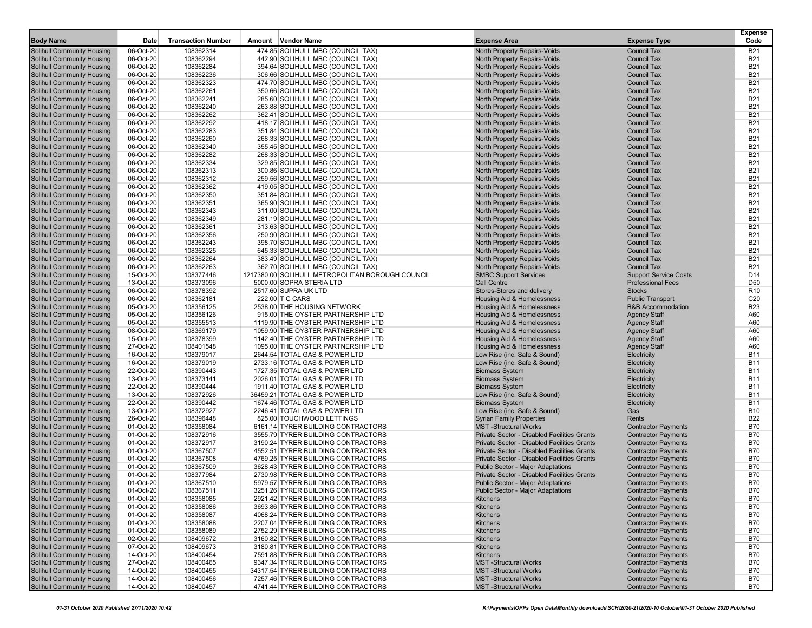| <b>Body Name</b>                                                       | Date                   | <b>Transaction Number</b> | Amount Vendor Name                                                       | <b>Expense Area</b>                                                                        | <b>Expense Type</b>                                      | <b>Expense</b><br>Code   |
|------------------------------------------------------------------------|------------------------|---------------------------|--------------------------------------------------------------------------|--------------------------------------------------------------------------------------------|----------------------------------------------------------|--------------------------|
| <b>Solihull Community Housing</b>                                      | 06-Oct-20              | 108362314                 | 474.85 SOLIHULL MBC (COUNCIL TAX)                                        | North Property Repairs-Voids                                                               | <b>Council Tax</b>                                       | <b>B21</b>               |
| <b>Solihull Community Housing</b>                                      | 06-Oct-20              | 108362294                 | 442.90 SOLIHULL MBC (COUNCIL TAX)                                        | North Property Repairs-Voids                                                               | <b>Council Tax</b>                                       | <b>B21</b>               |
| <b>Solihull Community Housing</b>                                      | 06-Oct-20              | 108362284                 | 394.64 SOLIHULL MBC (COUNCIL TAX)                                        | North Property Repairs-Voids                                                               | <b>Council Tax</b>                                       | <b>B21</b>               |
| Solihull Community Housing                                             | 06-Oct-20              | 108362236                 | 306.66 SOLIHULL MBC (COUNCIL TAX)                                        | North Property Repairs-Voids                                                               | <b>Council Tax</b>                                       | <b>B21</b>               |
| <b>Solihull Community Housing</b>                                      | 06-Oct-20              | 108362323                 | 474.70 SOLIHULL MBC (COUNCIL TAX)                                        | North Property Repairs-Voids                                                               | <b>Council Tax</b>                                       | <b>B21</b>               |
| <b>Solihull Community Housing</b>                                      | 06-Oct-20              | 108362261                 | 350.66 SOLIHULL MBC (COUNCIL TAX)                                        | North Property Repairs-Voids                                                               | <b>Council Tax</b>                                       | <b>B21</b>               |
| <b>Solihull Community Housing</b>                                      | 06-Oct-20              | 108362241                 | 285.60 SOLIHULL MBC (COUNCIL TAX)                                        | North Property Repairs-Voids                                                               | <b>Council Tax</b>                                       | <b>B21</b>               |
| <b>Solihull Community Housing</b>                                      | 06-Oct-20              | 108362240                 | 263.88 SOLIHULL MBC (COUNCIL TAX)                                        | North Property Repairs-Voids                                                               | <b>Council Tax</b>                                       | <b>B21</b>               |
| <b>Solihull Community Housing</b>                                      | 06-Oct-20              | 108362262                 | 362.41 SOLIHULL MBC (COUNCIL TAX)                                        | North Property Repairs-Voids                                                               | <b>Council Tax</b>                                       | <b>B21</b>               |
| <b>Solihull Community Housing</b>                                      | 06-Oct-20              | 108362292                 | 418.17 SOLIHULL MBC (COUNCIL TAX)                                        | North Property Repairs-Voids                                                               | <b>Council Tax</b>                                       | <b>B21</b>               |
| <b>Solihull Community Housing</b>                                      | 06-Oct-20              | 108362283                 | 351.84 SOLIHULL MBC (COUNCIL TAX)                                        | North Property Repairs-Voids                                                               | <b>Council Tax</b>                                       | <b>B21</b>               |
| <b>Solihull Community Housing</b>                                      | 06-Oct-20              | 108362260                 | 268.33 SOLIHULL MBC (COUNCIL TAX)                                        | North Property Repairs-Voids                                                               | <b>Council Tax</b>                                       | <b>B21</b>               |
| <b>Solihull Community Housing</b>                                      | 06-Oct-20              | 108362340                 | 355.45 SOLIHULL MBC (COUNCIL TAX)                                        | North Property Repairs-Voids                                                               | <b>Council Tax</b>                                       | <b>B21</b>               |
| <b>Solihull Community Housing</b>                                      | 06-Oct-20              | 108362282                 | 268.33 SOLIHULL MBC (COUNCIL TAX)                                        | North Property Repairs-Voids                                                               | <b>Council Tax</b>                                       | <b>B21</b>               |
| <b>Solihull Community Housing</b>                                      | 06-Oct-20              | 108362334                 | 329.85 SOLIHULL MBC (COUNCIL TAX)                                        | North Property Repairs-Voids                                                               | <b>Council Tax</b><br><b>Council Tax</b>                 | <b>B21</b><br><b>B21</b> |
| <b>Solihull Community Housing</b><br><b>Solihull Community Housing</b> | 06-Oct-20<br>06-Oct-20 | 108362313<br>108362312    | 300.86 SOLIHULL MBC (COUNCIL TAX)<br>259.56 SOLIHULL MBC (COUNCIL TAX)   | North Property Repairs-Voids<br>North Property Repairs-Voids                               | <b>Council Tax</b>                                       | <b>B21</b>               |
| <b>Solihull Community Housing</b>                                      | 06-Oct-20              | 108362362                 | 419.05 SOLIHULL MBC (COUNCIL TAX)                                        | North Property Repairs-Voids                                                               | <b>Council Tax</b>                                       | <b>B21</b>               |
| <b>Solihull Community Housing</b>                                      | 06-Oct-20              | 108362350                 | 351.84 SOLIHULL MBC (COUNCIL TAX)                                        | North Property Repairs-Voids                                                               | <b>Council Tax</b>                                       | <b>B21</b>               |
| <b>Solihull Community Housing</b>                                      | 06-Oct-20              | 108362351                 | 365.90 SOLIHULL MBC (COUNCIL TAX)                                        | North Property Repairs-Voids                                                               | <b>Council Tax</b>                                       | <b>B21</b>               |
| <b>Solihull Community Housing</b>                                      | 06-Oct-20              | 108362343                 | 311.00 SOLIHULL MBC (COUNCIL TAX)                                        | North Property Repairs-Voids                                                               | <b>Council Tax</b>                                       | <b>B21</b>               |
| <b>Solihull Community Housing</b>                                      | 06-Oct-20              | 108362349                 | 281.19 SOLIHULL MBC (COUNCIL TAX)                                        | North Property Repairs-Voids                                                               | <b>Council Tax</b>                                       | <b>B21</b>               |
| <b>Solihull Community Housing</b>                                      | 06-Oct-20              | 108362361                 | 313.63 SOLIHULL MBC (COUNCIL TAX)                                        | North Property Repairs-Voids                                                               | <b>Council Tax</b>                                       | <b>B21</b>               |
| <b>Solihull Community Housing</b>                                      | 06-Oct-20              | 108362356                 | 250.90 SOLIHULL MBC (COUNCIL TAX)                                        | North Property Repairs-Voids                                                               | <b>Council Tax</b>                                       | <b>B21</b>               |
| <b>Solihull Community Housing</b>                                      | 06-Oct-20              | 108362243                 | 398.70 SOLIHULL MBC (COUNCIL TAX)                                        | North Property Repairs-Voids                                                               | <b>Council Tax</b>                                       | <b>B21</b>               |
| <b>Solihull Community Housing</b>                                      | 06-Oct-20              | 108362325                 | 645.33 SOLIHULL MBC (COUNCIL TAX)                                        | North Property Repairs-Voids                                                               | <b>Council Tax</b>                                       | <b>B21</b>               |
| <b>Solihull Community Housing</b>                                      | 06-Oct-20              | 108362264                 | 383.49 SOLIHULL MBC (COUNCIL TAX)                                        | North Property Repairs-Voids                                                               | <b>Council Tax</b>                                       | <b>B21</b>               |
| <b>Solihull Community Housing</b>                                      | 06-Oct-20              | 108362263                 | 362.70 SOLIHULL MBC (COUNCIL TAX)                                        | North Property Repairs-Voids                                                               | <b>Council Tax</b>                                       | <b>B21</b>               |
| <b>Solihull Community Housing</b>                                      | 15-Oct-20              | 108377446                 | 1217380.00 SOLIHULL METROPOLITAN BOROUGH COUNCIL                         | <b>SMBC Support Services</b>                                                               | <b>Support Service Costs</b>                             | D <sub>14</sub>          |
| Solihull Community Housing                                             | 13-Oct-20              | 108373096                 | 5000.00 SOPRA STERIA LTD                                                 | <b>Call Centre</b>                                                                         | <b>Professional Fees</b>                                 | D <sub>50</sub>          |
| <b>Solihull Community Housing</b>                                      | 06-Oct-20              | 108378392                 | 2517.60 SUPRA UK LTD                                                     | Stores-Stores and delivery                                                                 | <b>Stocks</b>                                            | R <sub>10</sub>          |
| <b>Solihull Community Housing</b>                                      | 06-Oct-20              | 108362181                 | 222.00 T C CARS                                                          | <b>Housing Aid &amp; Homelessness</b>                                                      | <b>Public Transport</b>                                  | C <sub>20</sub>          |
| <b>Solihull Community Housing</b>                                      | 05-Oct-20              | 108356125                 | 2538.00 THE HOUSING NETWORK                                              | Housing Aid & Homelessness                                                                 | <b>B&amp;B Accommodation</b>                             | <b>B23</b>               |
| <b>Solihull Community Housing</b>                                      | 05-Oct-20              | 108356126                 | 915.00 THE OYSTER PARTNERSHIP LTD                                        | Housing Aid & Homelessness                                                                 | <b>Agency Staff</b>                                      | A60                      |
| <b>Solihull Community Housing</b><br><b>Solihull Community Housing</b> | 05-Oct-20<br>08-Oct-20 | 108355513<br>108369179    | 1119.90 THE OYSTER PARTNERSHIP LTD<br>1059.90 THE OYSTER PARTNERSHIP LTD | Housing Aid & Homelessness<br>Housing Aid & Homelessness                                   | <b>Agency Staff</b><br><b>Agency Staff</b>               | A60<br>A60               |
| <b>Solihull Community Housing</b>                                      | 15-Oct-20              | 108378399                 | 1142.40 THE OYSTER PARTNERSHIP LTD                                       | Housing Aid & Homelessness                                                                 | <b>Agency Staff</b>                                      | A60                      |
| <b>Solihull Community Housing</b>                                      | 27-Oct-20              | 108401548                 | 1095.00 THE OYSTER PARTNERSHIP LTD                                       | Housing Aid & Homelessness                                                                 | <b>Agency Staff</b>                                      | A60                      |
| <b>Solihull Community Housing</b>                                      | 16-Oct-20              | 108379017                 | 2644.54 TOTAL GAS & POWER LTD                                            | Low Rise (inc. Safe & Sound)                                                               | Electricity                                              | <b>B11</b>               |
| <b>Solihull Community Housing</b>                                      | 16-Oct-20              | 108379019                 | 2733.16 TOTAL GAS & POWER LTD                                            | Low Rise (inc. Safe & Sound)                                                               | Electricity                                              | <b>B11</b>               |
| <b>Solihull Community Housing</b>                                      | 22-Oct-20              | 108390443                 | 1727.35 TOTAL GAS & POWER LTD                                            | <b>Biomass System</b>                                                                      | Electricity                                              | <b>B11</b>               |
| <b>Solihull Community Housing</b>                                      | 13-Oct-20              | 108373141                 | 2026.01 TOTAL GAS & POWER LTD                                            | <b>Biomass System</b>                                                                      | Electricity                                              | <b>B11</b>               |
| <b>Solihull Community Housing</b>                                      | 22-Oct-20              | 108390444                 | 1911.40 TOTAL GAS & POWER LTD                                            | <b>Biomass System</b>                                                                      | Electricity                                              | <b>B11</b>               |
| <b>Solihull Community Housing</b>                                      | 13-Oct-20              | 108372926                 | 36459.21 TOTAL GAS & POWER LTD                                           | Low Rise (inc. Safe & Sound)                                                               | Electricity                                              | <b>B11</b>               |
| <b>Solihull Community Housing</b>                                      | 22-Oct-20              | 108390442                 | 1674.46 TOTAL GAS & POWER LTD                                            | <b>Biomass System</b>                                                                      | Electricity                                              | <b>B11</b>               |
| <b>Solihull Community Housing</b>                                      | 13-Oct-20              | 108372927                 | 2246.41 TOTAL GAS & POWER LTD                                            | Low Rise (inc. Safe & Sound)                                                               | Gas                                                      | <b>B10</b>               |
| <b>Solihull Community Housing</b>                                      | 26-Oct-20              | 108396448                 | 825.00 TOUCHWOOD LETTINGS                                                | <b>Syrian Family Properties</b>                                                            | Rents                                                    | <b>B22</b>               |
| <b>Solihull Community Housing</b>                                      | 01-Oct-20              | 108358084                 | 6161.14 TYRER BUILDING CONTRACTORS                                       | <b>MST-Structural Works</b>                                                                | <b>Contractor Payments</b>                               | <b>B70</b>               |
| <b>Solihull Community Housing</b>                                      | 01-Oct-20              | 108372916                 | 3555.79 TYRER BUILDING CONTRACTORS                                       | Private Sector - Disabled Facilities Grants                                                | <b>Contractor Payments</b>                               | <b>B70</b>               |
| <b>Solihull Community Housing</b>                                      | 01-Oct-20              | 108372917                 | 3190.24 TYRER BUILDING CONTRACTORS<br>4552.51 TYRER BUILDING CONTRACTORS | <b>Private Sector - Disabled Facilities Grants</b>                                         | <b>Contractor Payments</b>                               | <b>B70</b>               |
| <b>Solihull Community Housing</b><br><b>Solihull Community Housing</b> | 01-Oct-20<br>01-Oct-20 | 108367507<br>108367508    | 4769.25 TYRER BUILDING CONTRACTORS                                       | Private Sector - Disabled Facilities Grants<br>Private Sector - Disabled Facilities Grants | <b>Contractor Payments</b><br><b>Contractor Payments</b> | <b>B70</b><br><b>B70</b> |
| <b>Solihull Community Housing</b>                                      | 01-Oct-20              | 108367509                 | 3628.43 TYRER BUILDING CONTRACTORS                                       | Public Sector - Major Adaptations                                                          | <b>Contractor Payments</b>                               | <b>B70</b>               |
| Solihull Community Housing                                             | 01-Oct-20              | 108377984                 | 2730.98 TYRER BUILDING CONTRACTORS                                       | Private Sector - Disabled Facilities Grants                                                | <b>Contractor Payments</b>                               | <b>B70</b>               |
| <b>Solihull Community Housing</b>                                      | 01-Oct-20              | 108367510                 | 5979.57 TYRER BUILDING CONTRACTORS                                       | Public Sector - Major Adaptations                                                          | <b>Contractor Payments</b>                               | <b>B70</b>               |
| <b>Solihull Community Housing</b>                                      | 01-Oct-20              | 108367511                 | 3251.26 TYRER BUILDING CONTRACTORS                                       | Public Sector - Major Adaptations                                                          | <b>Contractor Payments</b>                               | B70                      |
| <b>Solihull Community Housing</b>                                      | 01-Oct-20              | 108358085                 | 2921.42 TYRER BUILDING CONTRACTORS                                       | Kitchens                                                                                   | <b>Contractor Payments</b>                               | <b>B70</b>               |
| <b>Solihull Community Housing</b>                                      | 01-Oct-20              | 108358086                 | 3693.86 TYRER BUILDING CONTRACTORS                                       | Kitchens                                                                                   | <b>Contractor Payments</b>                               | <b>B70</b>               |
| <b>Solihull Community Housing</b>                                      | 01-Oct-20              | 108358087                 | 4068.24 TYRER BUILDING CONTRACTORS                                       | <b>Kitchens</b>                                                                            | <b>Contractor Payments</b>                               | <b>B70</b>               |
| Solihull Community Housing                                             | 01-Oct-20              | 108358088                 | 2207.04 TYRER BUILDING CONTRACTORS                                       | <b>Kitchens</b>                                                                            | <b>Contractor Payments</b>                               | <b>B70</b>               |
| <b>Solihull Community Housing</b>                                      | 01-Oct-20              | 108358089                 | 2752.29 TYRER BUILDING CONTRACTORS                                       | Kitchens                                                                                   | <b>Contractor Payments</b>                               | <b>B70</b>               |
| <b>Solihull Community Housing</b>                                      | 02-Oct-20              | 108409672                 | 3160.82 TYRER BUILDING CONTRACTORS                                       | Kitchens                                                                                   | <b>Contractor Payments</b>                               | <b>B70</b>               |
| <b>Solihull Community Housing</b>                                      | 07-Oct-20              | 108409673                 | 3180.81 TYRER BUILDING CONTRACTORS                                       | Kitchens                                                                                   | <b>Contractor Payments</b>                               | <b>B70</b>               |
| Solihull Community Housing                                             | 14-Oct-20              | 108400454                 | 7591.88 TYRER BUILDING CONTRACTORS                                       | <b>Kitchens</b>                                                                            | <b>Contractor Payments</b>                               | <b>B70</b>               |
| <b>Solihull Community Housing</b>                                      | 27-Oct-20              | 108400465                 | 9347.34 TYRER BUILDING CONTRACTORS                                       | <b>MST-Structural Works</b>                                                                | <b>Contractor Payments</b>                               | <b>B70</b>               |
| Solihull Community Housing                                             | 14-Oct-20              | 108400455                 | 34317.54 TYRER BUILDING CONTRACTORS                                      | <b>MST-Structural Works</b>                                                                | <b>Contractor Payments</b>                               | <b>B70</b>               |
| Solihull Community Housing                                             | 14-Oct-20              | 108400456                 | 7257.46 TYRER BUILDING CONTRACTORS                                       | <b>MST-Structural Works</b>                                                                | <b>Contractor Payments</b>                               | <b>B70</b>               |
| <b>Solihull Community Housing</b>                                      | 14-Oct-20              | 108400457                 | 4741.44 TYRER BUILDING CONTRACTORS                                       | <b>MST</b> -Structural Works                                                               | <b>Contractor Payments</b>                               | <b>B70</b>               |